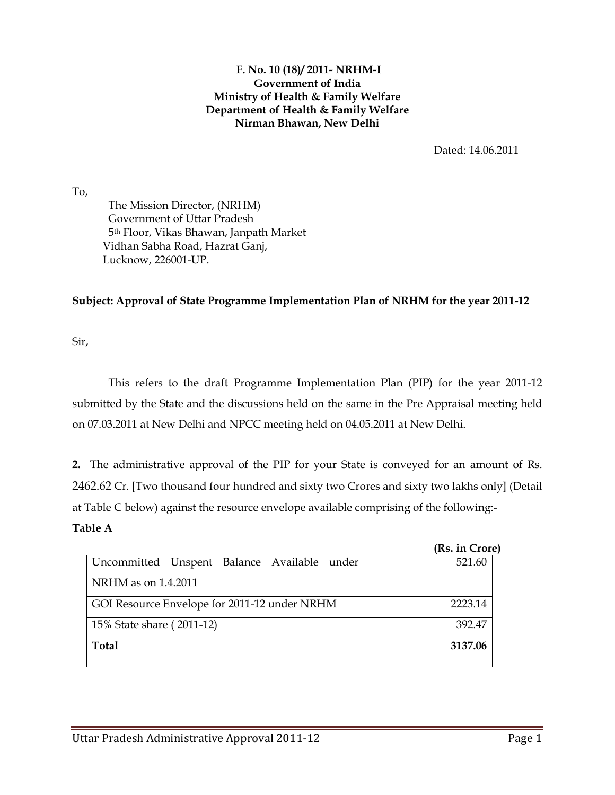#### F. No. 10 (18)/ 2011- NRHM-I Government of India Ministry of Health & Family Welfare Department of Health & Family Welfare Nirman Bhawan, New Delhi

Dated: 14.06.2011

To,

 The Mission Director, (NRHM) Government of Uttar Pradesh 5th Floor, Vikas Bhawan, Janpath Market Vidhan Sabha Road, Hazrat Ganj, Lucknow, 226001-UP.

## Subject: Approval of State Programme Implementation Plan of NRHM for the year 2011-12

Sir,

This refers to the draft Programme Implementation Plan (PIP) for the year 2011-12 submitted by the State and the discussions held on the same in the Pre Appraisal meeting held on 07.03.2011 at New Delhi and NPCC meeting held on 04.05.2011 at New Delhi.

2. The administrative approval of the PIP for your State is conveyed for an amount of Rs. 2462.62 Cr. [Two thousand four hundred and sixty two Crores and sixty two lakhs only] (Detail at Table C below) against the resource envelope available comprising of the following:-

### Table A

| (Rs. in Crore) |
|----------------|
| 521.60         |
|                |
| 2223.14        |
| 392.47         |
| 3137.06        |
|                |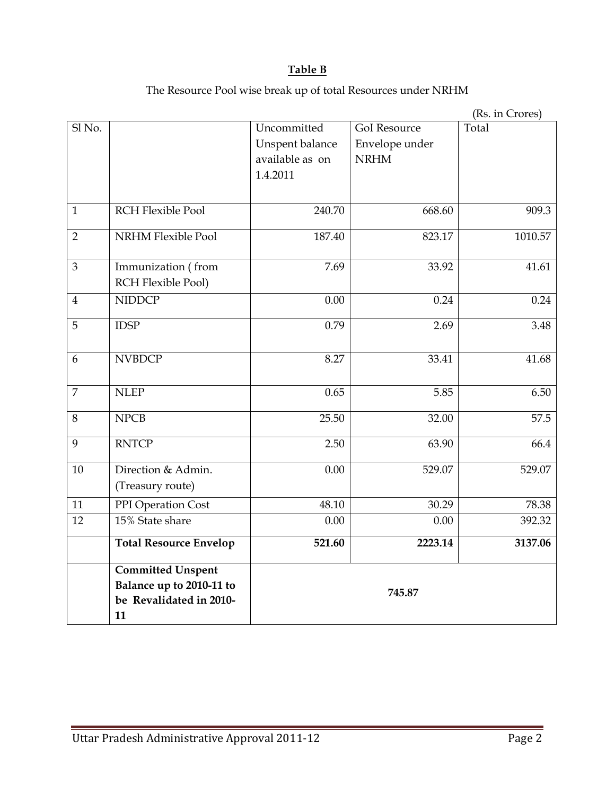# Table B

The Resource Pool wise break up of total Resources under NRHM

|                |                               |                 |                     | (Rs. in Crores) |  |  |
|----------------|-------------------------------|-----------------|---------------------|-----------------|--|--|
| Sl No.         |                               | Uncommitted     | <b>GoI</b> Resource | Total           |  |  |
|                |                               | Unspent balance | Envelope under      |                 |  |  |
|                |                               | available as on | <b>NRHM</b>         |                 |  |  |
|                |                               | 1.4.2011        |                     |                 |  |  |
|                |                               |                 |                     |                 |  |  |
| $\mathbf{1}$   | <b>RCH Flexible Pool</b>      | 240.70          | 668.60              | 909.3           |  |  |
| $\overline{2}$ | <b>NRHM Flexible Pool</b>     | 187.40          | 823.17              | 1010.57         |  |  |
| $\mathfrak{Z}$ | Immunization (from            | 7.69            | 33.92               | 41.61           |  |  |
|                | RCH Flexible Pool)            |                 |                     |                 |  |  |
| $\overline{4}$ | <b>NIDDCP</b>                 | 0.00            | 0.24                | 0.24            |  |  |
| 5              | <b>IDSP</b>                   | 0.79            | 2.69                | 3.48            |  |  |
| 6              | <b>NVBDCP</b>                 | 8.27            | 33.41               | 41.68           |  |  |
| $\overline{7}$ | <b>NLEP</b>                   | 0.65            | 5.85                | 6.50            |  |  |
| $8\,$          | <b>NPCB</b>                   | 25.50           | 32.00               | 57.5            |  |  |
| 9              | <b>RNTCP</b>                  | 2.50            | 63.90               | 66.4            |  |  |
| 10             | Direction & Admin.            | 0.00            | 529.07              | 529.07          |  |  |
|                | (Treasury route)              |                 |                     |                 |  |  |
| 11             | PPI Operation Cost            | 48.10           | 30.29               | 78.38           |  |  |
| 12             | 15% State share               | 0.00            | 0.00                | 392.32          |  |  |
|                | <b>Total Resource Envelop</b> | 521.60          | 2223.14             | 3137.06         |  |  |
|                | <b>Committed Unspent</b>      |                 |                     |                 |  |  |
|                | Balance up to 2010-11 to      |                 |                     |                 |  |  |
|                | be Revalidated in 2010-       |                 | 745.87              |                 |  |  |
|                | 11                            |                 |                     |                 |  |  |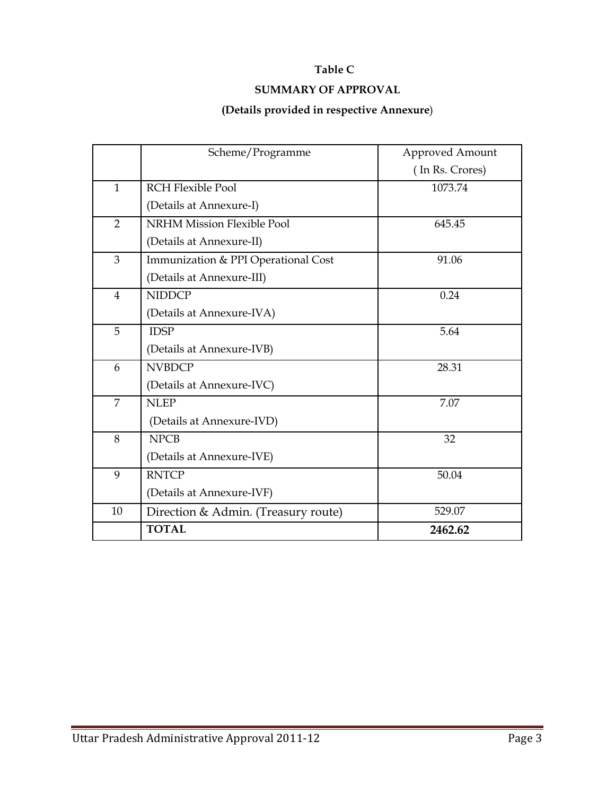## Table C

# SUMMARY OF APPROVAL

### (Details provided in respective Annexure)

|                | Scheme/Programme                    | <b>Approved Amount</b> |
|----------------|-------------------------------------|------------------------|
|                |                                     | (In Rs. Crores)        |
| $\mathbf{1}$   | <b>RCH Flexible Pool</b>            | 1073.74                |
|                | (Details at Annexure-I)             |                        |
| $\overline{2}$ | <b>NRHM Mission Flexible Pool</b>   | 645.45                 |
|                | (Details at Annexure-II)            |                        |
| 3              | Immunization & PPI Operational Cost | 91.06                  |
|                | (Details at Annexure-III)           |                        |
| 4              | <b>NIDDCP</b>                       | 0.24                   |
|                | (Details at Annexure-IVA)           |                        |
| 5              | <b>IDSP</b>                         | 5.64                   |
|                | (Details at Annexure-IVB)           |                        |
| 6              | <b>NVBDCP</b>                       | 28.31                  |
|                | (Details at Annexure-IVC)           |                        |
| $\overline{7}$ | <b>NLEP</b>                         | 7.07                   |
|                | (Details at Annexure-IVD)           |                        |
| 8              | <b>NPCB</b>                         | 32                     |
|                | (Details at Annexure-IVE)           |                        |
| 9              | <b>RNTCP</b>                        | 50.04                  |
|                | (Details at Annexure-IVF)           |                        |
| 10             | Direction & Admin. (Treasury route) | 529.07                 |
|                | <b>TOTAL</b>                        | 2462.62                |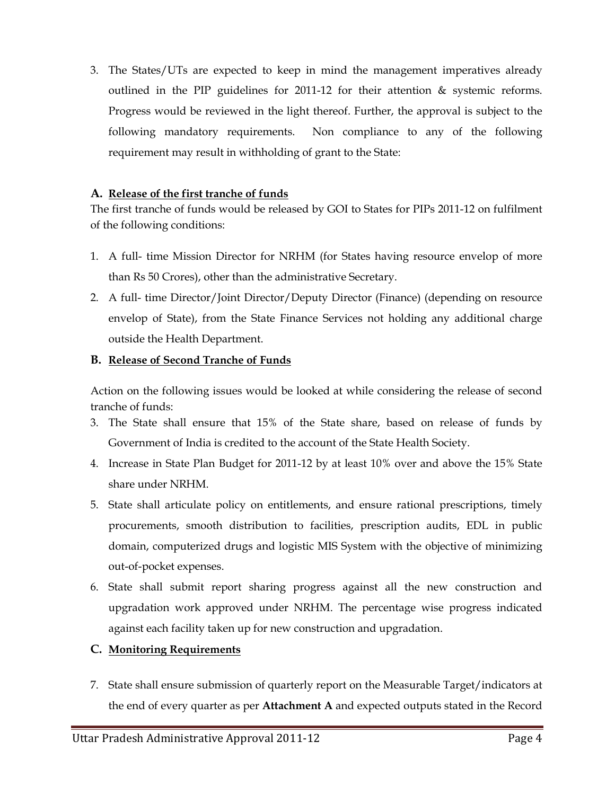3. The States/UTs are expected to keep in mind the management imperatives already outlined in the PIP guidelines for 2011-12 for their attention & systemic reforms. Progress would be reviewed in the light thereof. Further, the approval is subject to the following mandatory requirements. Non compliance to any of the following requirement may result in withholding of grant to the State:

### A. Release of the first tranche of funds

The first tranche of funds would be released by GOI to States for PIPs 2011-12 on fulfilment of the following conditions:

- 1. A full- time Mission Director for NRHM (for States having resource envelop of more than Rs 50 Crores), other than the administrative Secretary.
- 2. A full- time Director/Joint Director/Deputy Director (Finance) (depending on resource envelop of State), from the State Finance Services not holding any additional charge outside the Health Department.

## B. Release of Second Tranche of Funds

Action on the following issues would be looked at while considering the release of second tranche of funds:

- 3. The State shall ensure that 15% of the State share, based on release of funds by Government of India is credited to the account of the State Health Society.
- 4. Increase in State Plan Budget for 2011-12 by at least 10% over and above the 15% State share under NRHM.
- 5. State shall articulate policy on entitlements, and ensure rational prescriptions, timely procurements, smooth distribution to facilities, prescription audits, EDL in public domain, computerized drugs and logistic MIS System with the objective of minimizing out-of-pocket expenses.
- 6. State shall submit report sharing progress against all the new construction and upgradation work approved under NRHM. The percentage wise progress indicated against each facility taken up for new construction and upgradation.

# C. Monitoring Requirements

7. State shall ensure submission of quarterly report on the Measurable Target/indicators at the end of every quarter as per Attachment A and expected outputs stated in the Record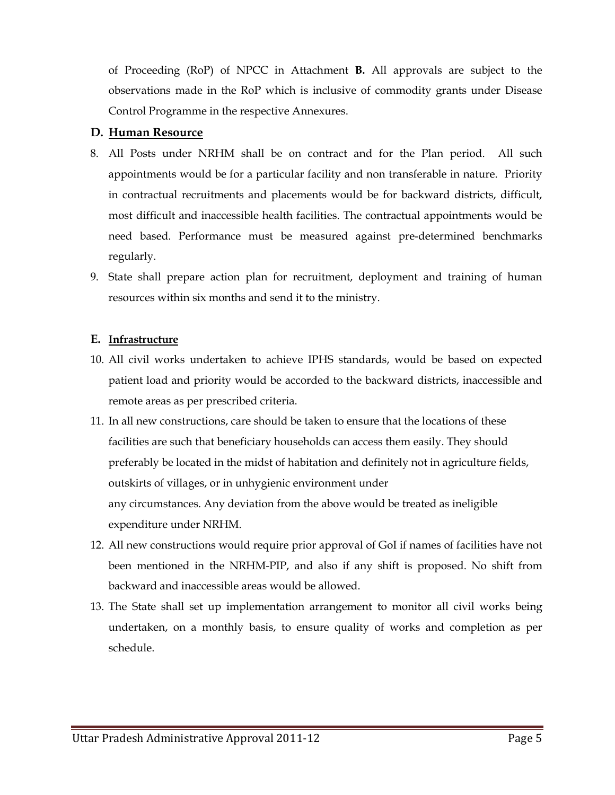of Proceeding (RoP) of NPCC in Attachment B. All approvals are subject to the observations made in the RoP which is inclusive of commodity grants under Disease Control Programme in the respective Annexures.

### D. Human Resource

- 8. All Posts under NRHM shall be on contract and for the Plan period. All such appointments would be for a particular facility and non transferable in nature. Priority in contractual recruitments and placements would be for backward districts, difficult, most difficult and inaccessible health facilities. The contractual appointments would be need based. Performance must be measured against pre-determined benchmarks regularly.
- 9. State shall prepare action plan for recruitment, deployment and training of human resources within six months and send it to the ministry.

### E. Infrastructure

- 10. All civil works undertaken to achieve IPHS standards, would be based on expected patient load and priority would be accorded to the backward districts, inaccessible and remote areas as per prescribed criteria.
- 11. In all new constructions, care should be taken to ensure that the locations of these facilities are such that beneficiary households can access them easily. They should preferably be located in the midst of habitation and definitely not in agriculture fields, outskirts of villages, or in unhygienic environment under any circumstances. Any deviation from the above would be treated as ineligible expenditure under NRHM.
- 12. All new constructions would require prior approval of GoI if names of facilities have not been mentioned in the NRHM-PIP, and also if any shift is proposed. No shift from backward and inaccessible areas would be allowed.
- 13. The State shall set up implementation arrangement to monitor all civil works being undertaken, on a monthly basis, to ensure quality of works and completion as per schedule.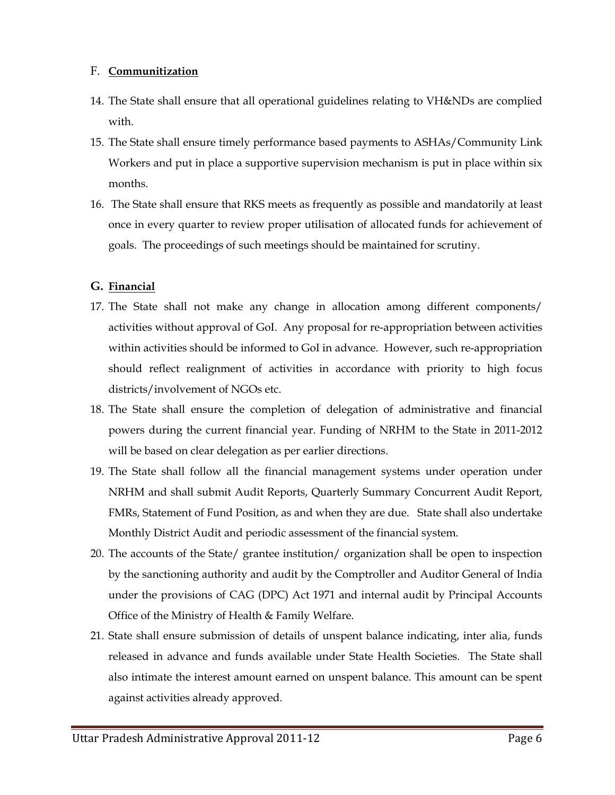### F. Communitization

- 14. The State shall ensure that all operational guidelines relating to VH&NDs are complied with.
- 15. The State shall ensure timely performance based payments to ASHAs/Community Link Workers and put in place a supportive supervision mechanism is put in place within six months.
- 16. The State shall ensure that RKS meets as frequently as possible and mandatorily at least once in every quarter to review proper utilisation of allocated funds for achievement of goals. The proceedings of such meetings should be maintained for scrutiny.

# G. Financial

- 17. The State shall not make any change in allocation among different components/ activities without approval of GoI. Any proposal for re-appropriation between activities within activities should be informed to GoI in advance. However, such re-appropriation should reflect realignment of activities in accordance with priority to high focus districts/involvement of NGOs etc.
- 18. The State shall ensure the completion of delegation of administrative and financial powers during the current financial year. Funding of NRHM to the State in 2011-2012 will be based on clear delegation as per earlier directions.
- 19. The State shall follow all the financial management systems under operation under NRHM and shall submit Audit Reports, Quarterly Summary Concurrent Audit Report, FMRs, Statement of Fund Position, as and when they are due. State shall also undertake Monthly District Audit and periodic assessment of the financial system.
- 20. The accounts of the State/ grantee institution/ organization shall be open to inspection by the sanctioning authority and audit by the Comptroller and Auditor General of India under the provisions of CAG (DPC) Act 1971 and internal audit by Principal Accounts Office of the Ministry of Health & Family Welfare.
- 21. State shall ensure submission of details of unspent balance indicating, inter alia, funds released in advance and funds available under State Health Societies. The State shall also intimate the interest amount earned on unspent balance. This amount can be spent against activities already approved.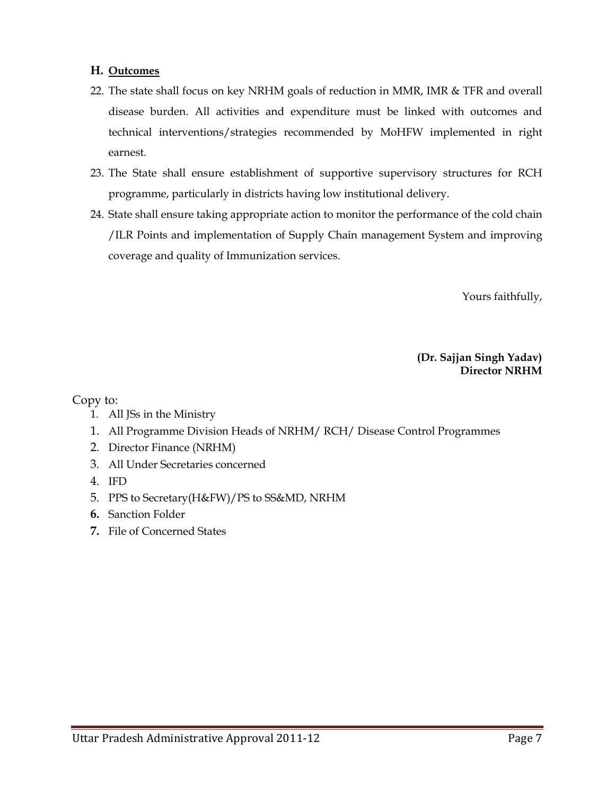### H. Outcomes

- 22. The state shall focus on key NRHM goals of reduction in MMR, IMR & TFR and overall disease burden. All activities and expenditure must be linked with outcomes and technical interventions/strategies recommended by MoHFW implemented in right earnest.
- 23. The State shall ensure establishment of supportive supervisory structures for RCH programme, particularly in districts having low institutional delivery.
- 24. State shall ensure taking appropriate action to monitor the performance of the cold chain /ILR Points and implementation of Supply Chain management System and improving coverage and quality of Immunization services.

Yours faithfully,

(Dr. Sajjan Singh Yadav) Director NRHM

Copy to:

- 1. All JSs in the Ministry
- 1. All Programme Division Heads of NRHM/ RCH/ Disease Control Programmes
- 2. Director Finance (NRHM)
- 3. All Under Secretaries concerned
- 4. IFD
- 5. PPS to Secretary(H&FW)/PS to SS&MD, NRHM
- 6. Sanction Folder
- 7. File of Concerned States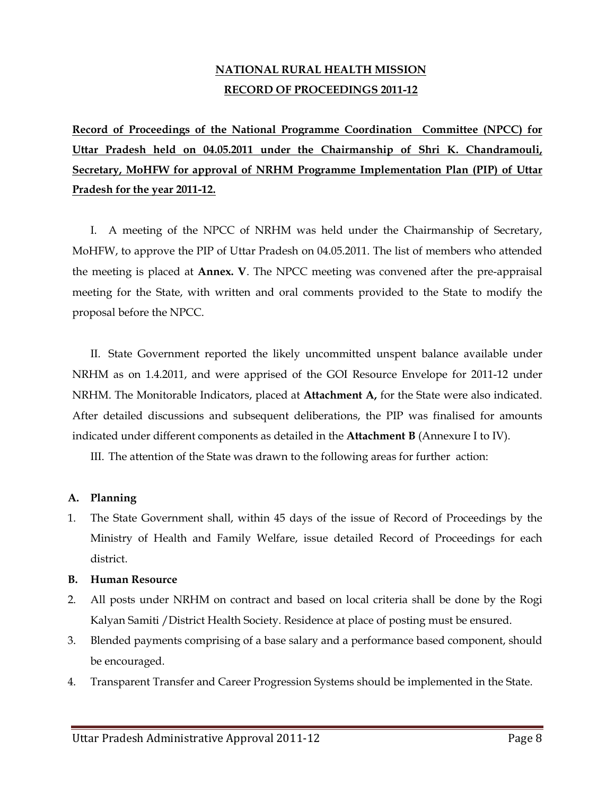# NATIONAL RURAL HEALTH MISSION RECORD OF PROCEEDINGS 2011-12

Record of Proceedings of the National Programme Coordination Committee (NPCC) for Uttar Pradesh held on 04.05.2011 under the Chairmanship of Shri K. Chandramouli, Secretary, MoHFW for approval of NRHM Programme Implementation Plan (PIP) of Uttar Pradesh for the year 2011-12.

I. A meeting of the NPCC of NRHM was held under the Chairmanship of Secretary, MoHFW, to approve the PIP of Uttar Pradesh on 04.05.2011. The list of members who attended the meeting is placed at Annex. V. The NPCC meeting was convened after the pre-appraisal meeting for the State, with written and oral comments provided to the State to modify the proposal before the NPCC.

II. State Government reported the likely uncommitted unspent balance available under NRHM as on 1.4.2011, and were apprised of the GOI Resource Envelope for 2011-12 under NRHM. The Monitorable Indicators, placed at **Attachment A**, for the State were also indicated. After detailed discussions and subsequent deliberations, the PIP was finalised for amounts indicated under different components as detailed in the **Attachment B** (Annexure I to IV).

III. The attention of the State was drawn to the following areas for further action:

### A. Planning

1. The State Government shall, within 45 days of the issue of Record of Proceedings by the Ministry of Health and Family Welfare, issue detailed Record of Proceedings for each district.

### B. Human Resource

- 2. All posts under NRHM on contract and based on local criteria shall be done by the Rogi Kalyan Samiti /District Health Society. Residence at place of posting must be ensured.
- 3. Blended payments comprising of a base salary and a performance based component, should be encouraged.
- 4. Transparent Transfer and Career Progression Systems should be implemented in the State.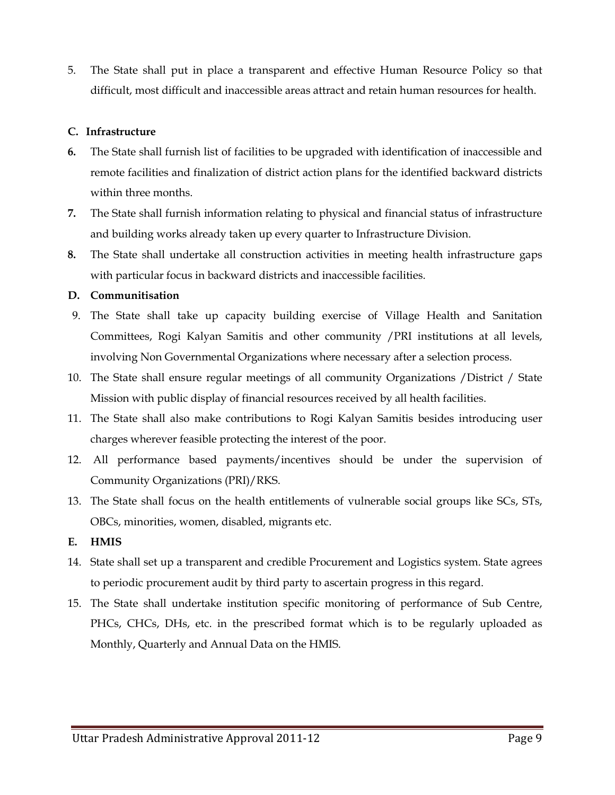5. The State shall put in place a transparent and effective Human Resource Policy so that difficult, most difficult and inaccessible areas attract and retain human resources for health.

### C. Infrastructure

- 6. The State shall furnish list of facilities to be upgraded with identification of inaccessible and remote facilities and finalization of district action plans for the identified backward districts within three months.
- 7. The State shall furnish information relating to physical and financial status of infrastructure and building works already taken up every quarter to Infrastructure Division.
- 8. The State shall undertake all construction activities in meeting health infrastructure gaps with particular focus in backward districts and inaccessible facilities.

### D. Communitisation

- 9. The State shall take up capacity building exercise of Village Health and Sanitation Committees, Rogi Kalyan Samitis and other community /PRI institutions at all levels, involving Non Governmental Organizations where necessary after a selection process.
- 10. The State shall ensure regular meetings of all community Organizations /District / State Mission with public display of financial resources received by all health facilities.
- 11. The State shall also make contributions to Rogi Kalyan Samitis besides introducing user charges wherever feasible protecting the interest of the poor.
- 12. All performance based payments/incentives should be under the supervision of Community Organizations (PRI)/RKS.
- 13. The State shall focus on the health entitlements of vulnerable social groups like SCs, STs, OBCs, minorities, women, disabled, migrants etc.

### E. HMIS

- 14. State shall set up a transparent and credible Procurement and Logistics system. State agrees to periodic procurement audit by third party to ascertain progress in this regard.
- 15. The State shall undertake institution specific monitoring of performance of Sub Centre, PHCs, CHCs, DHs, etc. in the prescribed format which is to be regularly uploaded as Monthly, Quarterly and Annual Data on the HMIS.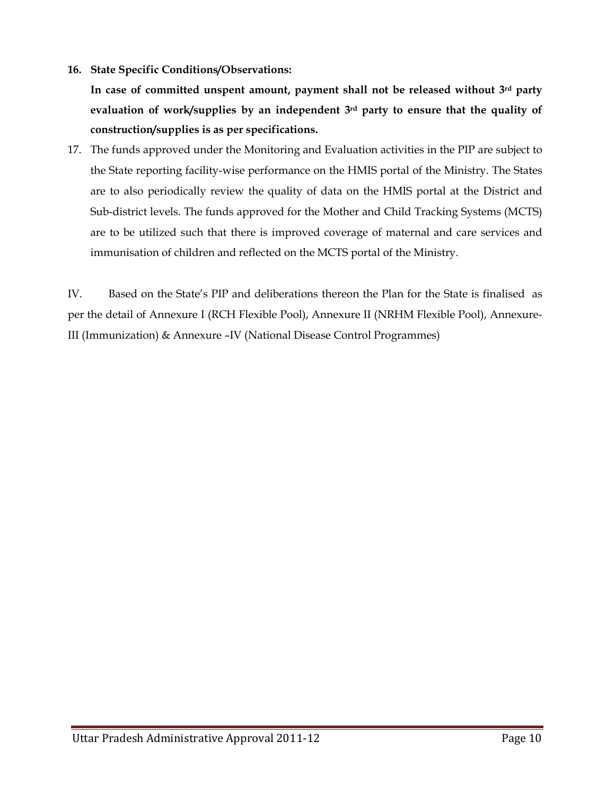16. State Specific Conditions/Observations:

In case of committed unspent amount, payment shall not be released without  $3<sup>rd</sup>$  party evaluation of work/supplies by an independent 3rd party to ensure that the quality of construction/supplies is as per specifications.

17. The funds approved under the Monitoring and Evaluation activities in the PIP are subject to the State reporting facility-wise performance on the HMIS portal of the Ministry. The States are to also periodically review the quality of data on the HMIS portal at the District and Sub-district levels. The funds approved for the Mother and Child Tracking Systems (MCTS) are to be utilized such that there is improved coverage of maternal and care services and immunisation of children and reflected on the MCTS portal of the Ministry.

IV. Based on the State's PIP and deliberations thereon the Plan for the State is finalised as per the detail of Annexure I (RCH Flexible Pool), Annexure II (NRHM Flexible Pool), Annexure-III (Immunization) & Annexure –IV (National Disease Control Programmes)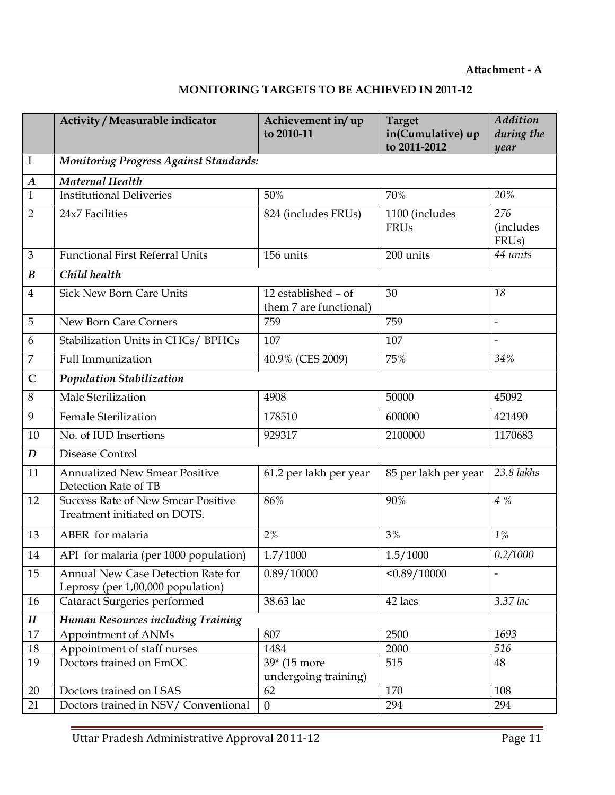#### Attachment - A

# MONITORING TARGETS TO BE ACHIEVED IN 2011-12

|                            | Activity / Measurable indicator                                           | Achievement in/up<br>to 2010-11               | <b>Target</b><br>in(Cumulative) up<br>to 2011-2012 | <b>Addition</b><br>during the<br>year         |
|----------------------------|---------------------------------------------------------------------------|-----------------------------------------------|----------------------------------------------------|-----------------------------------------------|
| $\bf{I}$                   | <b>Monitoring Progress Against Standards:</b>                             |                                               |                                                    |                                               |
| $\boldsymbol{A}$           | <b>Maternal Health</b>                                                    |                                               |                                                    |                                               |
| $\mathbf{1}$               | <b>Institutional Deliveries</b>                                           | 50%                                           | 70%                                                | 20%                                           |
| $\overline{2}$             | 24x7 Facilities                                                           | 824 (includes FRUs)                           | 1100 (includes<br><b>FRUs</b>                      | 276<br><i>(includes</i><br>FRU <sub>s</sub> ) |
| 3                          | <b>Functional First Referral Units</b>                                    | 156 units                                     | 200 units                                          | 44 units                                      |
| $\boldsymbol{B}$           | Child health                                                              |                                               |                                                    |                                               |
| $\overline{4}$             | <b>Sick New Born Care Units</b>                                           | 12 established - of<br>them 7 are functional) | 30                                                 | 18                                            |
| 5                          | New Born Care Corners                                                     | 759                                           | 759                                                | $\overline{\phantom{a}}$                      |
| 6                          | Stabilization Units in CHCs/ BPHCs                                        | 107                                           | 107                                                | $\overline{\phantom{a}}$                      |
| 7                          | <b>Full Immunization</b>                                                  | 40.9% (CES 2009)                              | 75%                                                | 34%                                           |
| $\mathsf{C}$               | <b>Population Stabilization</b>                                           |                                               |                                                    |                                               |
| 8                          | Male Sterilization                                                        | 4908                                          | 50000                                              | 45092                                         |
| 9                          | <b>Female Sterilization</b>                                               | 178510                                        | 600000                                             | 421490                                        |
| 10                         | No. of IUD Insertions                                                     | 929317                                        | 2100000                                            | 1170683                                       |
| D                          | Disease Control                                                           |                                               |                                                    |                                               |
| 11                         | <b>Annualized New Smear Positive</b><br>Detection Rate of TB              | 61.2 per lakh per year                        | 85 per lakh per year                               | 23.8 lakhs                                    |
| 12                         | <b>Success Rate of New Smear Positive</b><br>Treatment initiated on DOTS. | 86%                                           | 90%                                                | $4\%$                                         |
| 13                         | ABER for malaria                                                          | 2%                                            | 3%                                                 | $1\%$                                         |
| 14                         | API for malaria (per 1000 population)                                     | 1.7/1000                                      | 1.5/1000                                           | 0.2/1000                                      |
| 15                         | Annual New Case Detection Rate for<br>Leprosy (per 1,00,000 population)   | 0.89/10000                                    | < 0.89 / 10000                                     | $\overline{\phantom{a}}$                      |
| 16                         | <b>Cataract Surgeries performed</b>                                       | 38.63 lac                                     | 42 lacs                                            | 3.37 lac                                      |
| $\boldsymbol{\mathit{II}}$ | Human Resources including Training                                        |                                               |                                                    |                                               |
| 17                         | Appointment of ANMs                                                       | 807                                           | 2500                                               | 1693                                          |
| $18\,$                     | Appointment of staff nurses                                               | 1484                                          | 2000                                               | 516                                           |
| 19                         | Doctors trained on EmOC                                                   | 39* (15 more                                  | 515                                                | 48                                            |
|                            |                                                                           | undergoing training)<br>62                    |                                                    | 108                                           |
| 20<br>21                   | Doctors trained on LSAS<br>Doctors trained in NSV/ Conventional           | $\boldsymbol{0}$                              | 170<br>294                                         | 294                                           |
|                            |                                                                           |                                               |                                                    |                                               |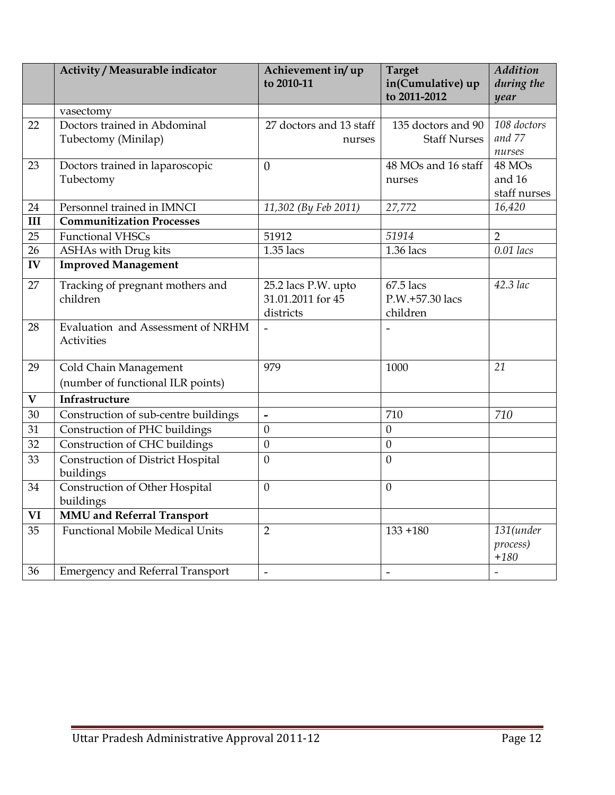|                         | Activity / Measurable indicator         | Achievement in/up        | <b>Target</b>       | <b>Addition</b> |
|-------------------------|-----------------------------------------|--------------------------|---------------------|-----------------|
|                         |                                         | to 2010-11               | in(Cumulative) up   | during the      |
|                         |                                         |                          | to 2011-2012        | year            |
|                         | vasectomy                               |                          |                     |                 |
| 22                      | Doctors trained in Abdominal            | 27 doctors and 13 staff  | 135 doctors and 90  | 108 doctors     |
|                         | Tubectomy (Minilap)                     | nurses                   | <b>Staff Nurses</b> | and 77          |
|                         |                                         |                          |                     | nurses          |
| 23                      | Doctors trained in laparoscopic         | $\theta$                 | 48 MOs and 16 staff | 48 MOs          |
|                         | Tubectomy                               |                          | nurses              | and 16          |
|                         |                                         |                          |                     | staff nurses    |
| 24                      | Personnel trained in IMNCI              | 11,302 (By Feb 2011)     | 27,772              | 16,420          |
| III                     | <b>Communitization Processes</b>        |                          |                     |                 |
| 25                      | <b>Functional VHSCs</b>                 | 51912                    | 51914               | $\overline{2}$  |
| 26                      | ASHAs with Drug kits                    | $1.35$ lacs              | 1.36 lacs           | $0.01$ lacs     |
| IV                      | <b>Improved Management</b>              |                          |                     |                 |
| 27                      | Tracking of pregnant mothers and        | 25.2 lacs P.W. upto      | 67.5 lacs           | 42.3 lac        |
|                         | children                                | 31.01.2011 for 45        | P.W.+57.30 lacs     |                 |
|                         |                                         | districts                | children            |                 |
| 28                      | Evaluation and Assessment of NRHM       |                          |                     |                 |
|                         | Activities                              |                          |                     |                 |
|                         |                                         |                          |                     |                 |
| 29                      | Cold Chain Management                   | 979                      | 1000                | 21              |
|                         | (number of functional ILR points)       |                          |                     |                 |
| $\overline{\mathbf{V}}$ | Infrastructure                          |                          |                     |                 |
| 30                      | Construction of sub-centre buildings    | $\overline{\phantom{a}}$ | 710                 | 710             |
| 31                      | Construction of PHC buildings           | $\mathbf{0}$             | $\mathbf{0}$        |                 |
| 32                      | Construction of CHC buildings           | $\mathbf{0}$             | $\mathbf{0}$        |                 |
| 33                      | Construction of District Hospital       | $\mathbf{0}$             | $\theta$            |                 |
|                         | buildings                               |                          |                     |                 |
| 34                      | Construction of Other Hospital          | $\mathbf{0}$             | $\mathbf{0}$        |                 |
|                         | buildings                               |                          |                     |                 |
| VI                      | <b>MMU</b> and Referral Transport       |                          |                     |                 |
| $\overline{35}$         | <b>Functional Mobile Medical Units</b>  | $\overline{2}$           | $133 + 180$         | 131(under       |
|                         |                                         |                          |                     | process)        |
|                         |                                         |                          |                     | $+180$          |
| 36                      | <b>Emergency and Referral Transport</b> | $\overline{\phantom{a}}$ | $\overline{a}$      |                 |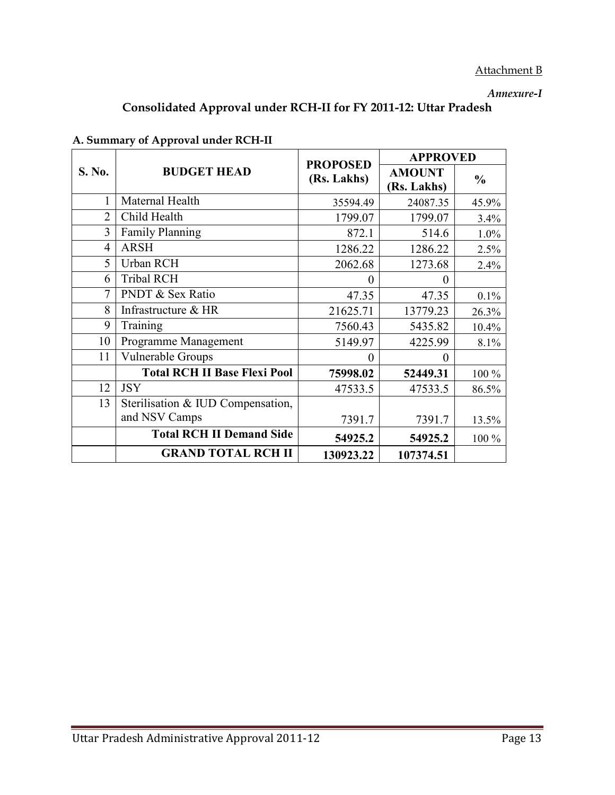# Attachment B

#### Annexure-I

# Consolidated Approval under RCH-II for FY 2011-12: Uttar Pradesh

|                |                                     | <b>PROPOSED</b> | <b>APPROVED</b>              |               |  |
|----------------|-------------------------------------|-----------------|------------------------------|---------------|--|
| S. No.         | <b>BUDGET HEAD</b>                  | (Rs. Lakhs)     | <b>AMOUNT</b><br>(Rs. Lakhs) | $\frac{0}{0}$ |  |
| 1              | Maternal Health                     | 35594.49        | 24087.35                     | 45.9%         |  |
| $\overline{2}$ | Child Health                        | 1799.07         | 1799.07                      | 3.4%          |  |
| 3              | <b>Family Planning</b>              | 872.1           | 514.6                        | 1.0%          |  |
| $\overline{4}$ | <b>ARSH</b>                         | 1286.22         | 1286.22                      | 2.5%          |  |
| 5              | Urban RCH                           | 2062.68         | 1273.68                      | 2.4%          |  |
| 6              | <b>Tribal RCH</b>                   | $\Omega$        | $\Omega$                     |               |  |
| $\overline{7}$ | PNDT & Sex Ratio                    | 47.35           | 47.35                        | $0.1\%$       |  |
| 8              | Infrastructure & HR                 | 21625.71        | 13779.23                     | 26.3%         |  |
| 9              | Training                            | 7560.43         | 5435.82                      | 10.4%         |  |
| 10             | Programme Management                | 5149.97         | 4225.99                      | 8.1%          |  |
| 11             | Vulnerable Groups                   | $\theta$        | $\Omega$                     |               |  |
|                | <b>Total RCH II Base Flexi Pool</b> | 75998.02        | 52449.31                     | 100 %         |  |
| 12             | <b>JSY</b>                          | 47533.5         | 47533.5                      | 86.5%         |  |
| 13             | Sterilisation & IUD Compensation,   |                 |                              |               |  |
|                | and NSV Camps                       | 7391.7          | 7391.7                       | 13.5%         |  |
|                | <b>Total RCH II Demand Side</b>     | 54925.2         | 54925.2                      | 100 %         |  |
|                | <b>GRAND TOTAL RCH II</b>           | 130923.22       | 107374.51                    |               |  |

# A. Summary of Approval under RCH-II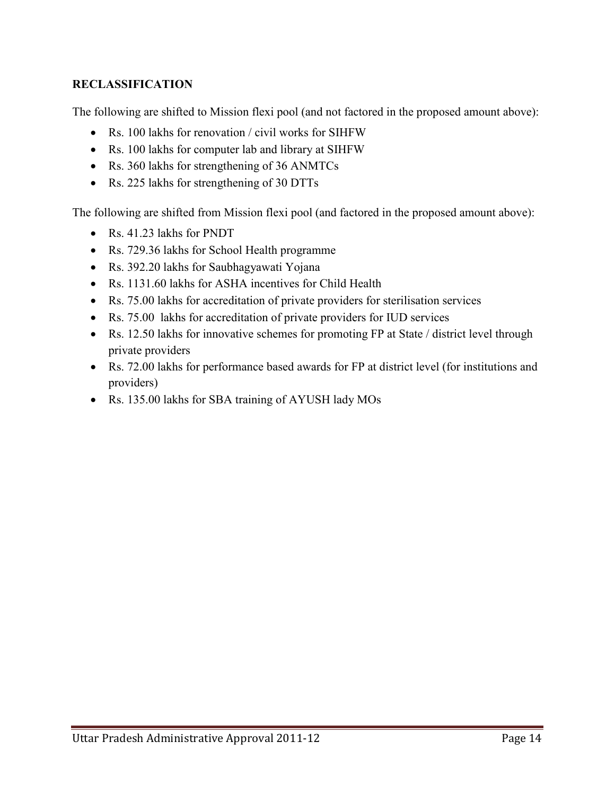# RECLASSIFICATION

The following are shifted to Mission flexi pool (and not factored in the proposed amount above):

- Rs. 100 lakhs for renovation / civil works for SIHFW
- Rs. 100 lakhs for computer lab and library at SIHFW
- Rs. 360 lakhs for strengthening of 36 ANMTCs
- Rs. 225 lakhs for strengthening of 30 DTTs

The following are shifted from Mission flexi pool (and factored in the proposed amount above):

- Rs. 41.23 lakhs for PNDT
- Rs. 729.36 lakhs for School Health programme
- Rs. 392.20 lakhs for Saubhagyawati Yojana
- Rs. 1131.60 lakhs for ASHA incentives for Child Health
- Rs. 75.00 lakhs for accreditation of private providers for sterilisation services
- Rs. 75.00 lakhs for accreditation of private providers for IUD services
- Rs. 12.50 lakhs for innovative schemes for promoting FP at State / district level through private providers
- Rs. 72.00 lakhs for performance based awards for FP at district level (for institutions and providers)
- Rs. 135.00 lakhs for SBA training of AYUSH lady MOs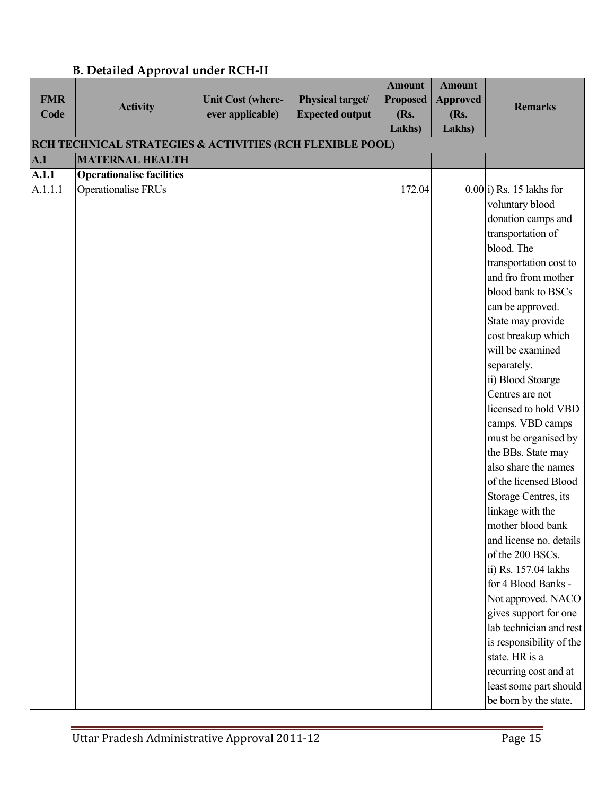|            |                                                           |                          |                        | <b>Amount</b>   | <b>Amount</b>   |                                                  |
|------------|-----------------------------------------------------------|--------------------------|------------------------|-----------------|-----------------|--------------------------------------------------|
| <b>FMR</b> | <b>Activity</b>                                           | <b>Unit Cost (where-</b> | Physical target/       | <b>Proposed</b> | <b>Approved</b> | <b>Remarks</b>                                   |
| Code       |                                                           | ever applicable)         | <b>Expected output</b> | (Rs.            | (Rs.            |                                                  |
|            |                                                           |                          |                        | Lakhs)          | Lakhs)          |                                                  |
|            | RCH TECHNICAL STRATEGIES & ACTIVITIES (RCH FLEXIBLE POOL) |                          |                        |                 |                 |                                                  |
| A.1        | <b>MATERNAL HEALTH</b>                                    |                          |                        |                 |                 |                                                  |
| A.1.1      | <b>Operationalise facilities</b>                          |                          |                        |                 |                 |                                                  |
| A.1.1.1    | <b>Operationalise FRUs</b>                                |                          |                        | 172.04          |                 | $0.00$ i) Rs. 15 lakhs for                       |
|            |                                                           |                          |                        |                 |                 | voluntary blood                                  |
|            |                                                           |                          |                        |                 |                 | donation camps and                               |
|            |                                                           |                          |                        |                 |                 | transportation of                                |
|            |                                                           |                          |                        |                 |                 | blood. The                                       |
|            |                                                           |                          |                        |                 |                 | transportation cost to                           |
|            |                                                           |                          |                        |                 |                 | and fro from mother                              |
|            |                                                           |                          |                        |                 |                 | blood bank to BSCs                               |
|            |                                                           |                          |                        |                 |                 | can be approved.                                 |
|            |                                                           |                          |                        |                 |                 | State may provide                                |
|            |                                                           |                          |                        |                 |                 | cost breakup which                               |
|            |                                                           |                          |                        |                 |                 | will be examined                                 |
|            |                                                           |                          |                        |                 |                 | separately.                                      |
|            |                                                           |                          |                        |                 |                 | ii) Blood Stoarge                                |
|            |                                                           |                          |                        |                 |                 | Centres are not                                  |
|            |                                                           |                          |                        |                 |                 | licensed to hold VBD                             |
|            |                                                           |                          |                        |                 |                 | camps. VBD camps                                 |
|            |                                                           |                          |                        |                 |                 | must be organised by                             |
|            |                                                           |                          |                        |                 |                 | the BBs. State may                               |
|            |                                                           |                          |                        |                 |                 | also share the names                             |
|            |                                                           |                          |                        |                 |                 | of the licensed Blood                            |
|            |                                                           |                          |                        |                 |                 | Storage Centres, its                             |
|            |                                                           |                          |                        |                 |                 | linkage with the                                 |
|            |                                                           |                          |                        |                 |                 | mother blood bank                                |
|            |                                                           |                          |                        |                 |                 | and license no. details                          |
|            |                                                           |                          |                        |                 |                 | of the 200 BSCs.                                 |
|            |                                                           |                          |                        |                 |                 | ii) Rs. 157.04 lakhs<br>for 4 Blood Banks -      |
|            |                                                           |                          |                        |                 |                 |                                                  |
|            |                                                           |                          |                        |                 |                 | Not approved. NACO                               |
|            |                                                           |                          |                        |                 |                 | gives support for one<br>lab technician and rest |
|            |                                                           |                          |                        |                 |                 |                                                  |
|            |                                                           |                          |                        |                 |                 | is responsibility of the<br>state. HR is a       |
|            |                                                           |                          |                        |                 |                 |                                                  |
|            |                                                           |                          |                        |                 |                 | recurring cost and at<br>least some part should  |
|            |                                                           |                          |                        |                 |                 |                                                  |
|            |                                                           |                          |                        |                 |                 | be born by the state.                            |

# B. Detailed Approval under RCH-II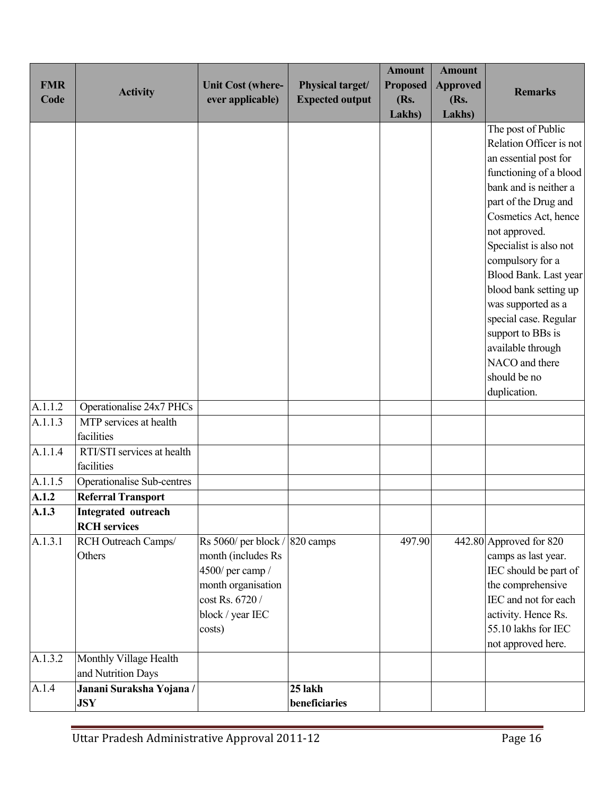| <b>FMR</b><br>Code | <b>Activity</b>                                   | <b>Unit Cost (where-</b><br>ever applicable)                                                                                         | Physical target/<br><b>Expected output</b> | <b>Amount</b><br><b>Proposed</b><br>(Rs. | <b>Amount</b><br><b>Approved</b><br>(Rs. | <b>Remarks</b>                                                                                                                                                                                                                                                                                                                                                                                        |
|--------------------|---------------------------------------------------|--------------------------------------------------------------------------------------------------------------------------------------|--------------------------------------------|------------------------------------------|------------------------------------------|-------------------------------------------------------------------------------------------------------------------------------------------------------------------------------------------------------------------------------------------------------------------------------------------------------------------------------------------------------------------------------------------------------|
|                    |                                                   |                                                                                                                                      |                                            | Lakhs)                                   | <b>Lakhs</b> )                           |                                                                                                                                                                                                                                                                                                                                                                                                       |
|                    |                                                   |                                                                                                                                      |                                            |                                          |                                          | The post of Public<br>Relation Officer is not<br>an essential post for<br>functioning of a blood<br>bank and is neither a<br>part of the Drug and<br>Cosmetics Act, hence<br>not approved.<br>Specialist is also not<br>compulsory for a<br>Blood Bank. Last year<br>blood bank setting up<br>was supported as a<br>special case. Regular<br>support to BBs is<br>available through<br>NACO and there |
|                    |                                                   |                                                                                                                                      |                                            |                                          |                                          | should be no<br>duplication.                                                                                                                                                                                                                                                                                                                                                                          |
| A.1.1.2            | Operationalise 24x7 PHCs                          |                                                                                                                                      |                                            |                                          |                                          |                                                                                                                                                                                                                                                                                                                                                                                                       |
| A.1.1.3            | MTP services at health<br>facilities              |                                                                                                                                      |                                            |                                          |                                          |                                                                                                                                                                                                                                                                                                                                                                                                       |
| A.1.1.4            | RTI/STI services at health<br>facilities          |                                                                                                                                      |                                            |                                          |                                          |                                                                                                                                                                                                                                                                                                                                                                                                       |
| A.1.1.5            | Operationalise Sub-centres                        |                                                                                                                                      |                                            |                                          |                                          |                                                                                                                                                                                                                                                                                                                                                                                                       |
| A.1.2              | <b>Referral Transport</b>                         |                                                                                                                                      |                                            |                                          |                                          |                                                                                                                                                                                                                                                                                                                                                                                                       |
| A.1.3              | <b>Integrated outreach</b><br><b>RCH</b> services |                                                                                                                                      |                                            |                                          |                                          |                                                                                                                                                                                                                                                                                                                                                                                                       |
| A.1.3.1            | RCH Outreach Camps/<br>Others                     | Rs 5060/ per block/<br>month (includes Rs<br>4500/ per camp /<br>month organisation<br>cost Rs. 6720 /<br>block / year IEC<br>costs) | 820 camps                                  | 497.90                                   |                                          | 442.80 Approved for 820<br>camps as last year.<br>IEC should be part of<br>the comprehensive<br>IEC and not for each<br>activity. Hence Rs.<br>55.10 lakhs for IEC<br>not approved here.                                                                                                                                                                                                              |
| A.1.3.2            | Monthly Village Health<br>and Nutrition Days      |                                                                                                                                      |                                            |                                          |                                          |                                                                                                                                                                                                                                                                                                                                                                                                       |
| A.1.4              | Janani Suraksha Yojana /<br><b>JSY</b>            |                                                                                                                                      | 25 lakh<br>beneficiaries                   |                                          |                                          |                                                                                                                                                                                                                                                                                                                                                                                                       |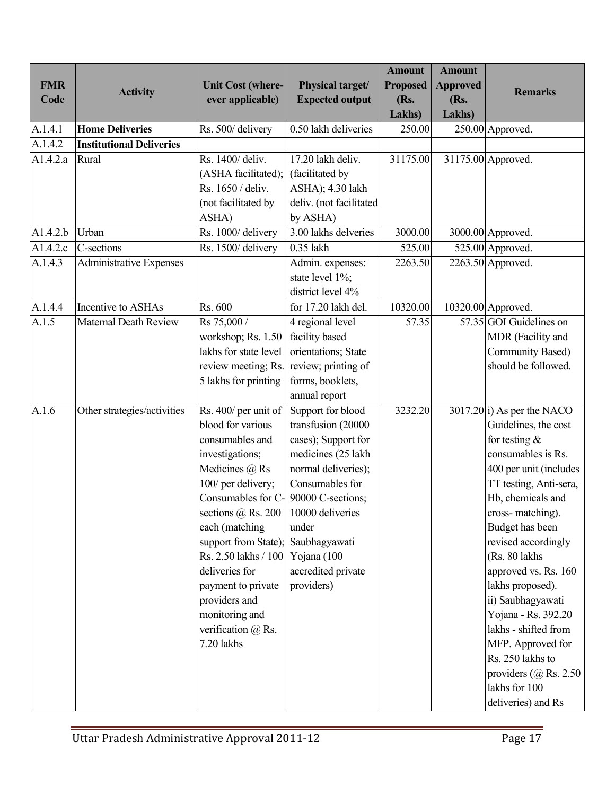| <b>FMR</b>  |                                 | <b>Unit Cost (where-</b>             | Physical target/                          | <b>Amount</b><br><b>Proposed</b> | <b>Amount</b><br><b>Approved</b> |                                                  |
|-------------|---------------------------------|--------------------------------------|-------------------------------------------|----------------------------------|----------------------------------|--------------------------------------------------|
| Code        | <b>Activity</b>                 | ever applicable)                     | <b>Expected output</b>                    | (Rs.                             | (Rs.                             | <b>Remarks</b>                                   |
|             |                                 |                                      |                                           | Lakhs)                           | Lakhs)                           |                                                  |
| A.1.4.1     | <b>Home Deliveries</b>          | Rs. 500/delivery                     | 0.50 lakh deliveries                      | 250.00                           |                                  | 250.00 Approved.                                 |
| A.1.4.2     | <b>Institutional Deliveries</b> |                                      |                                           |                                  |                                  |                                                  |
| A1.4.2.a    | Rural                           | Rs. 1400/ deliv.                     | 17.20 lakh deliv.                         | 31175.00                         |                                  | 31175.00 Approved.                               |
|             |                                 | (ASHA facilitated);                  | (facilitated by                           |                                  |                                  |                                                  |
|             |                                 | Rs. 1650 / deliv.                    | ASHA); 4.30 lakh                          |                                  |                                  |                                                  |
|             |                                 | (not facilitated by                  | deliv. (not facilitated                   |                                  |                                  |                                                  |
|             |                                 | ASHA)                                | by ASHA)                                  |                                  |                                  |                                                  |
| A1.4.2.b    | Urban                           | Rs. 1000/ delivery                   | 3.00 lakhs delveries                      | 3000.00                          |                                  | 3000.00 Approved.                                |
| A $1.4.2.c$ | C-sections                      | Rs. 1500/delivery                    | 0.35 lakh                                 | 525.00                           |                                  | 525.00 Approved.                                 |
| A.1.4.3     | <b>Administrative Expenses</b>  |                                      | Admin. expenses:                          | 2263.50                          |                                  | $2263.50$ Approved.                              |
|             |                                 |                                      | state level 1%;                           |                                  |                                  |                                                  |
|             |                                 |                                      | district level 4%                         |                                  |                                  |                                                  |
| A.1.4.4     | Incentive to ASHAs              | Rs. 600                              | for 17.20 lakh del.                       | 10320.00                         |                                  | 10320.00 Approved.                               |
| A.1.5       | <b>Maternal Death Review</b>    | Rs 75,000 /                          | 4 regional level                          | 57.35                            |                                  | 57.35 GOI Guidelines on                          |
|             |                                 | workshop; Rs. 1.50                   | facility based                            |                                  |                                  | MDR (Facility and                                |
|             |                                 | lakhs for state level                | orientations; State                       |                                  |                                  | Community Based)                                 |
|             |                                 | review meeting; Rs.                  | review; printing of                       |                                  |                                  | should be followed.                              |
|             |                                 | 5 lakhs for printing                 | forms, booklets,                          |                                  |                                  |                                                  |
|             |                                 |                                      | annual report                             |                                  |                                  |                                                  |
| A.1.6       | Other strategies/activities     | Rs. 400/ per unit of                 | Support for blood                         | 3232.20                          |                                  | $3017.20 i)$ As per the NACO                     |
|             |                                 | blood for various                    | transfusion (20000                        |                                  |                                  | Guidelines, the cost                             |
|             |                                 | consumables and                      | cases); Support for                       |                                  |                                  | for testing $\&$                                 |
|             |                                 | investigations;                      | medicines (25 lakh<br>normal deliveries); |                                  |                                  | consumables is Rs.                               |
|             |                                 | Medicines @ Rs<br>100/ per delivery; | Consumables for                           |                                  |                                  | 400 per unit (includes<br>TT testing, Anti-sera, |
|             |                                 | Consumables for C- 90000 C-sections; |                                           |                                  |                                  | Hb, chemicals and                                |
|             |                                 | sections $(a)$ Rs. 200               | 10000 deliveries                          |                                  |                                  | cross-matching).                                 |
|             |                                 | each (matching                       | under                                     |                                  |                                  | Budget has been                                  |
|             |                                 | support from State); Saubhagyawati   |                                           |                                  |                                  | revised accordingly                              |
|             |                                 | Rs. 2.50 lakhs / 100                 | Yojana (100                               |                                  |                                  | (Rs. 80 lakhs                                    |
|             |                                 | deliveries for                       | accredited private                        |                                  |                                  | approved vs. Rs. 160                             |
|             |                                 | payment to private                   | providers)                                |                                  |                                  | lakhs proposed).                                 |
|             |                                 | providers and                        |                                           |                                  |                                  | ii) Saubhagyawati                                |
|             |                                 | monitoring and                       |                                           |                                  |                                  | Yojana - Rs. 392.20                              |
|             |                                 | verification $(a)$ Rs.               |                                           |                                  |                                  | lakhs - shifted from                             |
|             |                                 | 7.20 lakhs                           |                                           |                                  |                                  | MFP. Approved for                                |
|             |                                 |                                      |                                           |                                  |                                  | Rs. 250 lakhs to                                 |
|             |                                 |                                      |                                           |                                  |                                  | providers $(a)$ Rs. 2.50                         |
|             |                                 |                                      |                                           |                                  |                                  | lakhs for 100                                    |
|             |                                 |                                      |                                           |                                  |                                  | deliveries) and Rs                               |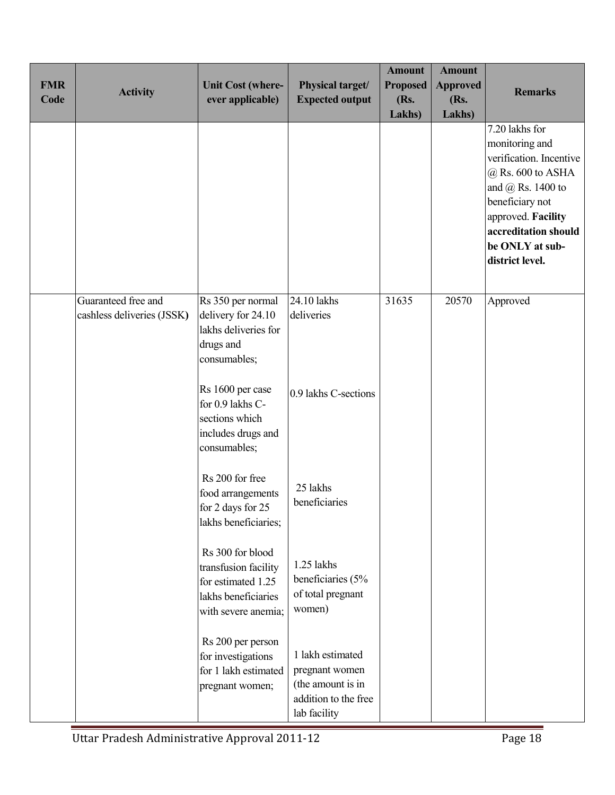| <b>FMR</b><br>Code | <b>Activity</b>                                   | <b>Unit Cost (where-</b><br>ever applicable)                                                                 | Physical target/<br><b>Expected output</b>                                                      | <b>Amount</b><br><b>Proposed</b><br>(Rs.<br>Lakhs) | <b>Amount</b><br><b>Approved</b><br>(Rs.<br>Lakhs) | <b>Remarks</b>                                                                                                                                                                                                          |
|--------------------|---------------------------------------------------|--------------------------------------------------------------------------------------------------------------|-------------------------------------------------------------------------------------------------|----------------------------------------------------|----------------------------------------------------|-------------------------------------------------------------------------------------------------------------------------------------------------------------------------------------------------------------------------|
|                    |                                                   |                                                                                                              |                                                                                                 |                                                    |                                                    | $7.20$ lakhs for<br>monitoring and<br>verification. Incentive<br>$@$ Rs. 600 to ASHA<br>and $\omega$ Rs. 1400 to<br>beneficiary not<br>approved. Facility<br>accreditation should<br>be ONLY at sub-<br>district level. |
|                    | Guaranteed free and<br>cashless deliveries (JSSK) | Rs 350 per normal<br>delivery for 24.10<br>lakhs deliveries for<br>drugs and<br>consumables;                 | 24.10 lakhs<br>deliveries                                                                       | 31635                                              | 20570                                              | Approved                                                                                                                                                                                                                |
|                    |                                                   | Rs 1600 per case<br>for 0.9 lakhs C-<br>sections which<br>includes drugs and<br>consumables;                 | 0.9 lakhs C-sections                                                                            |                                                    |                                                    |                                                                                                                                                                                                                         |
|                    |                                                   | Rs 200 for free<br>food arrangements<br>for 2 days for 25<br>lakhs beneficiaries;                            | 25 lakhs<br>beneficiaries                                                                       |                                                    |                                                    |                                                                                                                                                                                                                         |
|                    |                                                   | Rs 300 for blood<br>transfusion facility<br>for estimated 1.25<br>lakhs beneficiaries<br>with severe anemia; | 1.25 lakhs<br>beneficiaries (5%<br>of total pregnant<br>women)                                  |                                                    |                                                    |                                                                                                                                                                                                                         |
|                    |                                                   | Rs 200 per person<br>for investigations<br>for 1 lakh estimated<br>pregnant women;                           | 1 lakh estimated<br>pregnant women<br>(the amount is in<br>addition to the free<br>lab facility |                                                    |                                                    |                                                                                                                                                                                                                         |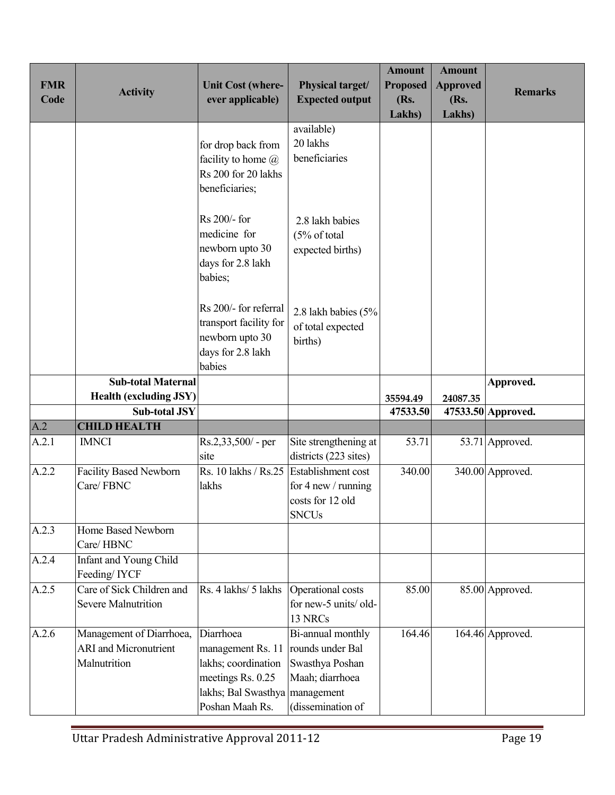| <b>FMR</b><br>Code | <b>Activity</b>                                                          | <b>Unit Cost (where-</b><br>ever applicable)                                                                                      | Physical target/<br><b>Expected output</b>                                                       | <b>Amount</b><br><b>Proposed</b><br>(Rs.<br>Lakhs) | <b>Amount</b><br><b>Approved</b><br>(Rs.<br>Lakhs) | <b>Remarks</b>               |
|--------------------|--------------------------------------------------------------------------|-----------------------------------------------------------------------------------------------------------------------------------|--------------------------------------------------------------------------------------------------|----------------------------------------------------|----------------------------------------------------|------------------------------|
|                    |                                                                          | for drop back from<br>facility to home $(a)$<br>Rs 200 for 20 lakhs<br>beneficiaries;                                             | available)<br>20 lakhs<br>beneficiaries                                                          |                                                    |                                                    |                              |
|                    |                                                                          | Rs 200/- for<br>medicine for<br>newborn upto 30<br>days for 2.8 lakh<br>babies;                                                   | 2.8 lakh babies<br>(5% of total<br>expected births)                                              |                                                    |                                                    |                              |
|                    |                                                                          | Rs 200/- for referral<br>transport facility for<br>newborn upto 30<br>days for 2.8 lakh<br>babies                                 | 2.8 lakh babies (5%<br>of total expected<br>births)                                              |                                                    |                                                    |                              |
|                    | <b>Sub-total Maternal</b>                                                |                                                                                                                                   |                                                                                                  |                                                    |                                                    | Approved.                    |
|                    | <b>Health (excluding JSY)</b>                                            |                                                                                                                                   |                                                                                                  | 35594.49                                           | 24087.35                                           |                              |
| A.2                | <b>Sub-total JSY</b><br><b>CHILD HEALTH</b>                              |                                                                                                                                   |                                                                                                  | 47533.50                                           |                                                    | 47533.50 Approved.           |
| A.2.1              | <b>IMNCI</b>                                                             | $Rs.2,33,500$ - per                                                                                                               | Site strengthening at                                                                            | 53.71                                              |                                                    | $\overline{53.71}$ Approved. |
|                    |                                                                          | site                                                                                                                              | districts (223 sites)                                                                            |                                                    |                                                    |                              |
| A.2.2              | <b>Facility Based Newborn</b>                                            | Rs. 10 lakhs / Rs.25 Establishment cost                                                                                           |                                                                                                  | 340.00                                             |                                                    | 340.00 Approved.             |
|                    | Care/FBNC                                                                | lakhs                                                                                                                             | for 4 new / running<br>costs for 12 old<br><b>SNCUs</b>                                          |                                                    |                                                    |                              |
| A.2.3              | Home Based Newborn<br>Care/HBNC                                          |                                                                                                                                   |                                                                                                  |                                                    |                                                    |                              |
| A.2.4              | Infant and Young Child<br>Feeding/IYCF                                   |                                                                                                                                   |                                                                                                  |                                                    |                                                    |                              |
| A.2.5              | Care of Sick Children and<br><b>Severe Malnutrition</b>                  | Rs. 4 lakhs/ 5 lakhs                                                                                                              | Operational costs<br>for new-5 units/old-<br>13 NRCs                                             | 85.00                                              |                                                    | 85.00 Approved.              |
| A.2.6              | Management of Diarrhoea,<br><b>ARI</b> and Micronutrient<br>Malnutrition | Diarrhoea<br>management Rs. 11<br>lakhs; coordination<br>meetings Rs. 0.25<br>lakhs; Bal Swasthya   management<br>Poshan Maah Rs. | Bi-annual monthly<br>rounds under Bal<br>Swasthya Poshan<br>Maah; diarrhoea<br>(dissemination of | 164.46                                             |                                                    | 164.46 Approved.             |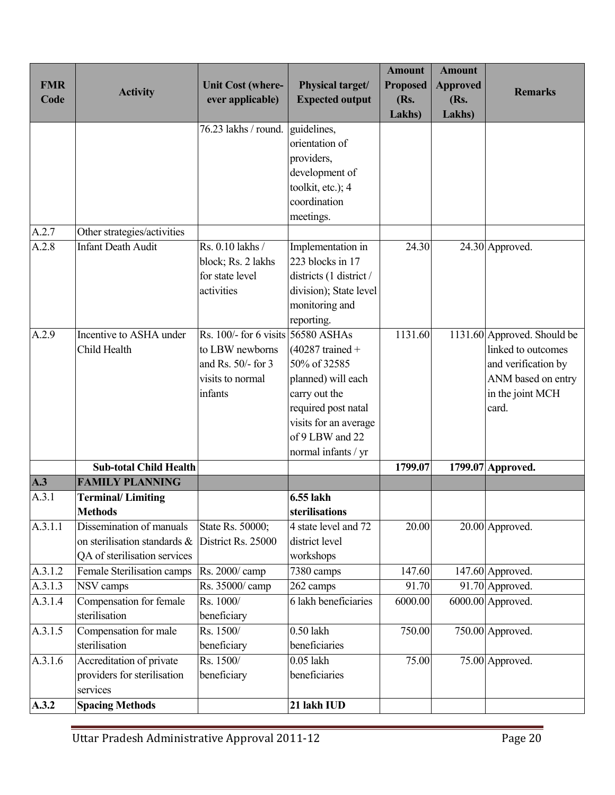| <b>FMR</b><br>Code | <b>Activity</b>                                                                          | <b>Unit Cost (where-</b><br>ever applicable)                                                                   | Physical target/<br><b>Expected output</b>                                                                                                                          | <b>Amount</b><br><b>Proposed</b><br>(Rs.<br>Lakhs) | <b>Amount</b><br><b>Approved</b><br>(Rs.<br>Lakhs) | <b>Remarks</b>                                                                                                              |
|--------------------|------------------------------------------------------------------------------------------|----------------------------------------------------------------------------------------------------------------|---------------------------------------------------------------------------------------------------------------------------------------------------------------------|----------------------------------------------------|----------------------------------------------------|-----------------------------------------------------------------------------------------------------------------------------|
|                    |                                                                                          | 76.23 lakhs / round.                                                                                           | guidelines,<br>orientation of<br>providers,<br>development of<br>toolkit, etc.); 4<br>coordination<br>meetings.                                                     |                                                    |                                                    |                                                                                                                             |
| A.2.7              | Other strategies/activities                                                              |                                                                                                                |                                                                                                                                                                     |                                                    |                                                    |                                                                                                                             |
| A.2.8              | <b>Infant Death Audit</b>                                                                | Rs. 0.10 lakhs /<br>block; Rs. 2 lakhs<br>for state level<br>activities                                        | Implementation in<br>223 blocks in 17<br>districts (1 district /<br>division); State level<br>monitoring and<br>reporting.                                          | 24.30                                              |                                                    | 24.30 Approved.                                                                                                             |
| A.2.9              | Incentive to ASHA under<br>Child Health                                                  | Rs. $100/-$ for 6 visits 56580 ASHAs<br>to LBW newborns<br>and Rs. $50/-$ for 3<br>visits to normal<br>infants | $(40287$ trained +<br>50% of 32585<br>planned) will each<br>carry out the<br>required post natal<br>visits for an average<br>of 9 LBW and 22<br>normal infants / yr | 1131.60                                            |                                                    | 1131.60 Approved. Should be<br>linked to outcomes<br>and verification by<br>ANM based on entry<br>in the joint MCH<br>card. |
|                    | <b>Sub-total Child Health</b>                                                            |                                                                                                                |                                                                                                                                                                     | 1799.07                                            |                                                    | 1799.07 Approved.                                                                                                           |
| A.3                | <b>FAMILY PLANNING</b>                                                                   |                                                                                                                |                                                                                                                                                                     |                                                    |                                                    |                                                                                                                             |
| A.3.1              | <b>Terminal/Limiting</b><br>Methods                                                      |                                                                                                                | 6.55 lakh<br>sterilisations                                                                                                                                         |                                                    |                                                    |                                                                                                                             |
| A.3.1.1            | Dissemination of manuals<br>on sterilisation standards &<br>QA of sterilisation services | State Rs. 50000;<br>District Rs. 25000                                                                         | 4 state level and 72<br>district level<br>workshops                                                                                                                 | 20.00                                              |                                                    | 20.00 Approved.                                                                                                             |
| A.3.1.2            | Female Sterilisation camps                                                               | Rs. 2000/ camp                                                                                                 | 7380 camps                                                                                                                                                          | 147.60                                             |                                                    | 147.60 Approved.                                                                                                            |
| A.3.1.3            | NSV camps                                                                                | Rs. 35000/ camp                                                                                                | 262 camps                                                                                                                                                           | 91.70                                              |                                                    | 91.70 Approved.                                                                                                             |
| A.3.1.4            | Compensation for female<br>sterilisation                                                 | Rs. 1000/<br>beneficiary                                                                                       | 6 lakh beneficiaries                                                                                                                                                | 6000.00                                            |                                                    | 6000.00 Approved.                                                                                                           |
| A.3.1.5            | Compensation for male<br>sterilisation                                                   | Rs. 1500/<br>beneficiary                                                                                       | 0.50 lakh<br>beneficiaries                                                                                                                                          | 750.00                                             |                                                    | 750.00 Approved.                                                                                                            |
| A.3.1.6            | Accreditation of private<br>providers for sterilisation<br>services                      | Rs. 1500/<br>beneficiary                                                                                       | $0.05$ lakh<br>beneficiaries                                                                                                                                        | 75.00                                              |                                                    | 75.00 Approved.                                                                                                             |
| A.3.2              | <b>Spacing Methods</b>                                                                   |                                                                                                                | 21 lakh IUD                                                                                                                                                         |                                                    |                                                    |                                                                                                                             |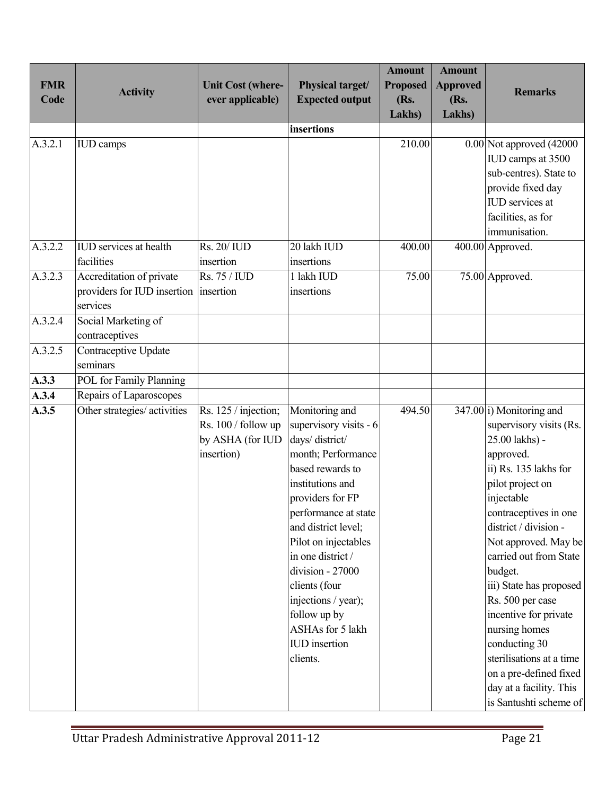| <b>FMR</b><br>Code | <b>Activity</b>                                                     | <b>Unit Cost (where-</b><br>ever applicable)                                  | Physical target/<br><b>Expected output</b>                                                                                                                                                                                                                                                                                                                                   | <b>Amount</b><br><b>Proposed</b><br>(Rs.<br>Lakhs) | <b>Amount</b><br><b>Approved</b><br>(Rs.<br>Lakhs) | <b>Remarks</b>                                                                                                                                                                                                                                                                                                                                                                                                                                                                    |
|--------------------|---------------------------------------------------------------------|-------------------------------------------------------------------------------|------------------------------------------------------------------------------------------------------------------------------------------------------------------------------------------------------------------------------------------------------------------------------------------------------------------------------------------------------------------------------|----------------------------------------------------|----------------------------------------------------|-----------------------------------------------------------------------------------------------------------------------------------------------------------------------------------------------------------------------------------------------------------------------------------------------------------------------------------------------------------------------------------------------------------------------------------------------------------------------------------|
|                    |                                                                     |                                                                               | insertions                                                                                                                                                                                                                                                                                                                                                                   |                                                    |                                                    |                                                                                                                                                                                                                                                                                                                                                                                                                                                                                   |
| A.3.2.1            | <b>IUD</b> camps                                                    |                                                                               |                                                                                                                                                                                                                                                                                                                                                                              | 210.00                                             |                                                    | 0.00 Not approved (42000<br>IUD camps at 3500<br>sub-centres). State to<br>provide fixed day<br><b>IUD</b> services at<br>facilities, as for<br>immunisation.                                                                                                                                                                                                                                                                                                                     |
| A.3.2.2            | <b>IUD</b> services at health                                       | <b>Rs. 20/ IUD</b>                                                            | 20 lakh IUD                                                                                                                                                                                                                                                                                                                                                                  | 400.00                                             |                                                    | 400.00 Approved.                                                                                                                                                                                                                                                                                                                                                                                                                                                                  |
|                    | facilities                                                          | insertion                                                                     | insertions                                                                                                                                                                                                                                                                                                                                                                   |                                                    |                                                    |                                                                                                                                                                                                                                                                                                                                                                                                                                                                                   |
| A.3.2.3            | Accreditation of private<br>providers for IUD insertion<br>services | Rs. 75 / IUD<br>insertion                                                     | 1 lakh IUD<br>insertions                                                                                                                                                                                                                                                                                                                                                     | 75.00                                              |                                                    | 75.00 Approved.                                                                                                                                                                                                                                                                                                                                                                                                                                                                   |
| A.3.2.4            | Social Marketing of<br>contraceptives                               |                                                                               |                                                                                                                                                                                                                                                                                                                                                                              |                                                    |                                                    |                                                                                                                                                                                                                                                                                                                                                                                                                                                                                   |
| A.3.2.5            | <b>Contraceptive Update</b><br>seminars                             |                                                                               |                                                                                                                                                                                                                                                                                                                                                                              |                                                    |                                                    |                                                                                                                                                                                                                                                                                                                                                                                                                                                                                   |
| A.3.3              | POL for Family Planning                                             |                                                                               |                                                                                                                                                                                                                                                                                                                                                                              |                                                    |                                                    |                                                                                                                                                                                                                                                                                                                                                                                                                                                                                   |
| A.3.4              | Repairs of Laparoscopes                                             |                                                                               |                                                                                                                                                                                                                                                                                                                                                                              |                                                    |                                                    |                                                                                                                                                                                                                                                                                                                                                                                                                                                                                   |
| A.3.5              | Other strategies/ activities                                        | Rs. 125 / injection;<br>Rs. 100 / follow up<br>by ASHA (for IUD<br>insertion) | Monitoring and<br>supervisory visits - 6<br>days/district/<br>month; Performance<br>based rewards to<br>institutions and<br>providers for FP<br>performance at state<br>and district level;<br>Pilot on injectables<br>in one district /<br>division - 27000<br>clients (four<br>injections / year);<br>follow up by<br>ASHAs for 5 lakh<br><b>IUD</b> insertion<br>clients. | 494.50                                             |                                                    | 347.00 i) Monitoring and<br>supervisory visits (Rs.<br>25.00 lakhs) -<br>approved.<br>ii) Rs. 135 lakhs for<br>pilot project on<br>injectable<br>contraceptives in one<br>district / division -<br>Not approved. May be<br>carried out from State<br>budget.<br>iii) State has proposed<br>Rs. 500 per case<br>incentive for private<br>nursing homes<br>conducting 30<br>sterilisations at a time<br>on a pre-defined fixed<br>day at a facility. This<br>is Santushti scheme of |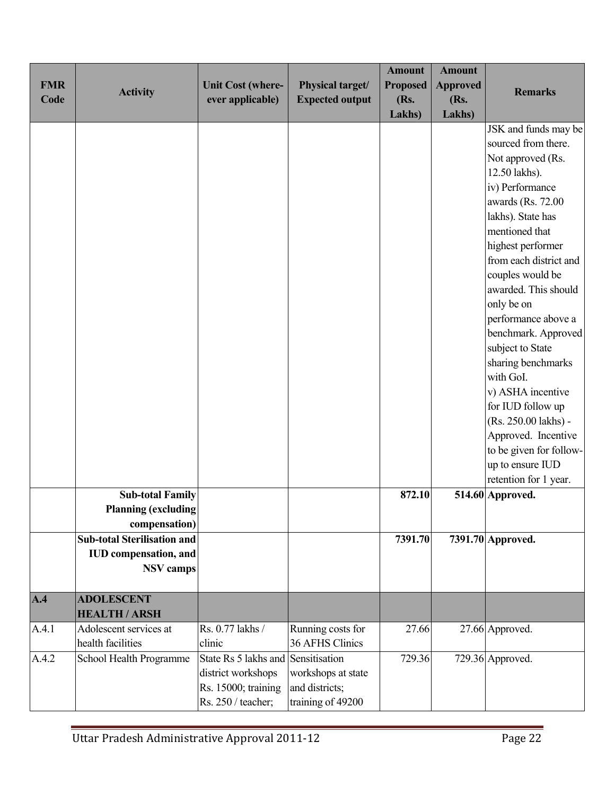| <b>FMR</b> |                                    | <b>Unit Cost (where-</b>           | Physical target/       | <b>Amount</b><br><b>Proposed</b> | <b>Amount</b><br><b>Approved</b> |                                           |
|------------|------------------------------------|------------------------------------|------------------------|----------------------------------|----------------------------------|-------------------------------------------|
| Code       | <b>Activity</b>                    | ever applicable)                   | <b>Expected output</b> | (Rs.                             | (Rs.                             | <b>Remarks</b>                            |
|            |                                    |                                    |                        | Lakhs)                           | Lakhs)                           |                                           |
|            |                                    |                                    |                        |                                  |                                  | JSK and funds may be                      |
|            |                                    |                                    |                        |                                  |                                  | sourced from there.                       |
|            |                                    |                                    |                        |                                  |                                  | Not approved (Rs.                         |
|            |                                    |                                    |                        |                                  |                                  | 12.50 lakhs).                             |
|            |                                    |                                    |                        |                                  |                                  | iv) Performance                           |
|            |                                    |                                    |                        |                                  |                                  | awards (Rs. 72.00)                        |
|            |                                    |                                    |                        |                                  |                                  | lakhs). State has                         |
|            |                                    |                                    |                        |                                  |                                  | mentioned that                            |
|            |                                    |                                    |                        |                                  |                                  | highest performer                         |
|            |                                    |                                    |                        |                                  |                                  | from each district and                    |
|            |                                    |                                    |                        |                                  |                                  | couples would be                          |
|            |                                    |                                    |                        |                                  |                                  | awarded. This should                      |
|            |                                    |                                    |                        |                                  |                                  | only be on                                |
|            |                                    |                                    |                        |                                  |                                  | performance above a                       |
|            |                                    |                                    |                        |                                  |                                  | benchmark. Approved                       |
|            |                                    |                                    |                        |                                  |                                  | subject to State                          |
|            |                                    |                                    |                        |                                  |                                  | sharing benchmarks                        |
|            |                                    |                                    |                        |                                  |                                  | with GoI.                                 |
|            |                                    |                                    |                        |                                  |                                  | v) ASHA incentive                         |
|            |                                    |                                    |                        |                                  |                                  | for IUD follow up                         |
|            |                                    |                                    |                        |                                  |                                  | (Rs. 250.00 lakhs) -                      |
|            |                                    |                                    |                        |                                  |                                  | Approved. Incentive                       |
|            |                                    |                                    |                        |                                  |                                  | to be given for follow-                   |
|            |                                    |                                    |                        |                                  |                                  | up to ensure IUD<br>retention for 1 year. |
|            | <b>Sub-total Family</b>            |                                    |                        | 872.10                           |                                  | 514.60 Approved.                          |
|            | <b>Planning (excluding</b>         |                                    |                        |                                  |                                  |                                           |
|            | compensation)                      |                                    |                        |                                  |                                  |                                           |
|            | <b>Sub-total Sterilisation and</b> |                                    |                        | 7391.70                          |                                  | 7391.70 Approved.                         |
|            | IUD compensation, and              |                                    |                        |                                  |                                  |                                           |
|            | <b>NSV</b> camps                   |                                    |                        |                                  |                                  |                                           |
|            |                                    |                                    |                        |                                  |                                  |                                           |
| A.4        | <b>ADOLESCENT</b>                  |                                    |                        |                                  |                                  |                                           |
|            | <b>HEALTH / ARSH</b>               |                                    |                        |                                  |                                  |                                           |
| A.4.1      | Adolescent services at             | Rs. 0.77 lakhs /                   | Running costs for      | 27.66                            |                                  | 27.66 Approved.                           |
|            | health facilities                  | clinic                             | 36 AFHS Clinics        |                                  |                                  |                                           |
| A.4.2      | School Health Programme            | State Rs 5 lakhs and Sensitisation |                        | 729.36                           |                                  | 729.36 Approved.                          |
|            |                                    | district workshops                 | workshops at state     |                                  |                                  |                                           |
|            |                                    | Rs. 15000; training                | and districts;         |                                  |                                  |                                           |
|            |                                    | Rs. 250 / teacher;                 | training of 49200      |                                  |                                  |                                           |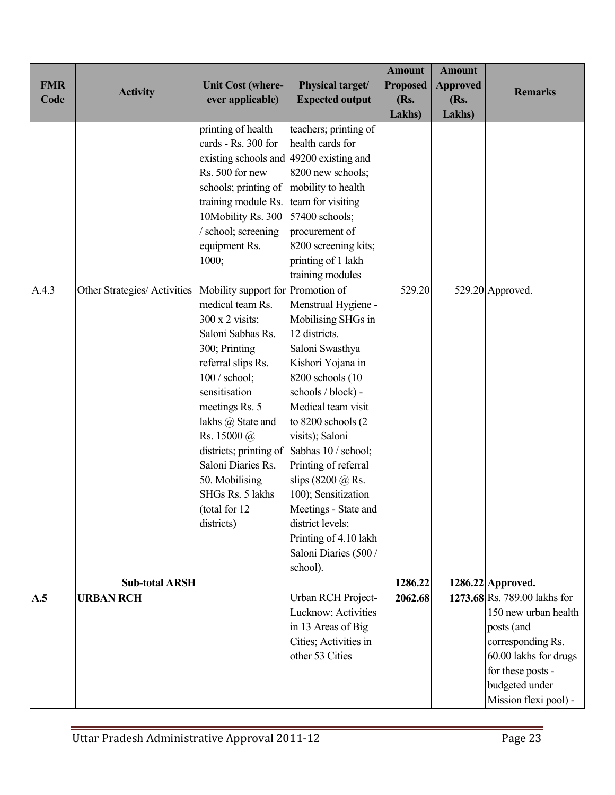| <b>FMR</b><br>Code | <b>Activity</b>              | <b>Unit Cost (where-</b><br>ever applicable)                                                                                                                                                                                                                                                                                                                                                                                                                                                                                                         | Physical target/<br><b>Expected output</b>                                                                                                                                                                                                                                                                                                                                                                                                                                  | <b>Amount</b><br><b>Proposed</b><br>(Rs.<br><b>Lakhs</b> ) | <b>Amount</b><br><b>Approved</b><br>(Rs.<br>Lakhs) | <b>Remarks</b>                                                                                                                                                                   |
|--------------------|------------------------------|------------------------------------------------------------------------------------------------------------------------------------------------------------------------------------------------------------------------------------------------------------------------------------------------------------------------------------------------------------------------------------------------------------------------------------------------------------------------------------------------------------------------------------------------------|-----------------------------------------------------------------------------------------------------------------------------------------------------------------------------------------------------------------------------------------------------------------------------------------------------------------------------------------------------------------------------------------------------------------------------------------------------------------------------|------------------------------------------------------------|----------------------------------------------------|----------------------------------------------------------------------------------------------------------------------------------------------------------------------------------|
| A.4.3              | Other Strategies/ Activities | printing of health<br>cards - Rs. 300 for<br>existing schools and 49200 existing and<br>Rs. 500 for new<br>schools; printing of<br>training module Rs.<br>10Mobility Rs. 300<br>/ school; screening<br>equipment Rs.<br>1000;<br>Mobility support for Promotion of<br>medical team Rs.<br>300 x 2 visits;<br>Saloni Sabhas Rs.<br>300; Printing<br>referral slips Rs.<br>$100/$ school;<br>sensitisation<br>meetings Rs. 5<br>lakhs @ State and<br>Rs. 15000 @<br>districts; printing of Sabhas 10 / school;<br>Saloni Diaries Rs.<br>50. Mobilising | teachers; printing of<br>health cards for<br>8200 new schools;<br>mobility to health<br>team for visiting<br>57400 schools;<br>procurement of<br>8200 screening kits;<br>printing of 1 lakh<br>training modules<br>Menstrual Hygiene -<br>Mobilising SHGs in<br>12 districts.<br>Saloni Swasthya<br>Kishori Yojana in<br>8200 schools (10<br>schools / block) -<br>Medical team visit<br>to 8200 schools (2<br>visits); Saloni<br>Printing of referral<br>slips (8200 @ Rs. | 529.20                                                     |                                                    | 529.20 Approved.                                                                                                                                                                 |
|                    |                              | SHGs Rs. 5 lakhs<br>(total for 12)<br>districts)                                                                                                                                                                                                                                                                                                                                                                                                                                                                                                     | 100); Sensitization<br>Meetings - State and<br>district levels;<br>Printing of 4.10 lakh<br>Saloni Diaries (500<br>school).                                                                                                                                                                                                                                                                                                                                                 |                                                            |                                                    |                                                                                                                                                                                  |
|                    | <b>Sub-total ARSH</b>        |                                                                                                                                                                                                                                                                                                                                                                                                                                                                                                                                                      |                                                                                                                                                                                                                                                                                                                                                                                                                                                                             | 1286.22                                                    |                                                    | 1286.22 Approved.                                                                                                                                                                |
| A.5                | <b>URBAN RCH</b>             |                                                                                                                                                                                                                                                                                                                                                                                                                                                                                                                                                      | Urban RCH Project-<br>Lucknow; Activities<br>in 13 Areas of Big<br>Cities; Activities in<br>other 53 Cities                                                                                                                                                                                                                                                                                                                                                                 | 2062.68                                                    |                                                    | 1273.68 Rs. 789.00 lakhs for<br>150 new urban health<br>posts (and<br>corresponding Rs.<br>60.00 lakhs for drugs<br>for these posts -<br>budgeted under<br>Mission flexi pool) - |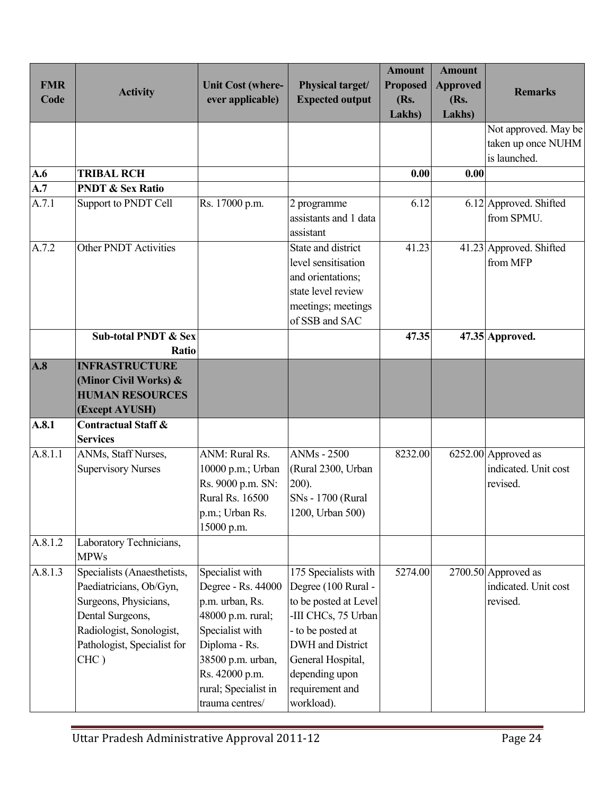| <b>FMR</b><br>Code | <b>Activity</b>                                                                                                                                                        | <b>Unit Cost (where-</b><br>ever applicable)                                                                                                                                                        | Physical target/<br><b>Expected output</b>                                                                                                                                                                   | <b>Amount</b><br><b>Proposed</b><br>(Rs.<br>Lakhs) | <b>Amount</b><br><b>Approved</b><br>(Rs.<br><b>Lakhs</b> ) | <b>Remarks</b>                                             |
|--------------------|------------------------------------------------------------------------------------------------------------------------------------------------------------------------|-----------------------------------------------------------------------------------------------------------------------------------------------------------------------------------------------------|--------------------------------------------------------------------------------------------------------------------------------------------------------------------------------------------------------------|----------------------------------------------------|------------------------------------------------------------|------------------------------------------------------------|
|                    |                                                                                                                                                                        |                                                                                                                                                                                                     |                                                                                                                                                                                                              |                                                    |                                                            | Not approved. May be<br>taken up once NUHM<br>is launched. |
| A.6                | <b>TRIBAL RCH</b>                                                                                                                                                      |                                                                                                                                                                                                     |                                                                                                                                                                                                              | 0.00                                               | 0.00                                                       |                                                            |
| A.7                | <b>PNDT &amp; Sex Ratio</b>                                                                                                                                            |                                                                                                                                                                                                     |                                                                                                                                                                                                              |                                                    |                                                            |                                                            |
| A.7.1              | Support to PNDT Cell                                                                                                                                                   | Rs. 17000 p.m.                                                                                                                                                                                      | 2 programme<br>assistants and 1 data<br>assistant                                                                                                                                                            | 6.12                                               |                                                            | 6.12 Approved. Shifted<br>from SPMU.                       |
| A.7.2              | <b>Other PNDT Activities</b>                                                                                                                                           |                                                                                                                                                                                                     | State and district<br>level sensitisation<br>and orientations;<br>state level review<br>meetings; meetings<br>of SSB and SAC                                                                                 | 41.23                                              |                                                            | 41.23 Approved. Shifted<br>from MFP                        |
|                    | <b>Sub-total PNDT &amp; Sex</b><br>Ratio                                                                                                                               |                                                                                                                                                                                                     |                                                                                                                                                                                                              | 47.35                                              |                                                            | 47.35 Approved.                                            |
| A.8                | <b>INFRASTRUCTURE</b><br>(Minor Civil Works) &<br><b>HUMAN RESOURCES</b><br>(Except AYUSH)                                                                             |                                                                                                                                                                                                     |                                                                                                                                                                                                              |                                                    |                                                            |                                                            |
| A.8.1              | <b>Contractual Staff &amp;</b><br><b>Services</b>                                                                                                                      |                                                                                                                                                                                                     |                                                                                                                                                                                                              |                                                    |                                                            |                                                            |
| A.8.1.1            | ANMs, Staff Nurses,<br><b>Supervisory Nurses</b>                                                                                                                       | ANM: Rural Rs.<br>10000 p.m.; Urban<br>Rs. 9000 p.m. SN:<br>Rural Rs. 16500<br>p.m.; Urban Rs.<br>15000 p.m.                                                                                        | <b>ANMs</b> - 2500<br>(Rural 2300, Urban<br>$200$ ).<br>SNs - 1700 (Rural<br>1200, Urban 500)                                                                                                                | 8232.00                                            |                                                            | 6252.00 Approved as<br>indicated. Unit cost<br>revised.    |
| A.8.1.2            | Laboratory Technicians,<br><b>MPWs</b>                                                                                                                                 |                                                                                                                                                                                                     |                                                                                                                                                                                                              |                                                    |                                                            |                                                            |
| A.8.1.3            | Specialists (Anaesthetists,<br>Paediatricians, Ob/Gyn,<br>Surgeons, Physicians,<br>Dental Surgeons,<br>Radiologist, Sonologist,<br>Pathologist, Specialist for<br>CHC) | Specialist with<br>Degree - Rs. 44000<br>p.m. urban, Rs.<br>48000 p.m. rural;<br>Specialist with<br>Diploma - Rs.<br>38500 p.m. urban,<br>Rs. 42000 p.m.<br>rural; Specialist in<br>trauma centres/ | 175 Specialists with<br>Degree (100 Rural -<br>to be posted at Level<br>-III CHCs, 75 Urban<br>- to be posted at<br>DWH and District<br>General Hospital,<br>depending upon<br>requirement and<br>workload). | 5274.00                                            |                                                            | 2700.50 Approved as<br>indicated. Unit cost<br>revised.    |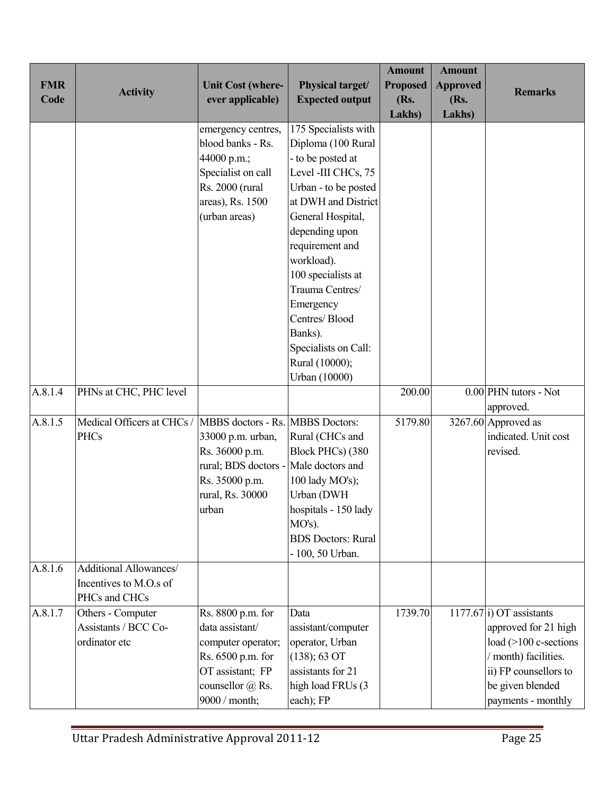| <b>FMR</b><br>Code | <b>Activity</b>                                                   | <b>Unit Cost (where-</b><br>ever applicable)                                                                                                 | Physical target/<br><b>Expected output</b>                                                                                                                                                                                                                                                                                                                 | <b>Amount</b><br><b>Proposed</b><br>(Rs.<br>Lakhs) | <b>Amount</b><br><b>Approved</b><br>(Rs.<br>Lakhs) | <b>Remarks</b>                                                                                                                                                       |
|--------------------|-------------------------------------------------------------------|----------------------------------------------------------------------------------------------------------------------------------------------|------------------------------------------------------------------------------------------------------------------------------------------------------------------------------------------------------------------------------------------------------------------------------------------------------------------------------------------------------------|----------------------------------------------------|----------------------------------------------------|----------------------------------------------------------------------------------------------------------------------------------------------------------------------|
|                    |                                                                   | emergency centres,<br>blood banks - Rs.<br>44000 p.m.;<br>Specialist on call<br>Rs. 2000 (rural<br>areas), Rs. 1500<br>(urban areas)         | 175 Specialists with<br>Diploma (100 Rural<br>- to be posted at<br>Level -III CHCs, 75<br>Urban - to be posted<br>at DWH and District<br>General Hospital,<br>depending upon<br>requirement and<br>workload).<br>100 specialists at<br>Trauma Centres/<br>Emergency<br>Centres/Blood<br>Banks).<br>Specialists on Call:<br>Rural (10000);<br>Urban (10000) |                                                    |                                                    |                                                                                                                                                                      |
| A.8.1.4            | PHNs at CHC, PHC level                                            |                                                                                                                                              |                                                                                                                                                                                                                                                                                                                                                            | 200.00                                             |                                                    | 0.00 PHN tutors - Not<br>approved.                                                                                                                                   |
| A.8.1.5            | Medical Officers at CHCs /<br><b>PHCs</b>                         | MBBS doctors - Rs. MBBS Doctors:<br>33000 p.m. urban,<br>Rs. 36000 p.m.<br>rural; BDS doctors<br>Rs. 35000 p.m.<br>rural, Rs. 30000<br>urban | Rural (CHCs and<br>Block PHCs) (380<br>Male doctors and<br>100 lady MO's);<br>Urban (DWH<br>hospitals - 150 lady<br>$MO's$ ).<br><b>BDS</b> Doctors: Rural<br>- 100, 50 Urban.                                                                                                                                                                             | 5179.80                                            |                                                    | 3267.60 Approved as<br>indicated. Unit cost<br>revised.                                                                                                              |
| A.8.1.6            | Additional Allowances/<br>Incentives to M.O.s of<br>PHCs and CHCs |                                                                                                                                              |                                                                                                                                                                                                                                                                                                                                                            |                                                    |                                                    |                                                                                                                                                                      |
| A.8.1.7            | Others - Computer<br>Assistants / BCC Co-<br>ordinator etc        | Rs. 8800 p.m. for<br>data assistant/<br>computer operator;<br>Rs. 6500 p.m. for<br>OT assistant; FP<br>counsellor @ Rs.<br>9000 / month;     | Data<br>assistant/computer<br>operator, Urban<br>(138); 63 OT<br>assistants for 21<br>high load FRUs (3<br>each); FP                                                                                                                                                                                                                                       | 1739.70                                            |                                                    | 1177.67 i) OT assistants<br>approved for 21 high<br>load (>100 c-sections<br>/ month) facilities.<br>ii) FP counsellors to<br>be given blended<br>payments - monthly |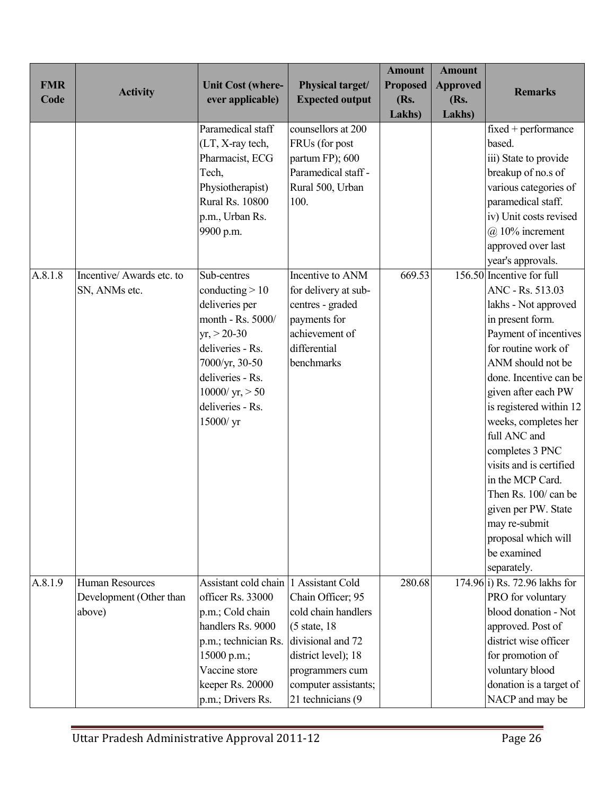| <b>FMR</b> | <b>Activity</b>                                             | <b>Unit Cost (where-</b>                                                                                                                                                                                                                                                                             | Physical target/                                                                                                                                                                                                                           | <b>Amount</b><br><b>Proposed</b> | <b>Amount</b><br><b>Approved</b> | <b>Remarks</b>                                                                                                                                                                                                                                                                                                                                                                                                                                                                                |
|------------|-------------------------------------------------------------|------------------------------------------------------------------------------------------------------------------------------------------------------------------------------------------------------------------------------------------------------------------------------------------------------|--------------------------------------------------------------------------------------------------------------------------------------------------------------------------------------------------------------------------------------------|----------------------------------|----------------------------------|-----------------------------------------------------------------------------------------------------------------------------------------------------------------------------------------------------------------------------------------------------------------------------------------------------------------------------------------------------------------------------------------------------------------------------------------------------------------------------------------------|
| Code       |                                                             | ever applicable)                                                                                                                                                                                                                                                                                     | <b>Expected output</b>                                                                                                                                                                                                                     | (Rs.                             | (Rs.                             |                                                                                                                                                                                                                                                                                                                                                                                                                                                                                               |
| A.8.1.8    | Incentive/ Awards etc. to<br>SN, ANMs etc.                  | Paramedical staff<br>(LT, X-ray tech,<br>Pharmacist, ECG<br>Tech,<br>Physiotherapist)<br><b>Rural Rs. 10800</b><br>p.m., Urban Rs.<br>9900 p.m.<br>Sub-centres<br>conducting $>10$<br>deliveries per<br>month - Rs. 5000/<br>$yr, > 20-30$<br>deliveries - Rs.<br>7000/yr, 30-50<br>deliveries - Rs. | counsellors at 200<br>FRUs (for post<br>partum FP); 600<br>Paramedical staff -<br>Rural 500, Urban<br>100.<br>Incentive to ANM<br>for delivery at sub-<br>centres - graded<br>payments for<br>achievement of<br>differential<br>benchmarks | Lakhs)<br>669.53                 | Lakhs)                           | $fixed + performance$<br>based.<br>iii) State to provide<br>breakup of no.s of<br>various categories of<br>paramedical staff.<br>iv) Unit costs revised<br>$(a)$ 10% increment<br>approved over last<br>year's approvals.<br>156.50 Incentive for full<br>ANC - Rs. 513.03<br>lakhs - Not approved<br>in present form.<br>Payment of incentives<br>for routine work of<br>ANM should not be<br>done. Incentive can be                                                                         |
| A.8.1.9    | <b>Human Resources</b><br>Development (Other than<br>above) | $10000 / yr$ , $> 50$<br>deliveries - Rs.<br>15000/yr<br>Assistant cold chain 1 Assistant Cold<br>officer Rs. 33000<br>p.m.; Cold chain<br>handlers Rs. 9000<br>p.m.; technician Rs.<br>15000 p.m.;<br>Vaccine store<br>keeper Rs. 20000<br>p.m.; Drivers Rs.                                        | Chain Officer; 95<br>cold chain handlers<br>$(5 \text{ state}, 18)$<br>divisional and 72<br>district level); 18<br>programmers cum<br>computer assistants;<br>21 technicians (9                                                            | 280.68                           |                                  | given after each PW<br>is registered within 12<br>weeks, completes her<br>full ANC and<br>completes 3 PNC<br>visits and is certified<br>in the MCP Card.<br>Then Rs. 100/can be<br>given per PW. State<br>may re-submit<br>proposal which will<br>be examined<br>separately.<br>174.96 i) Rs. 72.96 lakhs for<br>PRO for voluntary<br>blood donation - Not<br>approved. Post of<br>district wise officer<br>for promotion of<br>voluntary blood<br>donation is a target of<br>NACP and may be |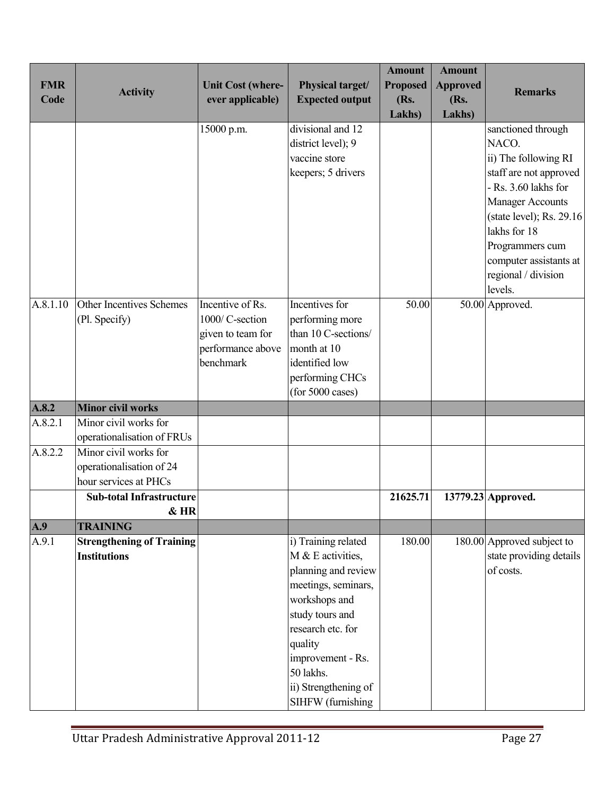| <b>FMR</b><br>Code | <b>Activity</b>                                                            | <b>Unit Cost (where-</b><br>ever applicable)                                               | Physical target/<br><b>Expected output</b>                                                                                                                                                                                                | <b>Amount</b><br><b>Proposed</b><br>(Rs.<br>Lakhs) | <b>Amount</b><br><b>Approved</b><br>(Rs.<br>Lakhs) | <b>Remarks</b>                                                                                                                                                                                                                                              |
|--------------------|----------------------------------------------------------------------------|--------------------------------------------------------------------------------------------|-------------------------------------------------------------------------------------------------------------------------------------------------------------------------------------------------------------------------------------------|----------------------------------------------------|----------------------------------------------------|-------------------------------------------------------------------------------------------------------------------------------------------------------------------------------------------------------------------------------------------------------------|
|                    |                                                                            | 15000 p.m.                                                                                 | divisional and 12<br>district level); 9<br>vaccine store<br>keepers; 5 drivers                                                                                                                                                            |                                                    |                                                    | sanctioned through<br>NACO.<br>ii) The following RI<br>staff are not approved<br>- Rs. 3.60 lakhs for<br><b>Manager Accounts</b><br>(state level); Rs. 29.16<br>lakhs for 18<br>Programmers cum<br>computer assistants at<br>regional / division<br>levels. |
| A.8.1.10           | Other Incentives Schemes<br>(Pl. Specify)                                  | Incentive of Rs.<br>1000/ C-section<br>given to team for<br>performance above<br>benchmark | Incentives for<br>performing more<br>than 10 C-sections/<br>month at 10<br>identified low<br>performing CHCs<br>(for 5000 cases)                                                                                                          | 50.00                                              |                                                    | 50.00 Approved.                                                                                                                                                                                                                                             |
| A.8.2              | <b>Minor civil works</b>                                                   |                                                                                            |                                                                                                                                                                                                                                           |                                                    |                                                    |                                                                                                                                                                                                                                                             |
| A.8.2.1            | Minor civil works for<br>operationalisation of FRUs                        |                                                                                            |                                                                                                                                                                                                                                           |                                                    |                                                    |                                                                                                                                                                                                                                                             |
| A.8.2.2            | Minor civil works for<br>operationalisation of 24<br>hour services at PHCs |                                                                                            |                                                                                                                                                                                                                                           |                                                    |                                                    |                                                                                                                                                                                                                                                             |
|                    | <b>Sub-total Infrastructure</b><br>& HR                                    |                                                                                            |                                                                                                                                                                                                                                           | 21625.71                                           |                                                    | 13779.23 Approved.                                                                                                                                                                                                                                          |
| A.9                | <b>TRAINING</b>                                                            |                                                                                            |                                                                                                                                                                                                                                           |                                                    |                                                    |                                                                                                                                                                                                                                                             |
| A.9.1              | <b>Strengthening of Training</b><br><b>Institutions</b>                    |                                                                                            | i) Training related<br>M & E activities,<br>planning and review<br>meetings, seminars,<br>workshops and<br>study tours and<br>research etc. for<br>quality<br>improvement - Rs.<br>50 lakhs.<br>ii) Strengthening of<br>SIHFW (furnishing | 180.00                                             |                                                    | 180.00 Approved subject to<br>state providing details<br>of costs.                                                                                                                                                                                          |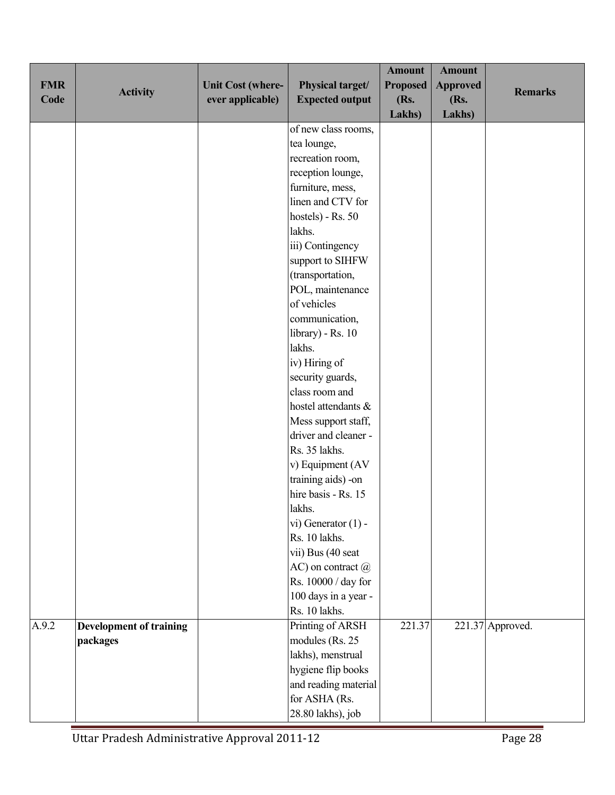| <b>FMR</b><br>Code | <b>Activity</b>                | <b>Unit Cost (where-</b><br>ever applicable) | Physical target/<br><b>Expected output</b>  | <b>Amount</b><br><b>Proposed</b><br>(Rs.<br>Lakhs) | <b>Amount</b><br><b>Approved</b><br>(Rs.<br>Lakhs) | <b>Remarks</b>     |
|--------------------|--------------------------------|----------------------------------------------|---------------------------------------------|----------------------------------------------------|----------------------------------------------------|--------------------|
|                    |                                |                                              | of new class rooms,                         |                                                    |                                                    |                    |
|                    |                                |                                              | tea lounge,                                 |                                                    |                                                    |                    |
|                    |                                |                                              | recreation room,                            |                                                    |                                                    |                    |
|                    |                                |                                              | reception lounge,                           |                                                    |                                                    |                    |
|                    |                                |                                              | furniture, mess,                            |                                                    |                                                    |                    |
|                    |                                |                                              | linen and CTV for                           |                                                    |                                                    |                    |
|                    |                                |                                              | hostels) - Rs. 50                           |                                                    |                                                    |                    |
|                    |                                |                                              | lakhs.                                      |                                                    |                                                    |                    |
|                    |                                |                                              | iii) Contingency                            |                                                    |                                                    |                    |
|                    |                                |                                              | support to SIHFW                            |                                                    |                                                    |                    |
|                    |                                |                                              | (transportation,                            |                                                    |                                                    |                    |
|                    |                                |                                              | POL, maintenance                            |                                                    |                                                    |                    |
|                    |                                |                                              | of vehicles                                 |                                                    |                                                    |                    |
|                    |                                |                                              | communication,                              |                                                    |                                                    |                    |
|                    |                                |                                              | library) - Rs. 10                           |                                                    |                                                    |                    |
|                    |                                |                                              | lakhs.                                      |                                                    |                                                    |                    |
|                    |                                |                                              | iv) Hiring of                               |                                                    |                                                    |                    |
|                    |                                |                                              | security guards,<br>class room and          |                                                    |                                                    |                    |
|                    |                                |                                              | hostel attendants &                         |                                                    |                                                    |                    |
|                    |                                |                                              |                                             |                                                    |                                                    |                    |
|                    |                                |                                              | Mess support staff,<br>driver and cleaner - |                                                    |                                                    |                    |
|                    |                                |                                              | Rs. 35 lakhs.                               |                                                    |                                                    |                    |
|                    |                                |                                              | v) Equipment (AV                            |                                                    |                                                    |                    |
|                    |                                |                                              | training aids) -on                          |                                                    |                                                    |                    |
|                    |                                |                                              | hire basis - Rs. 15                         |                                                    |                                                    |                    |
|                    |                                |                                              | lakhs.                                      |                                                    |                                                    |                    |
|                    |                                |                                              | vi) Generator $(1)$ -                       |                                                    |                                                    |                    |
|                    |                                |                                              | Rs. 10 lakhs.                               |                                                    |                                                    |                    |
|                    |                                |                                              | vii) Bus (40 seat                           |                                                    |                                                    |                    |
|                    |                                |                                              | $AC$ ) on contract $@$                      |                                                    |                                                    |                    |
|                    |                                |                                              | Rs. 10000 / day for                         |                                                    |                                                    |                    |
|                    |                                |                                              | 100 days in a year -                        |                                                    |                                                    |                    |
|                    |                                |                                              | Rs. 10 lakhs.                               |                                                    |                                                    |                    |
| A.9.2              | <b>Development of training</b> |                                              | Printing of ARSH                            | 221.37                                             |                                                    | $221.37$ Approved. |
|                    | packages                       |                                              | modules (Rs. 25                             |                                                    |                                                    |                    |
|                    |                                |                                              | lakhs), menstrual                           |                                                    |                                                    |                    |
|                    |                                |                                              | hygiene flip books                          |                                                    |                                                    |                    |
|                    |                                |                                              | and reading material                        |                                                    |                                                    |                    |
|                    |                                |                                              | for ASHA (Rs.                               |                                                    |                                                    |                    |
|                    |                                |                                              | 28.80 lakhs), job                           |                                                    |                                                    |                    |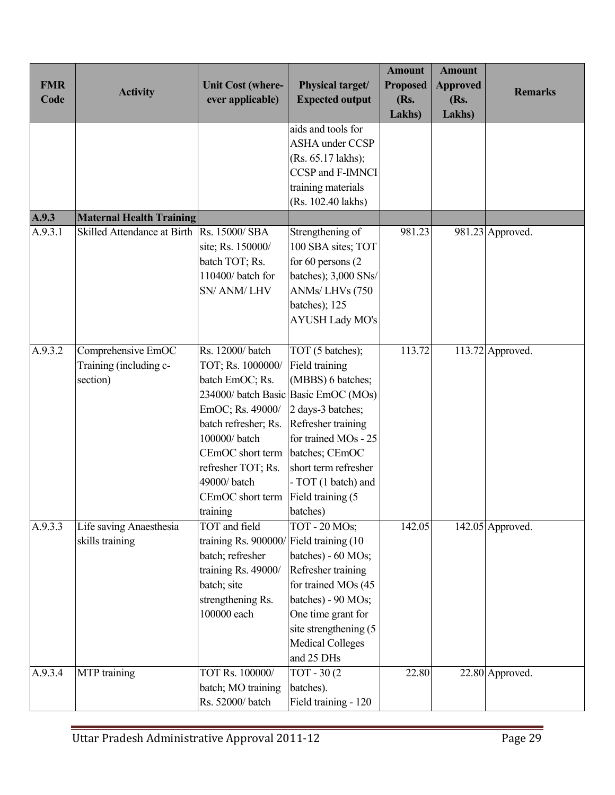| <b>FMR</b> |                                 |                                              | Physical target/                            | <b>Amount</b><br><b>Proposed</b> | <b>Amount</b>           |                    |
|------------|---------------------------------|----------------------------------------------|---------------------------------------------|----------------------------------|-------------------------|--------------------|
| Code       | <b>Activity</b>                 | <b>Unit Cost (where-</b><br>ever applicable) | <b>Expected output</b>                      | (Rs.                             | <b>Approved</b><br>(Rs. | <b>Remarks</b>     |
|            |                                 |                                              |                                             | <b>Lakhs</b> )                   | Lakhs)                  |                    |
|            |                                 |                                              | aids and tools for                          |                                  |                         |                    |
|            |                                 |                                              | <b>ASHA</b> under CCSP                      |                                  |                         |                    |
|            |                                 |                                              | (Rs. 65.17 lakhs);                          |                                  |                         |                    |
|            |                                 |                                              | CCSP and F-IMNCI                            |                                  |                         |                    |
|            |                                 |                                              | training materials                          |                                  |                         |                    |
|            |                                 |                                              | (Rs. 102.40 lakhs)                          |                                  |                         |                    |
| A.9.3      | <b>Maternal Health Training</b> |                                              |                                             |                                  |                         |                    |
| A.9.3.1    | Skilled Attendance at Birth     | Rs. 15000/SBA                                | Strengthening of                            | 981.23                           |                         | $981.23$ Approved. |
|            |                                 | site; Rs. 150000/                            | 100 SBA sites; TOT                          |                                  |                         |                    |
|            |                                 | batch TOT; Rs.                               | for $60$ persons $(2)$                      |                                  |                         |                    |
|            |                                 | 110400/batch for                             | batches); 3,000 SNs/                        |                                  |                         |                    |
|            |                                 | SN/ ANM/ LHV                                 | ANMs/LHVs (750                              |                                  |                         |                    |
|            |                                 |                                              | batches); 125                               |                                  |                         |                    |
|            |                                 |                                              | <b>AYUSH Lady MO's</b>                      |                                  |                         |                    |
|            |                                 |                                              |                                             |                                  |                         |                    |
| A.9.3.2    | Comprehensive EmOC              | Rs. 12000/batch                              | TOT (5 batches);                            | 113.72                           |                         | $113.72$ Approved. |
|            | Training (including c-          | TOT; Rs. 1000000/                            | Field training                              |                                  |                         |                    |
|            | section)                        | batch EmOC; Rs.                              | (MBBS) 6 batches;                           |                                  |                         |                    |
|            |                                 |                                              | 234000/ batch Basic Basic EmOC (MOs)        |                                  |                         |                    |
|            |                                 | EmOC; Rs. 49000/                             | 2 days-3 batches;                           |                                  |                         |                    |
|            |                                 | batch refresher; Rs.                         | Refresher training                          |                                  |                         |                    |
|            |                                 | 100000/batch                                 | for trained MOs - 25                        |                                  |                         |                    |
|            |                                 | CEmOC short term                             | batches; CEmOC                              |                                  |                         |                    |
|            |                                 | refresher TOT; Rs.                           | short term refresher                        |                                  |                         |                    |
|            |                                 | 49000/batch                                  | - TOT (1 batch) and                         |                                  |                         |                    |
|            |                                 | CEmOC short term                             | Field training (5)                          |                                  |                         |                    |
|            |                                 | training                                     | batches)                                    |                                  |                         |                    |
| A.9.3.3    | Life saving Anaesthesia         | TOT and field                                | TOT - 20 MOs;                               | 142.05                           |                         | $142.05$ Approved. |
|            | skills training                 | training Rs. 900000/Field training (10       |                                             |                                  |                         |                    |
|            |                                 | batch; refresher                             | batches) - 60 MOs;                          |                                  |                         |                    |
|            |                                 | training Rs. 49000/                          | Refresher training                          |                                  |                         |                    |
|            |                                 | batch; site                                  | for trained MOs (45                         |                                  |                         |                    |
|            |                                 | strengthening Rs.<br>100000 each             | batches) - 90 MOs;                          |                                  |                         |                    |
|            |                                 |                                              | One time grant for<br>site strengthening (5 |                                  |                         |                    |
|            |                                 |                                              | <b>Medical Colleges</b>                     |                                  |                         |                    |
|            |                                 |                                              | and 25 DHs                                  |                                  |                         |                    |
| A.9.3.4    | MTP training                    | TOT Rs. 100000/                              | TOT - 30(2)                                 | 22.80                            |                         |                    |
|            |                                 | batch; MO training                           | batches).                                   |                                  |                         | 22.80 Approved.    |
|            |                                 | Rs. 52000/batch                              |                                             |                                  |                         |                    |
|            |                                 |                                              | Field training - 120                        |                                  |                         |                    |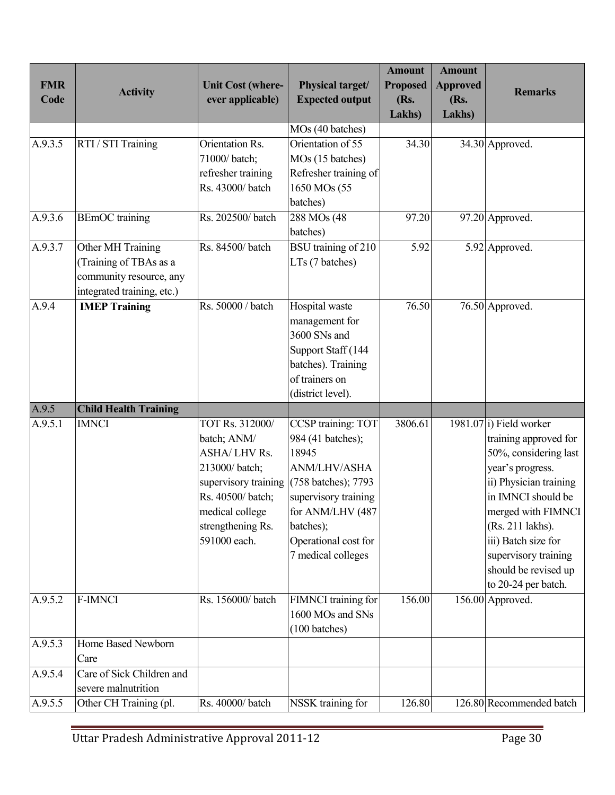| <b>FMR</b><br>Code | <b>Activity</b>                                                                                     | <b>Unit Cost (where-</b><br>ever applicable)                                                                                                       | Physical target/<br><b>Expected output</b>                                                                                                                                                                                     | <b>Amount</b><br><b>Proposed</b><br>(Rs. | <b>Amount</b><br><b>Approved</b><br>(Rs. | <b>Remarks</b>                                                                                                                                                                                                                                                                                     |
|--------------------|-----------------------------------------------------------------------------------------------------|----------------------------------------------------------------------------------------------------------------------------------------------------|--------------------------------------------------------------------------------------------------------------------------------------------------------------------------------------------------------------------------------|------------------------------------------|------------------------------------------|----------------------------------------------------------------------------------------------------------------------------------------------------------------------------------------------------------------------------------------------------------------------------------------------------|
|                    |                                                                                                     |                                                                                                                                                    |                                                                                                                                                                                                                                | Lakhs)                                   | Lakhs)                                   |                                                                                                                                                                                                                                                                                                    |
| A.9.3.5            | RTI / STI Training                                                                                  | Orientation Rs.<br>71000/batch;<br>refresher training<br>Rs. 43000/batch                                                                           | MOs (40 batches)<br>Orientation of 55<br>MOs (15 batches)<br>Refresher training of<br>1650 MOs (55<br>batches)                                                                                                                 | 34.30                                    |                                          | 34.30 Approved.                                                                                                                                                                                                                                                                                    |
| A.9.3.6            | <b>BEmOC</b> training                                                                               | Rs. 202500/batch                                                                                                                                   | 288 MOs (48<br>batches)                                                                                                                                                                                                        | 97.20                                    |                                          | 97.20 Approved.                                                                                                                                                                                                                                                                                    |
| A.9.3.7            | Other MH Training<br>Training of TBAs as a<br>community resource, any<br>integrated training, etc.) | Rs. 84500/batch                                                                                                                                    | BSU training of 210<br>LTs (7 batches)                                                                                                                                                                                         | 5.92                                     |                                          | 5.92 Approved.                                                                                                                                                                                                                                                                                     |
| A.9.4              | <b>IMEP Training</b>                                                                                | Rs. 50000 / batch                                                                                                                                  | Hospital waste<br>management for<br>3600 SNs and<br>Support Staff (144<br>batches). Training<br>of trainers on<br>(district level).                                                                                            | 76.50                                    |                                          | 76.50 Approved.                                                                                                                                                                                                                                                                                    |
| A.9.5              | <b>Child Health Training</b>                                                                        |                                                                                                                                                    |                                                                                                                                                                                                                                |                                          |                                          |                                                                                                                                                                                                                                                                                                    |
| A.9.5.1            | <b>IMNCI</b>                                                                                        | TOT Rs. 312000/<br>batch; ANM/<br><b>ASHA/LHV Rs.</b><br>213000/batch;<br>Rs. 40500/batch;<br>medical college<br>strengthening Rs.<br>591000 each. | CCSP training: TOT<br>984 (41 batches);<br>18945<br>ANM/LHV/ASHA<br>supervisory training $(758 \text{ batches})$ ; 7793<br>supervisory training<br>for ANM/LHV (487<br>batches);<br>Operational cost for<br>7 medical colleges | 3806.61                                  |                                          | $198\overline{1.07}$ i) Field worker<br>training approved for<br>50%, considering last<br>year's progress.<br>ii) Physician training<br>in IMNCI should be<br>merged with FIMNCI<br>(Rs. 211 lakhs).<br>iii) Batch size for<br>supervisory training<br>should be revised up<br>to 20-24 per batch. |
| A.9.5.2            | <b>F-IMNCI</b>                                                                                      | Rs. 156000/batch                                                                                                                                   | FIMNCI training for<br>1600 MOs and SNs<br>$(100 \text{ batches})$                                                                                                                                                             | 156.00                                   |                                          | 156.00 Approved.                                                                                                                                                                                                                                                                                   |
| A.9.5.3            | Home Based Newborn<br>Care                                                                          |                                                                                                                                                    |                                                                                                                                                                                                                                |                                          |                                          |                                                                                                                                                                                                                                                                                                    |
| A.9.5.4            | Care of Sick Children and<br>severe malnutrition                                                    |                                                                                                                                                    |                                                                                                                                                                                                                                |                                          |                                          |                                                                                                                                                                                                                                                                                                    |
| A.9.5.5            | Other CH Training (pl.                                                                              | Rs. 40000/batch                                                                                                                                    | NSSK training for                                                                                                                                                                                                              | 126.80                                   |                                          | 126.80 Recommended batch                                                                                                                                                                                                                                                                           |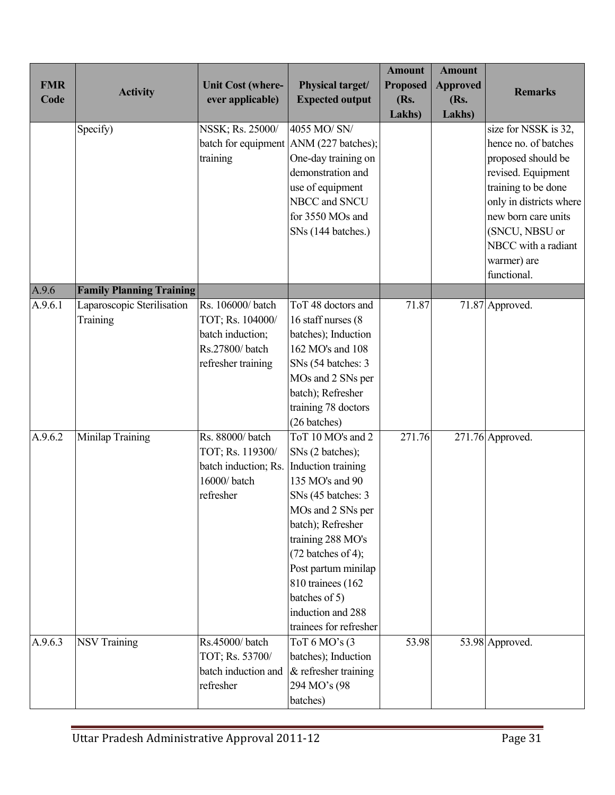| <b>FMR</b><br>Code | <b>Activity</b>                        | <b>Unit Cost (where-</b><br>ever applicable)                                                     | Physical target/<br><b>Expected output</b>                                                                                                                                                                                                                                                               | <b>Amount</b><br><b>Proposed</b><br>(Rs.<br>Lakhs) | <b>Amount</b><br><b>Approved</b><br>(Rs.<br>Lakhs) | <b>Remarks</b>                                                                                                                                                                                                                           |
|--------------------|----------------------------------------|--------------------------------------------------------------------------------------------------|----------------------------------------------------------------------------------------------------------------------------------------------------------------------------------------------------------------------------------------------------------------------------------------------------------|----------------------------------------------------|----------------------------------------------------|------------------------------------------------------------------------------------------------------------------------------------------------------------------------------------------------------------------------------------------|
|                    | Specify)                               | NSSK; Rs. 25000/<br>training                                                                     | 4055 MO/ SN/<br>batch for equipment ANM (227 batches);<br>One-day training on<br>demonstration and<br>use of equipment<br>NBCC and SNCU<br>for 3550 MOs and<br>SNs (144 batches.)                                                                                                                        |                                                    |                                                    | size for NSSK is 32,<br>hence no. of batches<br>proposed should be<br>revised. Equipment<br>training to be done<br>only in districts where<br>new born care units<br>(SNCU, NBSU or<br>NBCC with a radiant<br>warmer) are<br>functional. |
| A.9.6              | <b>Family Planning Training</b>        |                                                                                                  |                                                                                                                                                                                                                                                                                                          |                                                    |                                                    |                                                                                                                                                                                                                                          |
| A.9.6.1            | Laparoscopic Sterilisation<br>Training | Rs. 106000/batch<br>TOT; Rs. 104000/<br>batch induction;<br>Rs.27800/batch<br>refresher training | ToT 48 doctors and<br>16 staff nurses (8)<br>batches); Induction<br>162 MO's and 108<br>SNs (54 batches: 3<br>MOs and 2 SNs per<br>batch); Refresher<br>training 78 doctors<br>(26 batches)                                                                                                              | 71.87                                              |                                                    | 71.87 Approved.                                                                                                                                                                                                                          |
| A.9.6.2            | Minilap Training                       | Rs. 88000/batch<br>TOT; Rs. 119300/<br>batch induction; Rs.<br>16000/batch<br>refresher          | ToT 10 MO's and 2<br>SNs (2 batches);<br>Induction training<br>135 MO's and 90<br>SNs (45 batches: 3<br>MOs and 2 SNs per<br>batch); Refresher<br>training 288 MO's<br>$(72$ batches of 4);<br>Post partum minilap<br>810 trainees (162)<br>batches of 5)<br>induction and 288<br>trainees for refresher | 271.76                                             |                                                    | $271.76$ Approved.                                                                                                                                                                                                                       |
| A.9.6.3            | <b>NSV Training</b>                    | Rs.45000/batch<br>TOT; Rs. 53700/<br>batch induction and<br>refresher                            | ToT $6$ MO's $(3)$<br>batches); Induction<br>$\&$ refresher training<br>294 MO's (98<br>batches)                                                                                                                                                                                                         | 53.98                                              |                                                    | 53.98 Approved.                                                                                                                                                                                                                          |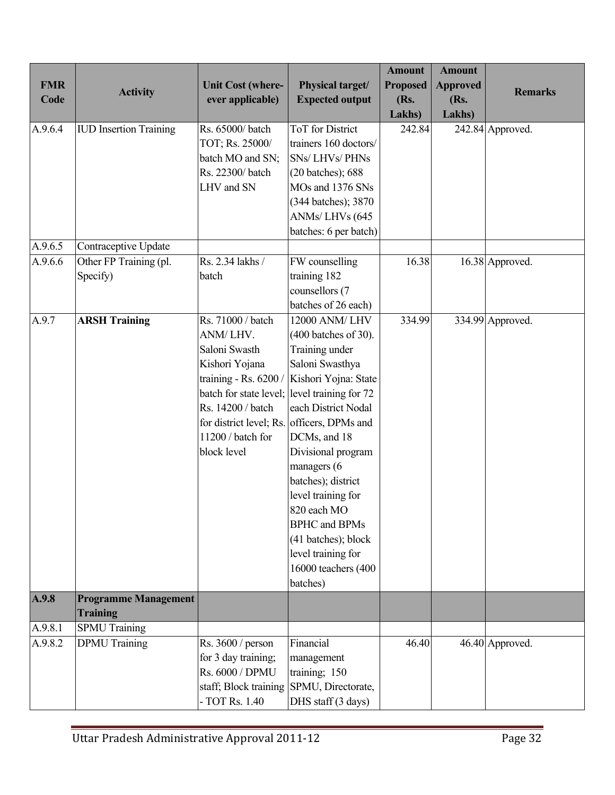|            |                               |                                            |                                                  | <b>Amount</b>   | <b>Amount</b>   |                  |
|------------|-------------------------------|--------------------------------------------|--------------------------------------------------|-----------------|-----------------|------------------|
| <b>FMR</b> | <b>Activity</b>               | <b>Unit Cost (where-</b>                   | Physical target/                                 | <b>Proposed</b> | <b>Approved</b> | <b>Remarks</b>   |
| Code       |                               | ever applicable)                           | <b>Expected output</b>                           | (Rs.            | (Rs.            |                  |
|            |                               |                                            |                                                  | Lakhs)          | Lakhs)          |                  |
| A.9.6.4    | <b>IUD</b> Insertion Training | Rs. 65000/batch<br>TOT; Rs. 25000/         | <b>ToT</b> for District<br>trainers 160 doctors/ | 242.84          |                 | 242.84 Approved. |
|            |                               |                                            | <b>SNs/LHVs/PHNs</b>                             |                 |                 |                  |
|            |                               | batch MO and SN;<br>Rs. 22300/batch        |                                                  |                 |                 |                  |
|            |                               | LHV and SN                                 | (20 batches); 688<br>MOs and 1376 SNs            |                 |                 |                  |
|            |                               |                                            |                                                  |                 |                 |                  |
|            |                               |                                            | (344 batches); 3870                              |                 |                 |                  |
|            |                               |                                            | ANMs/LHVs (645                                   |                 |                 |                  |
|            |                               |                                            | batches: 6 per batch)                            |                 |                 |                  |
| A.9.6.5    | Contraceptive Update          |                                            |                                                  |                 |                 |                  |
| A.9.6.6    | Other FP Training (pl.        | Rs. 2.34 lakhs /                           | FW counselling                                   | 16.38           |                 | 16.38 Approved.  |
|            | Specify)                      | batch                                      | training 182                                     |                 |                 |                  |
|            |                               |                                            | counsellors (7                                   |                 |                 |                  |
|            |                               |                                            | batches of 26 each)                              |                 |                 |                  |
| A.9.7      | <b>ARSH Training</b>          | Rs. 71000 / batch                          | 12000 ANM/ LHV                                   | 334.99          |                 | 334.99 Approved. |
|            |                               | ANM/LHV.                                   | (400 batches of 30).                             |                 |                 |                  |
|            |                               | Saloni Swasth                              | Training under                                   |                 |                 |                  |
|            |                               | Kishori Yojana                             | Saloni Swasthya                                  |                 |                 |                  |
|            |                               | training - Rs. 6200                        | Kishori Yojna: State                             |                 |                 |                  |
|            |                               |                                            | batch for state level; level training for 72     |                 |                 |                  |
|            |                               | Rs. 14200 / batch                          | each District Nodal                              |                 |                 |                  |
|            |                               | for district level; Rs. officers, DPMs and |                                                  |                 |                 |                  |
|            |                               | 11200 / batch for                          | DCMs, and 18                                     |                 |                 |                  |
|            |                               | block level                                | Divisional program                               |                 |                 |                  |
|            |                               |                                            | managers (6                                      |                 |                 |                  |
|            |                               |                                            | batches); district                               |                 |                 |                  |
|            |                               |                                            | level training for                               |                 |                 |                  |
|            |                               |                                            | 820 each MO                                      |                 |                 |                  |
|            |                               |                                            | <b>BPHC</b> and <b>BPMs</b>                      |                 |                 |                  |
|            |                               |                                            | (41 batches); block                              |                 |                 |                  |
|            |                               |                                            | level training for                               |                 |                 |                  |
|            |                               |                                            | 16000 teachers (400                              |                 |                 |                  |
|            |                               |                                            | batches)                                         |                 |                 |                  |
| A.9.8      | <b>Programme Management</b>   |                                            |                                                  |                 |                 |                  |
|            | <b>Training</b>               |                                            |                                                  |                 |                 |                  |
| A.9.8.1    | <b>SPMU</b> Training          |                                            |                                                  |                 |                 |                  |
| A.9.8.2    | <b>DPMU</b> Training          | Rs. $3600 / person$                        | Financial                                        | 46.40           |                 | 46.40 Approved.  |
|            |                               | for 3 day training;                        | management                                       |                 |                 |                  |
|            |                               | Rs. 6000 / DPMU                            | training; 150                                    |                 |                 |                  |
|            |                               | staff; Block training                      | SPMU, Directorate,                               |                 |                 |                  |
|            |                               | - TOT Rs. 1.40                             | DHS staff (3 days)                               |                 |                 |                  |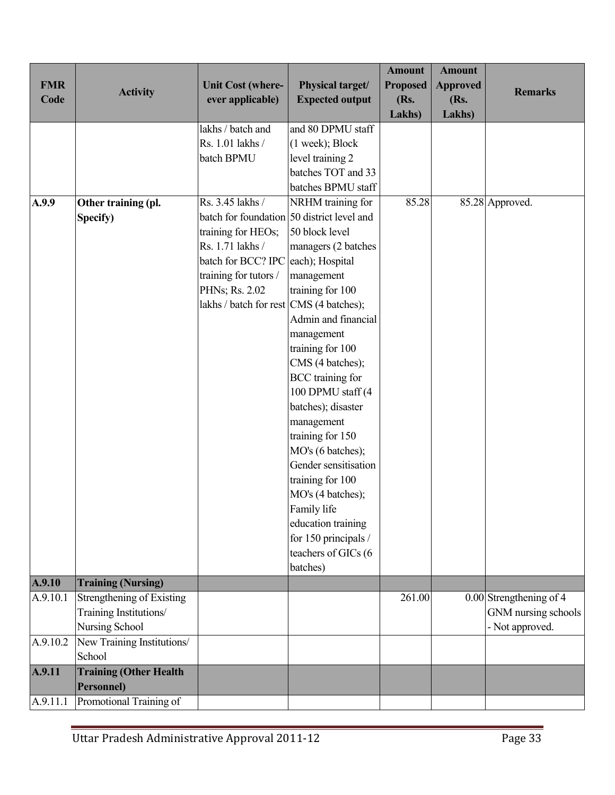| <b>FMR</b><br>Code | <b>Activity</b>                             | <b>Unit Cost (where-</b><br>ever applicable) | Physical target/<br><b>Expected output</b>                      | <b>Amount</b><br><b>Proposed</b><br>(Rs.<br>Lakhs) | <b>Amount</b><br><b>Approved</b><br>(Rs.<br>Lakhs) | <b>Remarks</b>            |
|--------------------|---------------------------------------------|----------------------------------------------|-----------------------------------------------------------------|----------------------------------------------------|----------------------------------------------------|---------------------------|
|                    |                                             | lakhs / batch and                            | and 80 DPMU staff                                               |                                                    |                                                    |                           |
|                    |                                             | Rs. 1.01 lakhs /                             | $(1$ week); Block                                               |                                                    |                                                    |                           |
|                    |                                             | batch BPMU                                   | level training 2                                                |                                                    |                                                    |                           |
|                    |                                             |                                              | batches TOT and 33                                              |                                                    |                                                    |                           |
|                    |                                             | Rs. 3.45 lakhs /                             | batches BPMU staff                                              | 85.28                                              |                                                    |                           |
| A.9.9              | Other training (pl.<br>Specify)             |                                              | NRHM training for<br>batch for foundation 50 district level and |                                                    |                                                    | 85.28 Approved.           |
|                    |                                             | training for HEOs;                           | 50 block level                                                  |                                                    |                                                    |                           |
|                    |                                             | Rs. 1.71 lakhs /                             | managers (2 batches                                             |                                                    |                                                    |                           |
|                    |                                             | batch for BCC? IPC each); Hospital           |                                                                 |                                                    |                                                    |                           |
|                    |                                             | training for tutors /                        | management                                                      |                                                    |                                                    |                           |
|                    |                                             | PHNs; Rs. 2.02                               | training for 100                                                |                                                    |                                                    |                           |
|                    |                                             | lakhs / batch for rest CMS (4 batches);      |                                                                 |                                                    |                                                    |                           |
|                    |                                             |                                              | Admin and financial                                             |                                                    |                                                    |                           |
|                    |                                             |                                              | management                                                      |                                                    |                                                    |                           |
|                    |                                             |                                              | training for 100                                                |                                                    |                                                    |                           |
|                    |                                             |                                              | CMS (4 batches);                                                |                                                    |                                                    |                           |
|                    |                                             |                                              | <b>BCC</b> training for                                         |                                                    |                                                    |                           |
|                    |                                             |                                              | 100 DPMU staff (4                                               |                                                    |                                                    |                           |
|                    |                                             |                                              | batches); disaster                                              |                                                    |                                                    |                           |
|                    |                                             |                                              | management                                                      |                                                    |                                                    |                           |
|                    |                                             |                                              | training for 150<br>MO's (6 batches);                           |                                                    |                                                    |                           |
|                    |                                             |                                              | Gender sensitisation                                            |                                                    |                                                    |                           |
|                    |                                             |                                              | training for 100                                                |                                                    |                                                    |                           |
|                    |                                             |                                              | MO's (4 batches);                                               |                                                    |                                                    |                           |
|                    |                                             |                                              | Family life                                                     |                                                    |                                                    |                           |
|                    |                                             |                                              | education training                                              |                                                    |                                                    |                           |
|                    |                                             |                                              | for 150 principals /                                            |                                                    |                                                    |                           |
|                    |                                             |                                              | teachers of GICs (6                                             |                                                    |                                                    |                           |
|                    |                                             |                                              | batches)                                                        |                                                    |                                                    |                           |
| A.9.10             | <b>Training (Nursing)</b>                   |                                              |                                                                 |                                                    |                                                    |                           |
| A.9.10.1           | Strengthening of Existing                   |                                              |                                                                 | 261.00                                             |                                                    | $0.00$ Strengthening of 4 |
|                    | Training Institutions/                      |                                              |                                                                 |                                                    |                                                    | GNM nursing schools       |
|                    | Nursing School                              |                                              |                                                                 |                                                    |                                                    | - Not approved.           |
| A.9.10.2           | New Training Institutions/<br>School        |                                              |                                                                 |                                                    |                                                    |                           |
| A.9.11             | <b>Training (Other Health</b><br>Personnel) |                                              |                                                                 |                                                    |                                                    |                           |
| A.9.11.1           | Promotional Training of                     |                                              |                                                                 |                                                    |                                                    |                           |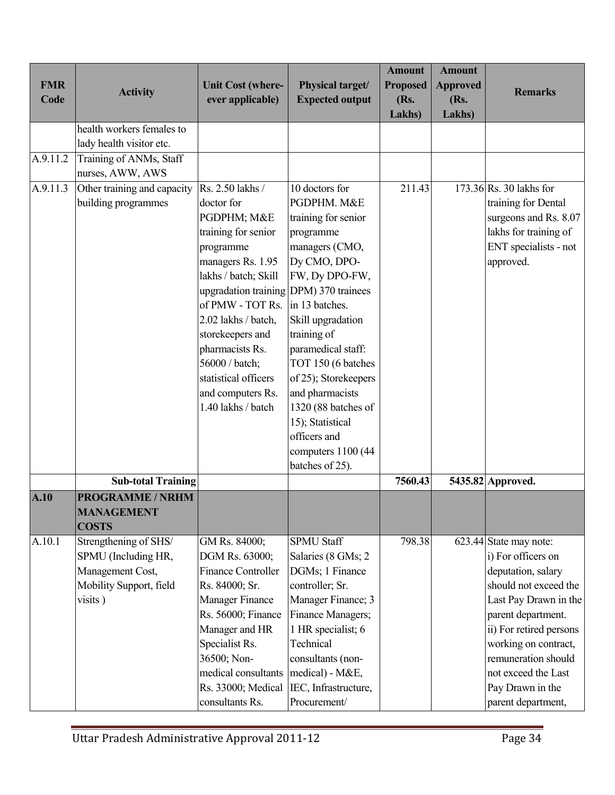| <b>FMR</b><br>Code | <b>Activity</b>                                                                                        | <b>Unit Cost (where-</b><br>ever applicable)                                                                                                                                                                                                                                                                                                    | Physical target/<br><b>Expected output</b>                                                                                                                                                                                                                                                                                                                             | <b>Amount</b><br><b>Proposed</b><br>(Rs.<br>Lakhs) | <b>Amount</b><br><b>Approved</b><br>(Rs.<br>Lakhs) | <b>Remarks</b>                                                                                                                                                                                                                                                                        |
|--------------------|--------------------------------------------------------------------------------------------------------|-------------------------------------------------------------------------------------------------------------------------------------------------------------------------------------------------------------------------------------------------------------------------------------------------------------------------------------------------|------------------------------------------------------------------------------------------------------------------------------------------------------------------------------------------------------------------------------------------------------------------------------------------------------------------------------------------------------------------------|----------------------------------------------------|----------------------------------------------------|---------------------------------------------------------------------------------------------------------------------------------------------------------------------------------------------------------------------------------------------------------------------------------------|
|                    | health workers females to<br>lady health visitor etc.                                                  |                                                                                                                                                                                                                                                                                                                                                 |                                                                                                                                                                                                                                                                                                                                                                        |                                                    |                                                    |                                                                                                                                                                                                                                                                                       |
| A.9.11.2           | Training of ANMs, Staff<br>nurses, AWW, AWS                                                            |                                                                                                                                                                                                                                                                                                                                                 |                                                                                                                                                                                                                                                                                                                                                                        |                                                    |                                                    |                                                                                                                                                                                                                                                                                       |
| A.9.11.3           | Other training and capacity<br>building programmes                                                     | Rs. 2.50 lakhs /<br>doctor for<br>PGDPHM; M&E<br>training for senior<br>programme<br>managers Rs. 1.95<br>lakhs / batch; Skill<br>upgradation training DPM) 370 trainees<br>of PMW - TOT Rs.<br>2.02 lakhs / batch,<br>storekeepers and<br>pharmacists Rs.<br>56000 / batch;<br>statistical officers<br>and computers Rs.<br>1.40 lakhs / batch | 10 doctors for<br>PGDPHM. M&E<br>training for senior<br>programme<br>managers (CMO,<br>Dy CMO, DPO-<br>FW, Dy DPO-FW,<br>in 13 batches.<br>Skill upgradation<br>training of<br>paramedical staff:<br>TOT 150 (6 batches<br>of 25); Storekeepers<br>and pharmacists<br>1320 (88 batches of<br>15); Statistical<br>officers and<br>computers 1100 (44<br>batches of 25). | 211.43                                             |                                                    | $173.36$ Rs. 30 lakhs for<br>training for Dental<br>surgeons and Rs. 8.07<br>lakhs for training of<br>ENT specialists - not<br>approved.                                                                                                                                              |
|                    | <b>Sub-total Training</b>                                                                              |                                                                                                                                                                                                                                                                                                                                                 |                                                                                                                                                                                                                                                                                                                                                                        | 7560.43                                            |                                                    | 5435.82 Approved.                                                                                                                                                                                                                                                                     |
| A.10               | <b>PROGRAMME / NRHM</b><br><b>MANAGEMENT</b><br><b>COSTS</b>                                           |                                                                                                                                                                                                                                                                                                                                                 |                                                                                                                                                                                                                                                                                                                                                                        |                                                    |                                                    |                                                                                                                                                                                                                                                                                       |
| A.10.1             | Strengthening of SHS/<br>SPMU (Including HR,<br>Management Cost,<br>Mobility Support, field<br>visits) | GM Rs. 84000;<br>DGM Rs. 63000;<br><b>Finance Controller</b><br>Rs. 84000; Sr.<br><b>Manager Finance</b><br>Rs. 56000; Finance<br>Manager and HR<br>Specialist Rs.<br>36500; Non-<br>medical consultants<br>Rs. 33000; Medical<br>consultants Rs.                                                                                               | <b>SPMU Staff</b><br>Salaries (8 GMs; 2<br>DGMs; 1 Finance<br>controller; Sr.<br>Manager Finance; 3<br>Finance Managers;<br>1 HR specialist; 6<br>Technical<br>consultants (non-<br>medical) - M&E,<br>IEC, Infrastructure,<br>Procurement/                                                                                                                            | 798.38                                             |                                                    | 623.44 State may note:<br>i) For officers on<br>deputation, salary<br>should not exceed the<br>Last Pay Drawn in the<br>parent department.<br>ii) For retired persons<br>working on contract,<br>remuneration should<br>not exceed the Last<br>Pay Drawn in the<br>parent department, |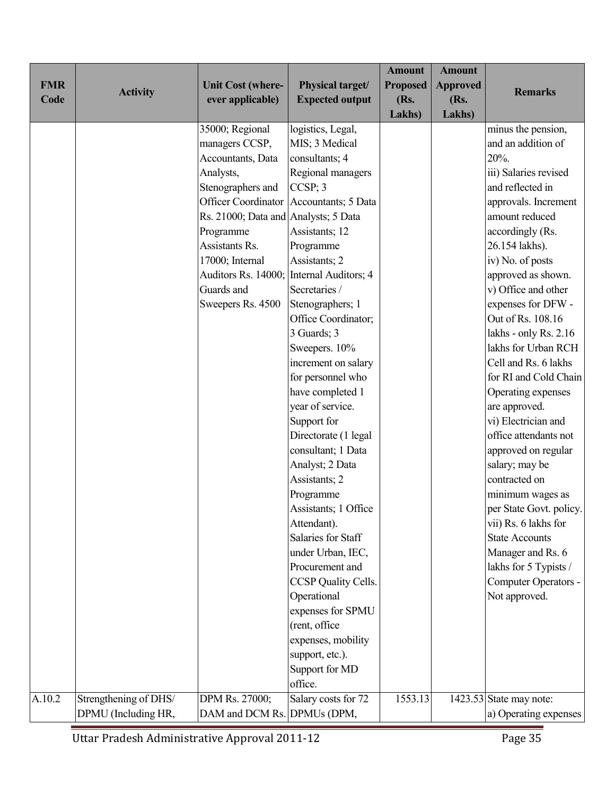|            |                       |                                      |                                         | <b>Amount</b>   | <b>Amount</b>   |                         |
|------------|-----------------------|--------------------------------------|-----------------------------------------|-----------------|-----------------|-------------------------|
| <b>FMR</b> | <b>Activity</b>       | <b>Unit Cost (where-</b>             | Physical target/                        | <b>Proposed</b> | <b>Approved</b> | <b>Remarks</b>          |
| Code       |                       | ever applicable)                     | <b>Expected output</b>                  | (Rs.            | (Rs.            |                         |
|            |                       |                                      |                                         | Lakhs)          | Lakhs)          |                         |
|            |                       | 35000; Regional                      | logistics, Legal,                       |                 |                 | minus the pension,      |
|            |                       | managers CCSP,                       | MIS; 3 Medical                          |                 |                 | and an addition of      |
|            |                       | Accountants, Data                    | consultants; 4                          |                 |                 | 20%.                    |
|            |                       | Analysts,                            | Regional managers                       |                 |                 | iii) Salaries revised   |
|            |                       | Stenographers and                    | $CCSP$ ; 3                              |                 |                 | and reflected in        |
|            |                       |                                      | Officer Coordinator Accountants; 5 Data |                 |                 | approvals. Increment    |
|            |                       | Rs. 21000; Data and Analysts; 5 Data |                                         |                 |                 | amount reduced          |
|            |                       | Programme                            | Assistants; 12                          |                 |                 | accordingly (Rs.        |
|            |                       | Assistants Rs.                       | Programme                               |                 |                 | 26.154 lakhs).          |
|            |                       | 17000; Internal                      | Assistants; 2                           |                 |                 | iv) No. of posts        |
|            |                       | Auditors Rs. 14000;                  | Internal Auditors; 4                    |                 |                 | approved as shown.      |
|            |                       | Guards and                           | Secretaries /                           |                 |                 | v) Office and other     |
|            |                       | Sweepers Rs. 4500                    | Stenographers; 1                        |                 |                 | expenses for DFW -      |
|            |                       |                                      | Office Coordinator;                     |                 |                 | Out of Rs. 108.16       |
|            |                       |                                      | 3 Guards; 3                             |                 |                 | lakhs - only Rs. 2.16   |
|            |                       |                                      | Sweepers. 10%                           |                 |                 | lakhs for Urban RCH     |
|            |                       |                                      | increment on salary                     |                 |                 | Cell and Rs. 6 lakhs    |
|            |                       |                                      | for personnel who                       |                 |                 | for RI and Cold Chain   |
|            |                       |                                      | have completed 1                        |                 |                 | Operating expenses      |
|            |                       |                                      | year of service.                        |                 |                 | are approved.           |
|            |                       |                                      | Support for                             |                 |                 | vi) Electrician and     |
|            |                       |                                      | Directorate (1 legal                    |                 |                 | office attendants not   |
|            |                       |                                      | consultant; 1 Data                      |                 |                 | approved on regular     |
|            |                       |                                      | Analyst; 2 Data                         |                 |                 | salary; may be          |
|            |                       |                                      | Assistants; 2                           |                 |                 | contracted on           |
|            |                       |                                      | Programme                               |                 |                 | minimum wages as        |
|            |                       |                                      | Assistants; 1 Office                    |                 |                 | per State Govt. policy. |
|            |                       |                                      | Attendant).                             |                 |                 | vii) Rs. 6 lakhs for    |
|            |                       |                                      | Salaries for Staff                      |                 |                 | <b>State Accounts</b>   |
|            |                       |                                      | under Urban, IEC,                       |                 |                 | Manager and Rs. 6       |
|            |                       |                                      | Procurement and                         |                 |                 | lakhs for 5 Typists /   |
|            |                       |                                      | CCSP Quality Cells.                     |                 |                 | Computer Operators -    |
|            |                       |                                      | Operational                             |                 |                 | Not approved.           |
|            |                       |                                      | expenses for SPMU                       |                 |                 |                         |
|            |                       |                                      | (rent, office                           |                 |                 |                         |
|            |                       |                                      | expenses, mobility                      |                 |                 |                         |
|            |                       |                                      | support, etc.).                         |                 |                 |                         |
|            |                       |                                      | Support for MD                          |                 |                 |                         |
|            |                       |                                      | office.                                 |                 |                 |                         |
| A.10.2     | Strengthening of DHS/ | DPM Rs. 27000;                       | Salary costs for 72                     | 1553.13         |                 | 1423.53 State may note: |
|            | DPMU (Including HR,   | DAM and DCM Rs. DPMUs (DPM,          |                                         |                 |                 | a) Operating expenses   |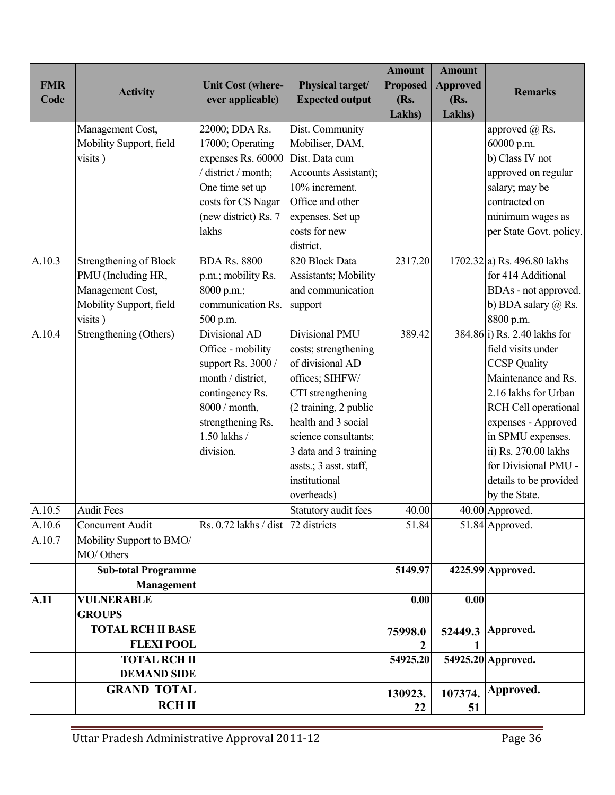|            |                                        |                                        |                        | <b>Amount</b>   | <b>Amount</b>   |                                |
|------------|----------------------------------------|----------------------------------------|------------------------|-----------------|-----------------|--------------------------------|
| <b>FMR</b> | <b>Activity</b>                        | <b>Unit Cost (where-</b>               | Physical target/       | <b>Proposed</b> | <b>Approved</b> | <b>Remarks</b>                 |
| Code       |                                        | ever applicable)                       | <b>Expected output</b> | (Rs.            | (Rs.            |                                |
|            |                                        |                                        |                        | Lakhs)          | Lakhs)          |                                |
|            | Management Cost,                       | 22000; DDA Rs.                         | Dist. Community        |                 |                 | approved $(a)$ Rs.             |
|            | Mobility Support, field                | 17000; Operating                       | Mobiliser, DAM,        |                 |                 | 60000 p.m.                     |
|            | visits)                                | expenses Rs. 60000                     | Dist. Data cum         |                 |                 | b) Class IV not                |
|            |                                        | district / month;                      | Accounts Assistant);   |                 |                 | approved on regular            |
|            |                                        | One time set up                        | 10% increment.         |                 |                 | salary; may be                 |
|            |                                        | costs for CS Nagar                     | Office and other       |                 |                 | contracted on                  |
|            |                                        | (new district) Rs. 7                   | expenses. Set up       |                 |                 | minimum wages as               |
|            |                                        | lakhs                                  | costs for new          |                 |                 | per State Govt. policy.        |
|            |                                        |                                        | district.              |                 |                 |                                |
| A.10.3     | Strengthening of Block                 | <b>BDA Rs. 8800</b>                    | 820 Block Data         | 2317.20         |                 | $1702.32$ a) Rs. 496.80 lakhs  |
|            | PMU (Including HR,                     | p.m.; mobility Rs.                     | Assistants; Mobility   |                 |                 | for 414 Additional             |
|            | Management Cost,                       | 8000 p.m.;                             | and communication      |                 |                 | BDAs - not approved.           |
|            | Mobility Support, field                | communication Rs.                      | support                |                 |                 | b) BDA salary $(a)$ Rs.        |
|            | visits)                                | 500 p.m.                               |                        |                 |                 | 8800 p.m.                      |
| A.10.4     | Strengthening (Others)                 | Divisional AD                          | <b>Divisional PMU</b>  | 389.42          |                 | $384.86 i)$ Rs. 2.40 lakhs for |
|            |                                        | Office - mobility                      | costs; strengthening   |                 |                 | field visits under             |
|            |                                        | support Rs. 3000 /                     | of divisional AD       |                 |                 | <b>CCSP</b> Quality            |
|            |                                        | month / district,                      | offices; SIHFW/        |                 |                 | Maintenance and Rs.            |
|            |                                        | contingency Rs.                        | CTI strengthening      |                 |                 | 2.16 lakhs for Urban           |
|            |                                        | 8000 / month,                          | (2 training, 2 public  |                 |                 | RCH Cell operational           |
|            |                                        | strengthening Rs.                      | health and 3 social    |                 |                 | expenses - Approved            |
|            |                                        | 1.50 lakhs /                           | science consultants;   |                 |                 | in SPMU expenses.              |
|            |                                        | division.                              | 3 data and 3 training  |                 |                 | ii) Rs. 270.00 lakhs           |
|            |                                        |                                        | assts.; 3 asst. staff, |                 |                 | for Divisional PMU -           |
|            |                                        |                                        | institutional          |                 |                 | details to be provided         |
|            |                                        |                                        | overheads)             |                 |                 | by the State.                  |
| A.10.5     | <b>Audit Fees</b>                      |                                        | Statutory audit fees   | 40.00           |                 | 40.00 Approved.                |
| A.10.6     | Concurrent Audit                       | Rs. $0.72$ lakhs / dist   72 districts |                        | 51.84           |                 | 51.84 Approved.                |
| A.10.7     | Mobility Support to BMO/<br>MO/ Others |                                        |                        |                 |                 |                                |
|            | <b>Sub-total Programme</b>             |                                        |                        | 5149.97         |                 | 4225.99 Approved.              |
|            | <b>Management</b>                      |                                        |                        |                 |                 |                                |
| A.11       | <b>VULNERABLE</b>                      |                                        |                        | 0.00            | 0.00            |                                |
|            | <b>GROUPS</b>                          |                                        |                        |                 |                 |                                |
|            | <b>TOTAL RCH II BASE</b>               |                                        |                        | 75998.0         |                 | 52449.3 Approved.              |
|            | <b>FLEXI POOL</b>                      |                                        |                        | 2               | 1               |                                |
|            | <b>TOTAL RCH II</b>                    |                                        |                        | 54925.20        |                 | 54925.20 Approved.             |
|            | <b>DEMAND SIDE</b>                     |                                        |                        |                 |                 |                                |
|            | <b>GRAND TOTAL</b>                     |                                        |                        | 130923.         |                 | 107374. Approved.              |
|            | RCHII                                  |                                        |                        | 22              | 51              |                                |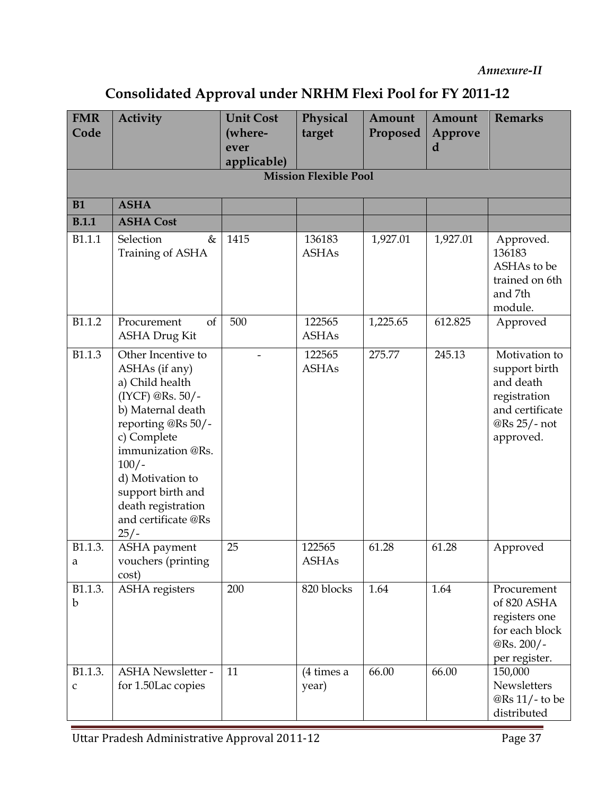## Consolidated Approval under NRHM Flexi Pool for FY 2011-12

| <b>FMR</b><br>Code           | <b>Activity</b>                                                                                                                                                                                                                                                       | <b>Unit Cost</b><br>(where-<br>ever<br>applicable) | Physical<br>target      | Amount<br>Proposed | Amount<br>Approve<br>d | <b>Remarks</b>                                                                                              |  |  |  |
|------------------------------|-----------------------------------------------------------------------------------------------------------------------------------------------------------------------------------------------------------------------------------------------------------------------|----------------------------------------------------|-------------------------|--------------------|------------------------|-------------------------------------------------------------------------------------------------------------|--|--|--|
| <b>Mission Flexible Pool</b> |                                                                                                                                                                                                                                                                       |                                                    |                         |                    |                        |                                                                                                             |  |  |  |
| <b>B1</b>                    | <b>ASHA</b>                                                                                                                                                                                                                                                           |                                                    |                         |                    |                        |                                                                                                             |  |  |  |
| <b>B.1.1</b>                 | <b>ASHA Cost</b>                                                                                                                                                                                                                                                      |                                                    |                         |                    |                        |                                                                                                             |  |  |  |
| B1.1.1                       | Selection<br>&<br>Training of ASHA                                                                                                                                                                                                                                    | 1415                                               | 136183<br><b>ASHAs</b>  | 1,927.01           | 1,927.01               | Approved.<br>136183<br>ASHAs to be<br>trained on 6th<br>and 7th<br>module.                                  |  |  |  |
| B1.1.2                       | <sub>of</sub><br>Procurement<br><b>ASHA Drug Kit</b>                                                                                                                                                                                                                  | 500                                                | 122565<br><b>ASHAs</b>  | 1,225.65           | 612.825                | Approved                                                                                                    |  |  |  |
| B1.1.3                       | Other Incentive to<br>ASHAs (if any)<br>a) Child health<br>(IYCF) @Rs. 50/-<br>b) Maternal death<br>reporting @Rs 50/-<br>c) Complete<br>immunization @Rs.<br>$100/-$<br>d) Motivation to<br>support birth and<br>death registration<br>and certificate @Rs<br>$25/-$ |                                                    | 122565<br><b>ASHAs</b>  | 275.77             | 245.13                 | Motivation to<br>support birth<br>and death<br>registration<br>and certificate<br>@Rs 25/- not<br>approved. |  |  |  |
| B1.1.3.<br>a                 | <b>ASHA</b> payment<br>vouchers (printing<br>cost)                                                                                                                                                                                                                    | 25                                                 | 122565<br><b>ASHAs</b>  | 61.28              | 61.28                  | Approved                                                                                                    |  |  |  |
| B1.1.3.<br>$\mathbf b$       | ASHA registers                                                                                                                                                                                                                                                        | 200                                                | 820 blocks              | 1.64               | 1.64                   | Procurement<br>of 820 ASHA<br>registers one<br>for each block<br>@Rs. 200/-<br>per register.                |  |  |  |
| B1.1.3.<br>C                 | <b>ASHA</b> Newsletter -<br>for 1.50Lac copies                                                                                                                                                                                                                        | 11                                                 | $(4 \times a)$<br>year) | 66.00              | 66.00                  | 150,000<br>Newsletters<br>@Rs 11/- to be<br>distributed                                                     |  |  |  |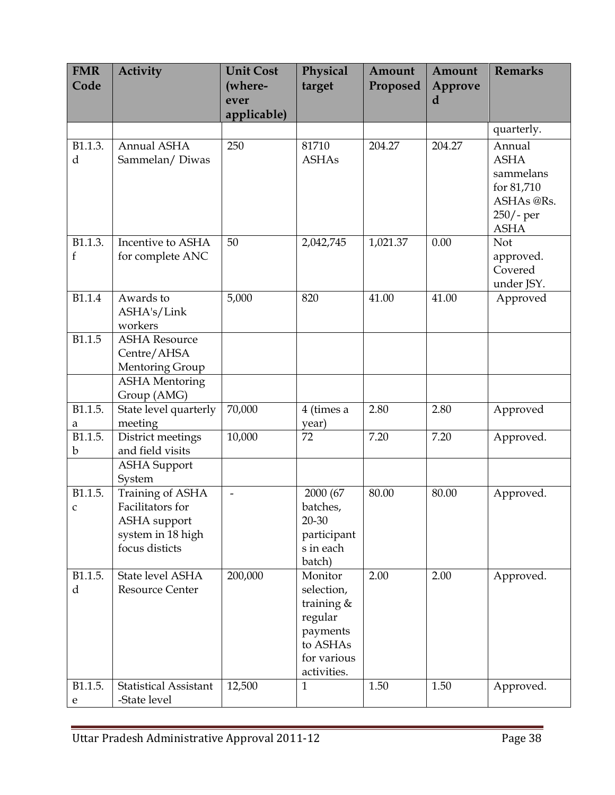| <b>FMR</b><br>Code | <b>Activity</b>                                                                                    | <b>Unit Cost</b><br>(where-<br>ever<br>applicable) | Physical<br>target                                                                                     | Amount<br>Proposed | Amount<br>Approve<br>d | <b>Remarks</b>                                                                               |
|--------------------|----------------------------------------------------------------------------------------------------|----------------------------------------------------|--------------------------------------------------------------------------------------------------------|--------------------|------------------------|----------------------------------------------------------------------------------------------|
|                    |                                                                                                    |                                                    |                                                                                                        |                    |                        | quarterly.                                                                                   |
| B1.1.3.<br>d       | Annual ASHA<br>Sammelan/Diwas                                                                      | 250                                                | 81710<br><b>ASHAs</b>                                                                                  | 204.27             | 204.27                 | Annual<br><b>ASHA</b><br>sammelans<br>for 81,710<br>ASHAs @Rs.<br>$250/-$ per<br><b>ASHA</b> |
| B1.1.3.<br>f       | Incentive to ASHA<br>for complete ANC                                                              | 50                                                 | 2,042,745                                                                                              | 1,021.37           | 0.00                   | Not<br>approved.<br>Covered<br>under JSY.                                                    |
| B1.1.4             | Awards to<br>ASHA's/Link<br>workers                                                                | 5,000                                              | 820                                                                                                    | 41.00              | 41.00                  | Approved                                                                                     |
| B1.1.5             | <b>ASHA Resource</b><br>Centre/AHSA<br>Mentoring Group<br><b>ASHA</b> Mentoring                    |                                                    |                                                                                                        |                    |                        |                                                                                              |
|                    | Group (AMG)                                                                                        |                                                    |                                                                                                        |                    |                        |                                                                                              |
| B1.1.5.<br>a       | State level quarterly<br>meeting                                                                   | 70,000                                             | 4 (times a<br>year)                                                                                    | 2.80               | 2.80                   | Approved                                                                                     |
| B1.1.5.<br>b       | District meetings<br>and field visits                                                              | 10,000                                             | 72                                                                                                     | 7.20               | 7.20                   | Approved.                                                                                    |
|                    | <b>ASHA</b> Support<br>System                                                                      |                                                    |                                                                                                        |                    |                        |                                                                                              |
| B1.1.5.<br>C       | Training of ASHA<br>Facilitators for<br><b>ASHA</b> support<br>system in 18 high<br>focus disticts | $\overline{\phantom{0}}$                           | 2000 (67<br>batches,<br>20-30<br>participant<br>s in each<br>batch)                                    | 80.00              | 80.00                  | Approved.                                                                                    |
| B1.1.5.<br>d       | State level ASHA<br><b>Resource Center</b>                                                         | 200,000                                            | Monitor<br>selection,<br>training $&$<br>regular<br>payments<br>to ASHAs<br>for various<br>activities. | 2.00               | 2.00                   | Approved.                                                                                    |
| B1.1.5.<br>e       | <b>Statistical Assistant</b><br>-State level                                                       | 12,500                                             | 1                                                                                                      | 1.50               | 1.50                   | Approved.                                                                                    |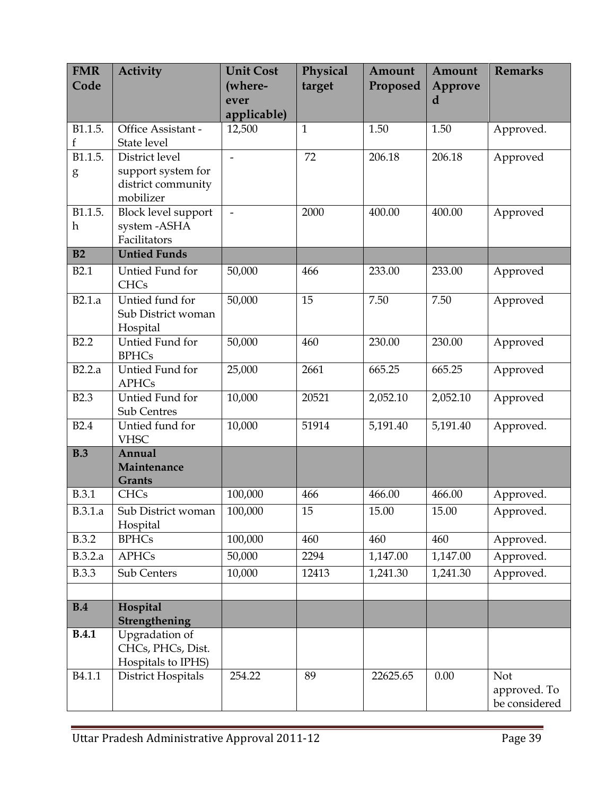| <b>FMR</b>   | <b>Activity</b>                          | <b>Unit Cost</b>    | Physical     | Amount   | Amount         | <b>Remarks</b> |
|--------------|------------------------------------------|---------------------|--------------|----------|----------------|----------------|
| Code         |                                          | (where-             | target       | Proposed | <b>Approve</b> |                |
|              |                                          | ever<br>applicable) |              |          | d              |                |
| B1.1.5.      | Office Assistant -                       | 12,500              | $\mathbf{1}$ | 1.50     | 1.50           | Approved.      |
| f            | State level                              |                     |              |          |                |                |
| B1.1.5.      | District level                           | $\overline{a}$      | 72           | 206.18   | 206.18         | Approved       |
| g            | support system for                       |                     |              |          |                |                |
|              | district community<br>mobilizer          |                     |              |          |                |                |
| B1.1.5.      | <b>Block level support</b>               | $\overline{a}$      | 2000         | 400.00   | 400.00         | Approved       |
| h            | system-ASHA                              |                     |              |          |                |                |
|              | Facilitators                             |                     |              |          |                |                |
| B2           | <b>Untied Funds</b>                      |                     |              |          |                |                |
| <b>B2.1</b>  | Untied Fund for<br><b>CHCs</b>           | 50,000              | 466          | 233.00   | 233.00         | Approved       |
| B2.1.a       | Untied fund for                          | 50,000              | 15           | 7.50     | 7.50           | Approved       |
|              | Sub District woman                       |                     |              |          |                |                |
|              | Hospital                                 |                     |              |          |                |                |
| <b>B2.2</b>  | Untied Fund for<br><b>BPHCs</b>          | 50,000              | 460          | 230.00   | 230.00         | Approved       |
| B2.2.a       | Untied Fund for<br><b>APHCs</b>          | 25,000              | 2661         | 665.25   | 665.25         | Approved       |
| <b>B2.3</b>  | Untied Fund for<br><b>Sub Centres</b>    | 10,000              | 20521        | 2,052.10 | 2,052.10       | Approved       |
| <b>B2.4</b>  | Untied fund for<br><b>VHSC</b>           | 10,000              | 51914        | 5,191.40 | 5,191.40       | Approved.      |
| B.3          | Annual<br>Maintenance                    |                     |              |          |                |                |
|              | <b>Grants</b>                            |                     |              |          |                |                |
| <b>B.3.1</b> | <b>CHCs</b>                              | 100,000             | 466          | 466.00   | 466.00         | Approved.      |
| B.3.1.a      | Sub District woman<br>Hospital           | 100,000             | 15           | 15.00    | 15.00          | Approved.      |
| <b>B.3.2</b> | <b>BPHCs</b>                             | 100,000             | 460          | 460      | 460            | Approved.      |
| B.3.2.a      | <b>APHCs</b>                             | 50,000              | 2294         | 1,147.00 | 1,147.00       | Approved.      |
| <b>B.3.3</b> | Sub Centers                              | 10,000              | 12413        | 1,241.30 | 1,241.30       | Approved.      |
|              |                                          |                     |              |          |                |                |
| B.4          | Hospital                                 |                     |              |          |                |                |
|              | Strengthening                            |                     |              |          |                |                |
| B.4.1        | Upgradation of                           |                     |              |          |                |                |
|              | CHCs, PHCs, Dist.                        |                     |              |          |                |                |
| B4.1.1       | Hospitals to IPHS)<br>District Hospitals | 254.22              | 89           | 22625.65 | 0.00           | Not            |
|              |                                          |                     |              |          |                | approved. To   |
|              |                                          |                     |              |          |                | be considered  |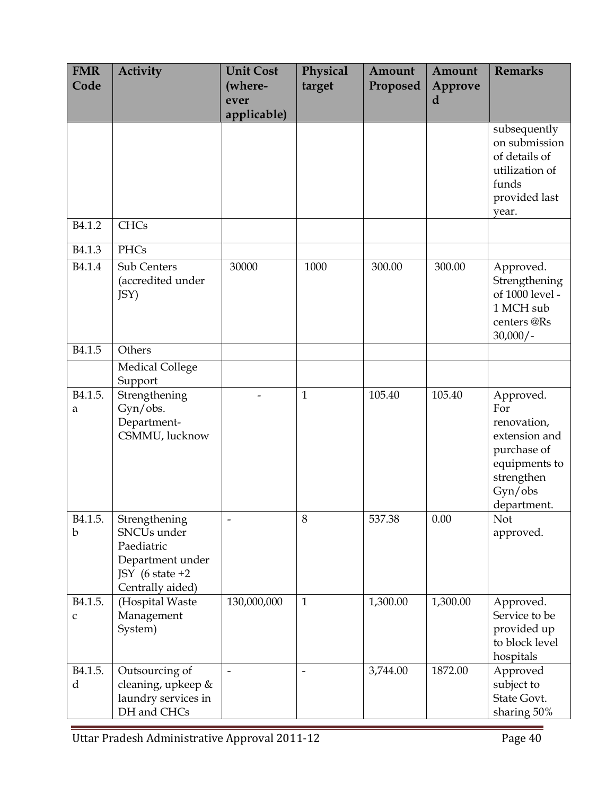| <b>FMR</b><br>Code                  | <b>Activity</b>                                                                                                               | <b>Unit Cost</b><br>(where-<br>ever<br>applicable) | Physical<br>target | Amount<br>Proposed | Amount<br>Approve<br>d | <b>Remarks</b>                                                                                                           |
|-------------------------------------|-------------------------------------------------------------------------------------------------------------------------------|----------------------------------------------------|--------------------|--------------------|------------------------|--------------------------------------------------------------------------------------------------------------------------|
|                                     |                                                                                                                               |                                                    |                    |                    |                        | subsequently<br>on submission<br>of details of<br>utilization of<br>funds<br>provided last<br>year.                      |
| B <sub>4.1.2</sub>                  | <b>CHCs</b>                                                                                                                   |                                                    |                    |                    |                        |                                                                                                                          |
| B <sub>4.1.3</sub>                  | PHCs                                                                                                                          |                                                    |                    |                    |                        |                                                                                                                          |
| B <sub>4.1.4</sub>                  | Sub Centers<br>(accredited under<br>JSY)                                                                                      | 30000                                              | 1000               | 300.00             | 300.00                 | Approved.<br>Strengthening<br>of 1000 level -<br>1 MCH sub<br>centers@Rs<br>$30,000/-$                                   |
| B <sub>4.1.5</sub>                  | Others                                                                                                                        |                                                    |                    |                    |                        |                                                                                                                          |
|                                     | <b>Medical College</b><br>Support                                                                                             |                                                    |                    |                    |                        |                                                                                                                          |
| B <sub>4.1.5</sub> .<br>a           | Strengthening<br>Gyn/obs.<br>Department-<br>CSMMU, lucknow                                                                    |                                                    | $\mathbf{1}$       | 105.40             | 105.40                 | Approved.<br>For<br>renovation,<br>extension and<br>purchase of<br>equipments to<br>strengthen<br>Gyn/obs<br>department. |
| B <sub>4.1.5</sub> .<br>$\mathbf b$ | Strengthening<br>SNCU <sub>s</sub> under<br>Paediatric<br>Department under<br>JSY $(6 \text{ state } +2)$<br>Centrally aided) |                                                    | 8                  | 537.38             | 0.00                   | Not<br>approved.                                                                                                         |
| B <sub>4.1.5</sub> .<br>C           | (Hospital Waste<br>Management<br>System)                                                                                      | 130,000,000                                        | $\mathbf{1}$       | 1,300.00           | 1,300.00               | Approved.<br>Service to be<br>provided up<br>to block level<br>hospitals                                                 |
| B <sub>4.1.5</sub> .<br>d           | Outsourcing of<br>cleaning, upkeep &<br>laundry services in<br>DH and CHCs                                                    | $\overline{\phantom{0}}$                           |                    | 3,744.00           | 1872.00                | Approved<br>subject to<br>State Govt.<br>sharing 50%                                                                     |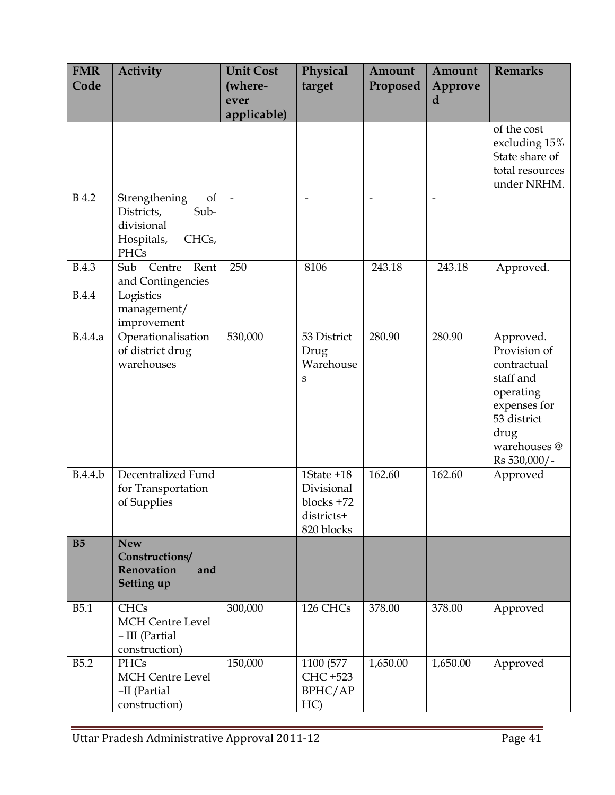| <b>FMR</b><br>Code | <b>Activity</b>                                                                        | <b>Unit Cost</b><br>(where-<br>ever<br>applicable) | Physical<br>target                                                 | Amount<br>Proposed | Amount<br>Approve<br>d   | <b>Remarks</b>                                                                                                                            |
|--------------------|----------------------------------------------------------------------------------------|----------------------------------------------------|--------------------------------------------------------------------|--------------------|--------------------------|-------------------------------------------------------------------------------------------------------------------------------------------|
|                    |                                                                                        |                                                    |                                                                    |                    |                          | of the cost<br>excluding 15%<br>State share of<br>total resources<br>under NRHM.                                                          |
| <b>B</b> 4.2       | Strengthening<br>of<br>Districts,<br>Sub-<br>divisional<br>Hospitals,<br>CHCs,<br>PHCs | $\overline{a}$                                     | $\overline{\phantom{0}}$                                           | $\overline{a}$     | $\overline{\phantom{0}}$ |                                                                                                                                           |
| <b>B.4.3</b>       | Sub<br>Centre<br>Rent<br>and Contingencies                                             | 250                                                | 8106                                                               | 243.18             | 243.18                   | Approved.                                                                                                                                 |
| <b>B.4.4</b>       | Logistics<br>management/<br>improvement                                                |                                                    |                                                                    |                    |                          |                                                                                                                                           |
| B.4.4.a            | Operationalisation<br>of district drug<br>warehouses                                   | 530,000                                            | 53 District<br>Drug<br>Warehouse<br>S                              | 280.90             | 280.90                   | Approved.<br>Provision of<br>contractual<br>staff and<br>operating<br>expenses for<br>53 district<br>drug<br>warehouses @<br>Rs 530,000/- |
| B.4.4.b            | Decentralized Fund<br>for Transportation<br>of Supplies                                |                                                    | 1State +18<br>Divisional<br>blocks +72<br>districts+<br>820 blocks | 162.60             | 162.60                   | Approved                                                                                                                                  |
| <b>B5</b>          | <b>New</b><br>Constructions/<br><b>Renovation</b><br>and<br>Setting up                 |                                                    |                                                                    |                    |                          |                                                                                                                                           |
| <b>B5.1</b>        | <b>CHCs</b><br><b>MCH</b> Centre Level<br>- III (Partial<br>construction)              | 300,000                                            | 126 CHCs                                                           | 378.00             | 378.00                   | Approved                                                                                                                                  |
| <b>B5.2</b>        | <b>PHCs</b><br>MCH Centre Level<br>-II (Partial<br>construction)                       | 150,000                                            | 1100 (577<br>CHC +523<br>BPHC/AP<br>HC)                            | 1,650.00           | 1,650.00                 | Approved                                                                                                                                  |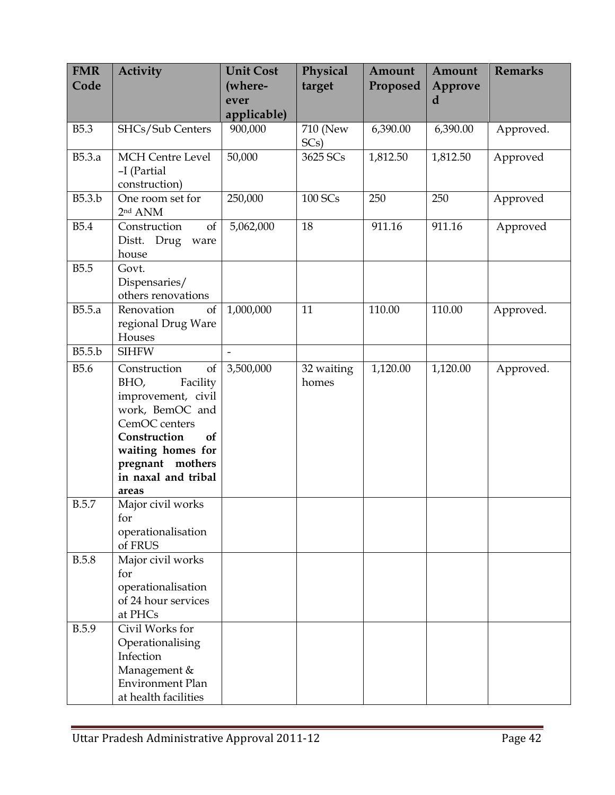| <b>FMR</b><br>Code | <b>Activity</b>                                                                                                                                                                                 | <b>Unit Cost</b><br>(where- | Physical<br>target  | Amount<br>Proposed | Amount<br>Approve | <b>Remarks</b> |
|--------------------|-------------------------------------------------------------------------------------------------------------------------------------------------------------------------------------------------|-----------------------------|---------------------|--------------------|-------------------|----------------|
|                    |                                                                                                                                                                                                 | ever                        |                     |                    | d                 |                |
|                    |                                                                                                                                                                                                 | applicable)                 |                     |                    |                   |                |
| <b>B5.3</b>        | SHCs/Sub Centers                                                                                                                                                                                | 900,000                     | 710 (New<br>SCs)    | 6,390.00           | 6,390.00          | Approved.      |
| B5.3.a             | <b>MCH</b> Centre Level<br>-I (Partial<br>construction)                                                                                                                                         | 50,000                      | 3625 SCs            | 1,812.50           | 1,812.50          | Approved       |
| B5.3.b             | One room set for<br>$2nd$ ANM                                                                                                                                                                   | 250,000                     | 100 SCs             | 250                | 250               | Approved       |
| <b>B5.4</b>        | Construction<br>of<br>Distt. Drug<br>ware<br>house                                                                                                                                              | 5,062,000                   | 18                  | 911.16             | 911.16            | Approved       |
| <b>B5.5</b>        | Govt.<br>Dispensaries/<br>others renovations                                                                                                                                                    |                             |                     |                    |                   |                |
| B5.5.a             | Renovation<br>of<br>regional Drug Ware<br>Houses                                                                                                                                                | 1,000,000                   | 11                  | 110.00             | 110.00            | Approved.      |
| B5.5.b             | <b>SIHFW</b>                                                                                                                                                                                    | $\overline{a}$              |                     |                    |                   |                |
| <b>B5.6</b>        | Construction<br>of<br>BHO,<br>Facility<br>improvement, civil<br>work, BemOC and<br>CemOC centers<br>Construction<br>of<br>waiting homes for<br>pregnant mothers<br>in naxal and tribal<br>areas | 3,500,000                   | 32 waiting<br>homes | 1,120.00           | 1,120.00          | Approved.      |
| <b>B.5.7</b>       | Major civil works<br>for<br>operationalisation<br>of FRUS                                                                                                                                       |                             |                     |                    |                   |                |
| <b>B.5.8</b>       | Major civil works<br>for<br>operationalisation<br>of 24 hour services<br>at PHCs                                                                                                                |                             |                     |                    |                   |                |
| <b>B.5.9</b>       | Civil Works for<br>Operationalising<br>Infection<br>Management &<br><b>Environment Plan</b><br>at health facilities                                                                             |                             |                     |                    |                   |                |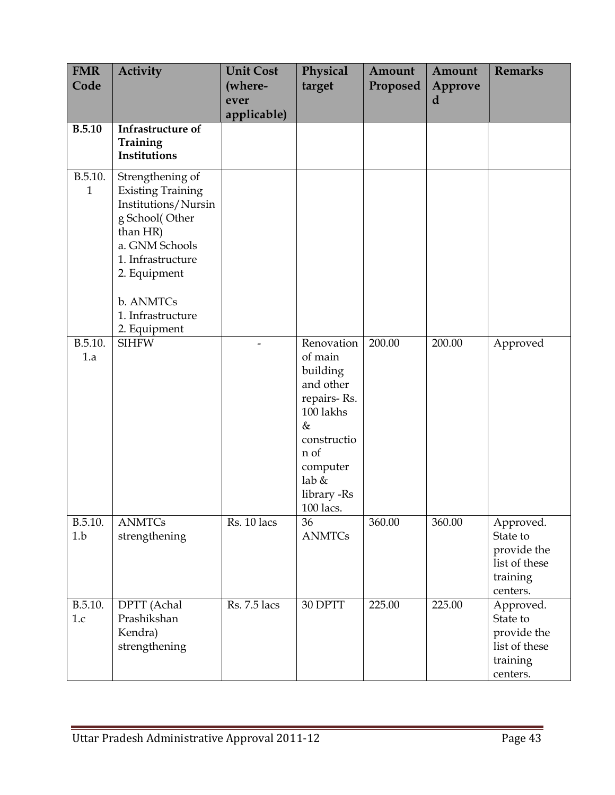| <b>FMR</b><br>Code      | <b>Activity</b>                                                                                                                                                                                            | <b>Unit Cost</b><br>(where- | Physical<br>target                                                                                                                                          | Amount<br>Proposed | Amount<br>Approve | <b>Remarks</b>                                                                |
|-------------------------|------------------------------------------------------------------------------------------------------------------------------------------------------------------------------------------------------------|-----------------------------|-------------------------------------------------------------------------------------------------------------------------------------------------------------|--------------------|-------------------|-------------------------------------------------------------------------------|
|                         |                                                                                                                                                                                                            | ever<br>applicable)         |                                                                                                                                                             |                    | d                 |                                                                               |
| <b>B.5.10</b>           | Infrastructure of<br>Training<br>Institutions                                                                                                                                                              |                             |                                                                                                                                                             |                    |                   |                                                                               |
| B.5.10.<br>$\mathbf{1}$ | Strengthening of<br><b>Existing Training</b><br>Institutions/Nursin<br>g School(Other<br>than HR)<br>a. GNM Schools<br>1. Infrastructure<br>2. Equipment<br>b. ANMTCs<br>1. Infrastructure<br>2. Equipment |                             |                                                                                                                                                             |                    |                   |                                                                               |
| B.5.10.<br>1.a          | <b>SIHFW</b>                                                                                                                                                                                               |                             | Renovation<br>of main<br>building<br>and other<br>repairs-Rs.<br>100 lakhs<br>$\&$<br>constructio<br>n of<br>computer<br>lab &<br>library -Rs<br>$100$ lacs | 200.00             | 200.00            | Approved                                                                      |
| B.5.10.<br>1.b          | <b>ANMTCs</b><br>strengthening                                                                                                                                                                             | Rs. 10 lacs                 | 36<br><b>ANMTCs</b>                                                                                                                                         | 360.00             | 360.00            | Approved.<br>State to<br>provide the<br>list of these<br>training<br>centers. |
| B.5.10.<br>1.c          | DPTT (Achal<br>Prashikshan<br>Kendra)<br>strengthening                                                                                                                                                     | Rs. 7.5 lacs                | 30 DPTT                                                                                                                                                     | 225.00             | 225.00            | Approved.<br>State to<br>provide the<br>list of these<br>training<br>centers. |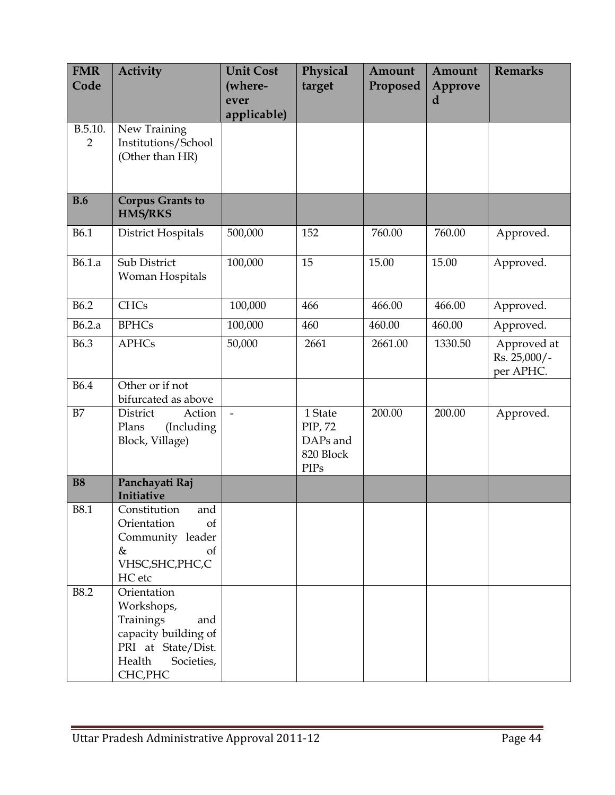| <b>FMR</b><br>Code        | <b>Activity</b>                                                                                                                 | <b>Unit Cost</b><br>(where- | Physical<br>target                                         | Amount<br>Proposed | Amount<br>Approve | <b>Remarks</b>                           |
|---------------------------|---------------------------------------------------------------------------------------------------------------------------------|-----------------------------|------------------------------------------------------------|--------------------|-------------------|------------------------------------------|
|                           |                                                                                                                                 | ever                        |                                                            |                    | d                 |                                          |
|                           |                                                                                                                                 | applicable)                 |                                                            |                    |                   |                                          |
| B.5.10.<br>$\overline{2}$ | New Training<br>Institutions/School<br>(Other than HR)                                                                          |                             |                                                            |                    |                   |                                          |
|                           |                                                                                                                                 |                             |                                                            |                    |                   |                                          |
| <b>B.6</b>                | <b>Corpus Grants to</b><br><b>HMS/RKS</b>                                                                                       |                             |                                                            |                    |                   |                                          |
| <b>B6.1</b>               | District Hospitals                                                                                                              | 500,000                     | 152                                                        | 760.00             | 760.00            | Approved.                                |
| B6.1.a                    | Sub District<br>Woman Hospitals                                                                                                 | 100,000                     | 15                                                         | 15.00              | 15.00             | Approved.                                |
| <b>B6.2</b>               | <b>CHCs</b>                                                                                                                     | 100,000                     | 466                                                        | 466.00             | 466.00            | Approved.                                |
| B6.2.a                    | <b>BPHCs</b>                                                                                                                    | 100,000                     | 460                                                        | 460.00             | 460.00            | Approved.                                |
| <b>B6.3</b>               | <b>APHCs</b>                                                                                                                    | 50,000                      | 2661                                                       | 2661.00            | 1330.50           | Approved at<br>Rs. 25,000/-<br>per APHC. |
| <b>B6.4</b>               | Other or if not<br>bifurcated as above                                                                                          |                             |                                                            |                    |                   |                                          |
| B7                        | District<br>Action<br>Plans<br>(Including<br>Block, Village)                                                                    | $\overline{\phantom{a}}$    | 1 State<br>PIP, 72<br>DAPs and<br>820 Block<br><b>PIPs</b> | 200.00             | 200.00            | Approved.                                |
| <b>B8</b>                 | Panchayati Raj<br>Initiative                                                                                                    |                             |                                                            |                    |                   |                                          |
| B8.1                      | Constitution<br>and<br>Orientation<br><sub>of</sub><br>Community leader<br>&<br>of<br>VHSC, SHC, PHC, C<br>HC etc               |                             |                                                            |                    |                   |                                          |
| <b>B8.2</b>               | Orientation<br>Workshops,<br>Trainings<br>and<br>capacity building of<br>PRI at State/Dist.<br>Health<br>Societies,<br>CHC, PHC |                             |                                                            |                    |                   |                                          |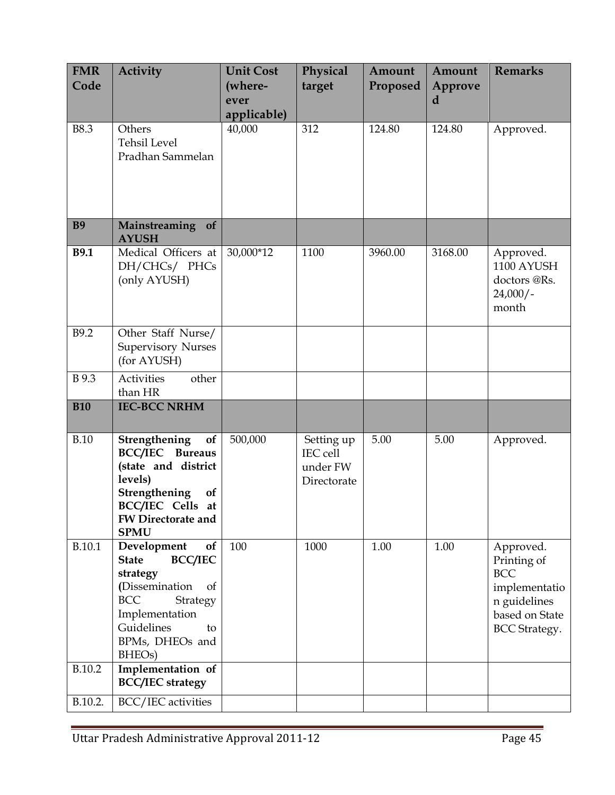| <b>FMR</b><br>Code | <b>Activity</b>                                                                                                                                                                                   | <b>Unit Cost</b><br>(where-<br>ever<br>applicable) | Physical<br>target                                | Amount<br>Proposed | Amount<br>Approve<br>d | <b>Remarks</b>                                                                                                    |
|--------------------|---------------------------------------------------------------------------------------------------------------------------------------------------------------------------------------------------|----------------------------------------------------|---------------------------------------------------|--------------------|------------------------|-------------------------------------------------------------------------------------------------------------------|
| <b>B8.3</b>        | Others<br><b>Tehsil Level</b><br>Pradhan Sammelan                                                                                                                                                 | 40,000                                             | 312                                               | 124.80             | 124.80                 | Approved.                                                                                                         |
| <b>B9</b>          | Mainstreaming<br>of<br><b>AYUSH</b>                                                                                                                                                               |                                                    |                                                   |                    |                        |                                                                                                                   |
| <b>B9.1</b>        | Medical Officers at<br>DH/CHCs/ PHCs<br>(only AYUSH)                                                                                                                                              | 30,000*12                                          | 1100                                              | 3960.00            | 3168.00                | Approved.<br>1100 AYUSH<br>doctors @Rs.<br>$24,000/-$<br>month                                                    |
| B9.2               | Other Staff Nurse/<br><b>Supervisory Nurses</b><br>(for AYUSH)                                                                                                                                    |                                                    |                                                   |                    |                        |                                                                                                                   |
| B 9.3              | Activities<br>other<br>than HR                                                                                                                                                                    |                                                    |                                                   |                    |                        |                                                                                                                   |
| <b>B10</b>         | <b>IEC-BCC NRHM</b>                                                                                                                                                                               |                                                    |                                                   |                    |                        |                                                                                                                   |
| <b>B.10</b>        | Strengthening<br>of<br><b>BCC/IEC</b> Bureaus<br>(state and district<br>levels)<br>Strengthening<br>of<br><b>BCC/IEC</b> Cells<br>at<br><b>FW Directorate and</b><br><b>SPMU</b>                  | 500,000                                            | Setting up<br>IEC cell<br>under FW<br>Directorate | 5.00               | 5.00                   | Approved.                                                                                                         |
| B.10.1             | Development<br>of<br><b>BCC/IEC</b><br><b>State</b><br>strategy<br>(Dissemination<br>of<br><b>BCC</b><br>Strategy<br>Implementation<br>Guidelines<br>to<br>BPMs, DHEOs and<br>BHEO <sub>s</sub> ) | 100                                                | 1000                                              | 1.00               | 1.00                   | Approved.<br>Printing of<br><b>BCC</b><br>implementatio<br>n guidelines<br>based on State<br><b>BCC</b> Strategy. |
| B.10.2             | Implementation of<br><b>BCC/IEC</b> strategy                                                                                                                                                      |                                                    |                                                   |                    |                        |                                                                                                                   |
| B.10.2.            | BCC/IEC activities                                                                                                                                                                                |                                                    |                                                   |                    |                        |                                                                                                                   |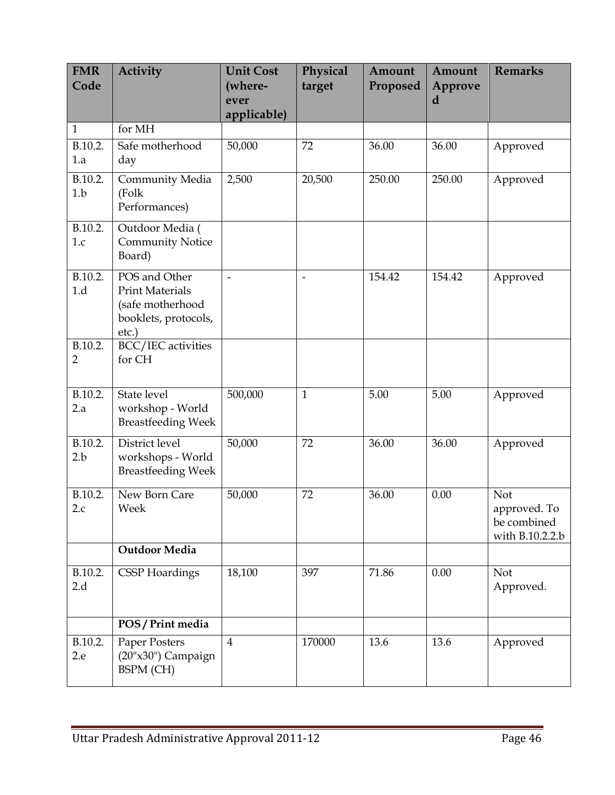| <b>FMR</b><br>Code | <b>Activity</b>                                                                              | <b>Unit Cost</b><br>(where- | Physical<br>target | Amount<br>Proposed | Amount<br>Approve | <b>Remarks</b>                                        |
|--------------------|----------------------------------------------------------------------------------------------|-----------------------------|--------------------|--------------------|-------------------|-------------------------------------------------------|
|                    |                                                                                              | ever<br>applicable)         |                    |                    | d                 |                                                       |
| $\mathbf{1}$       | for MH                                                                                       |                             |                    |                    |                   |                                                       |
| B.10.2.<br>1.a     | Safe motherhood<br>day                                                                       | 50,000                      | 72                 | 36.00              | 36.00             | Approved                                              |
| B.10.2.<br>1.b     | Community Media<br>(Folk<br>Performances)                                                    | 2,500                       | 20,500             | 250.00             | 250.00            | Approved                                              |
| B.10.2.<br>1.c     | Outdoor Media (<br><b>Community Notice</b><br>Board)                                         |                             |                    |                    |                   |                                                       |
| B.10.2.<br>1.d     | POS and Other<br><b>Print Materials</b><br>(safe motherhood<br>booklets, protocols,<br>etc.) |                             |                    | 154.42             | 154.42            | Approved                                              |
| B.10.2.<br>2       | BCC/IEC activities<br>for CH                                                                 |                             |                    |                    |                   |                                                       |
| B.10.2.<br>2.a     | State level<br>workshop - World<br><b>Breastfeeding Week</b>                                 | 500,000                     | $\mathbf{1}$       | 5.00               | 5.00              | Approved                                              |
| B.10.2.<br>2.b     | District level<br>workshops - World<br><b>Breastfeeding Week</b>                             | 50,000                      | 72                 | 36.00              | 36.00             | Approved                                              |
| B.10.2.<br>2.c     | New Born Care<br>Week                                                                        | 50,000                      | 72                 | 36.00              | 0.00              | Not<br>approved. To<br>be combined<br>with B.10.2.2.b |
|                    | <b>Outdoor Media</b>                                                                         |                             |                    |                    |                   |                                                       |
| B.10.2.<br>2.d     | <b>CSSP</b> Hoardings                                                                        | 18,100                      | 397                | 71.86              | 0.00              | Not<br>Approved.                                      |
|                    | POS / Print media                                                                            |                             |                    |                    |                   |                                                       |
| B.10.2.<br>2.e     | Paper Posters<br>(20"x30") Campaign<br><b>BSPM</b> (CH)                                      | $\overline{4}$              | 170000             | 13.6               | 13.6              | Approved                                              |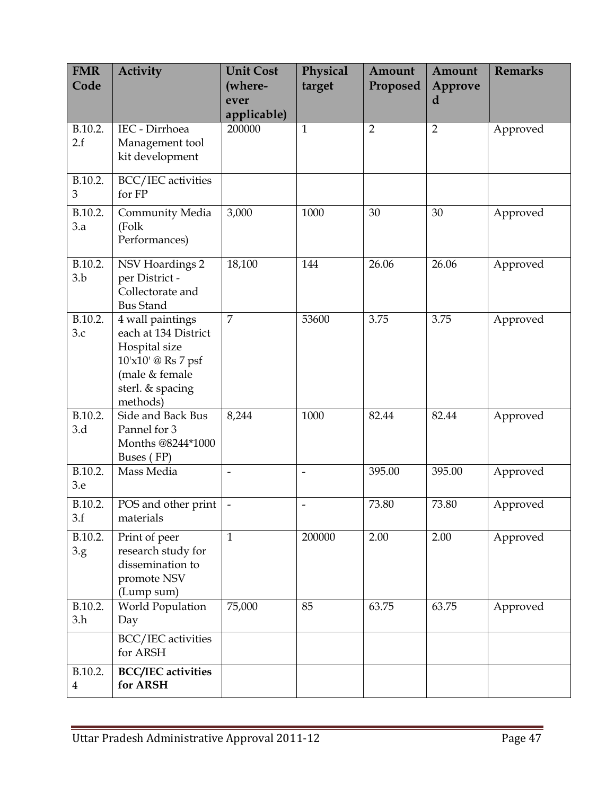| <b>FMR</b>                | <b>Activity</b>                                                                                                                   | <b>Unit Cost</b>         | Physical       | Amount         | Amount         | <b>Remarks</b> |
|---------------------------|-----------------------------------------------------------------------------------------------------------------------------------|--------------------------|----------------|----------------|----------------|----------------|
| Code                      |                                                                                                                                   | (where-                  | target         | Proposed       | Approve        |                |
|                           |                                                                                                                                   | ever                     |                |                | d              |                |
| B.10.2.                   | IEC - Dirrhoea                                                                                                                    | applicable)<br>200000    | 1              | $\overline{2}$ | $\overline{2}$ | Approved       |
| 2.f                       | Management tool<br>kit development                                                                                                |                          |                |                |                |                |
| B.10.2.<br>$\mathfrak{B}$ | BCC/IEC activities<br>for FP                                                                                                      |                          |                |                |                |                |
| B.10.2.<br>3.a            | Community Media<br>(Folk<br>Performances)                                                                                         | 3,000                    | 1000           | 30             | 30             | Approved       |
| B.10.2.<br>3.b            | NSV Hoardings 2<br>per District -<br>Collectorate and<br><b>Bus Stand</b>                                                         | 18,100                   | 144            | 26.06          | 26.06          | Approved       |
| B.10.2.<br>3.c            | 4 wall paintings<br>each at 134 District<br>Hospital size<br>10'x10' @ Rs 7 psf<br>(male & female<br>sterl. & spacing<br>methods) | $\overline{7}$           | 53600          | 3.75           | 3.75           | Approved       |
| B.10.2.<br>3.d            | Side and Back Bus<br>Pannel for 3<br>Months @8244*1000<br>Buses (FP)                                                              | 8,244                    | 1000           | 82.44          | 82.44          | Approved       |
| B.10.2.<br>3.e            | Mass Media                                                                                                                        | $\overline{\phantom{0}}$ | $\overline{a}$ | 395.00         | 395.00         | Approved       |
| B.10.2.<br>3.f            | POS and other print<br>materials                                                                                                  | $\overline{\phantom{a}}$ |                | 73.80          | 73.80          | Approved       |
| B.10.2.<br>3.g.           | Print of peer<br>research study for<br>dissemination to<br>promote NSV<br>(Lump sum)                                              | $\mathbf{1}$             | 200000         | 2.00           | 2.00           | Approved       |
| B.10.2.<br>3.h            | World Population<br>Day                                                                                                           | 75,000                   | 85             | 63.75          | 63.75          | Approved       |
|                           | BCC/IEC activities<br>for ARSH                                                                                                    |                          |                |                |                |                |
| B.10.2.<br>$\overline{4}$ | <b>BCC/IEC</b> activities<br>for ARSH                                                                                             |                          |                |                |                |                |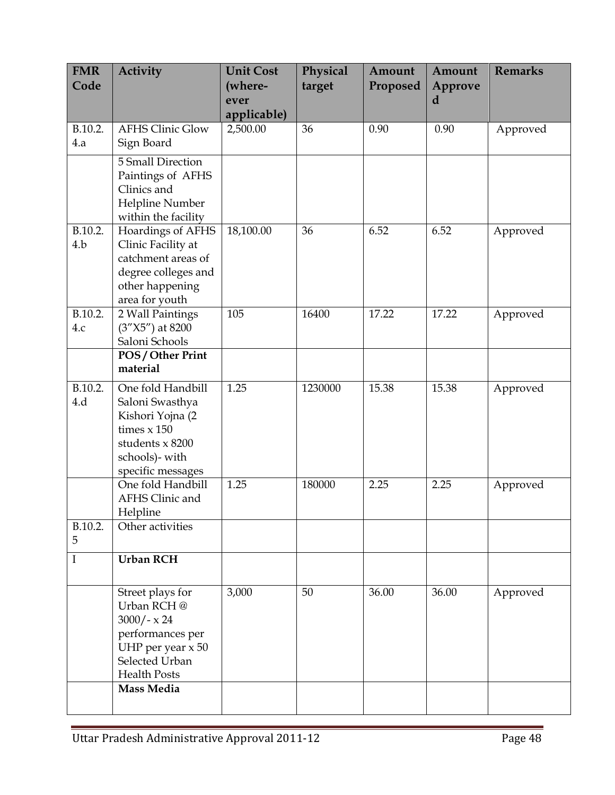| <b>FMR</b><br>Code | <b>Activity</b>                                                                                                                                    | <b>Unit Cost</b><br>(where- | Physical<br>target | Amount<br>Proposed | Amount<br>Approve | <b>Remarks</b> |
|--------------------|----------------------------------------------------------------------------------------------------------------------------------------------------|-----------------------------|--------------------|--------------------|-------------------|----------------|
|                    |                                                                                                                                                    | ever<br>applicable)         |                    |                    | d                 |                |
| B.10.2.<br>4.a     | <b>AFHS Clinic Glow</b><br>Sign Board                                                                                                              | 2,500.00                    | 36                 | 0.90               | 0.90              | Approved       |
|                    | 5 Small Direction<br>Paintings of AFHS<br>Clinics and<br>Helpline Number<br>within the facility                                                    |                             |                    |                    |                   |                |
| B.10.2.<br>4.b     | Hoardings of AFHS<br>Clinic Facility at<br>catchment areas of<br>degree colleges and<br>other happening<br>area for youth                          | 18,100.00                   | 36                 | 6.52               | 6.52              | Approved       |
| B.10.2.<br>4.c     | 2 Wall Paintings<br>$(3''X5'')$ at 8200<br>Saloni Schools                                                                                          | 105                         | 16400              | 17.22              | 17.22             | Approved       |
|                    | POS / Other Print<br>material                                                                                                                      |                             |                    |                    |                   |                |
| B.10.2.<br>4.d     | One fold Handbill<br>Saloni Swasthya<br>Kishori Yojna (2<br>times $x$ 150<br>students x 8200<br>schools)- with<br>specific messages                | 1.25                        | 1230000            | 15.38              | 15.38             | Approved       |
|                    | One fold Handbill<br>AFHS Clinic and<br>Helpline                                                                                                   | 1.25                        | 180000             | 2.25               | 2.25              | Approved       |
| B.10.2.<br>5       | Other activities                                                                                                                                   |                             |                    |                    |                   |                |
| I                  | <b>Urban RCH</b>                                                                                                                                   |                             |                    |                    |                   |                |
|                    | Street plays for<br>Urban RCH @<br>$3000/- x 24$<br>performances per<br>UHP per year $x 50$<br>Selected Urban<br><b>Health Posts</b><br>Mass Media | 3,000                       | 50                 | 36.00              | 36.00             | Approved       |
|                    |                                                                                                                                                    |                             |                    |                    |                   |                |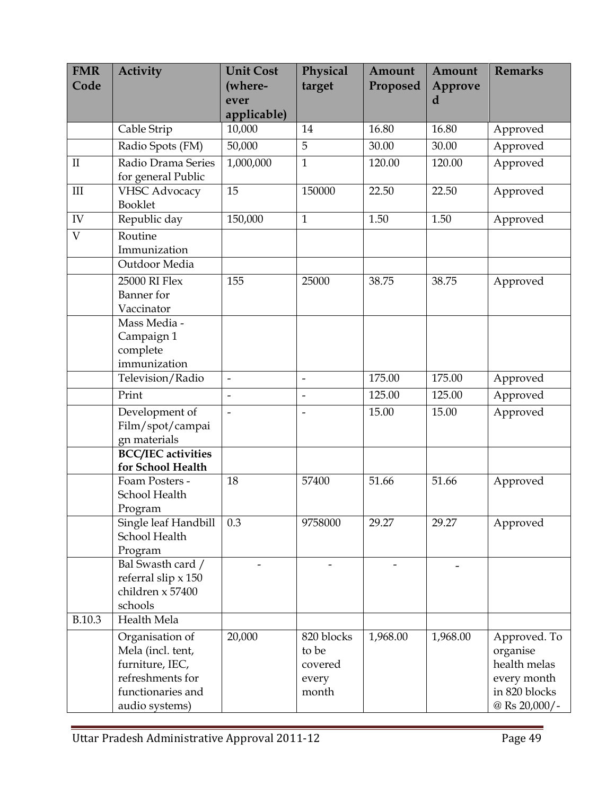| <b>FMR</b><br>Code | <b>Activity</b>                                                                                                    | <b>Unit Cost</b><br>(where-<br>ever<br>applicable) | Physical<br>target                               | Amount<br>Proposed | Amount<br>Approve<br>d | <b>Remarks</b>                                                                            |
|--------------------|--------------------------------------------------------------------------------------------------------------------|----------------------------------------------------|--------------------------------------------------|--------------------|------------------------|-------------------------------------------------------------------------------------------|
|                    | Cable Strip                                                                                                        | 10,000                                             | 14                                               | 16.80              | 16.80                  | Approved                                                                                  |
|                    | Radio Spots (FM)                                                                                                   | 50,000                                             | $\overline{5}$                                   | 30.00              | 30.00                  | Approved                                                                                  |
| $\mathbf{I}$       | Radio Drama Series<br>for general Public                                                                           | 1,000,000                                          | $\mathbf{1}$                                     | 120.00             | 120.00                 | Approved                                                                                  |
| III                | <b>VHSC Advocacy</b><br>Booklet                                                                                    | 15                                                 | 150000                                           | 22.50              | 22.50                  | Approved                                                                                  |
| ${\rm IV}$         | Republic day                                                                                                       | 150,000                                            | $\mathbf{1}$                                     | 1.50               | 1.50                   | Approved                                                                                  |
| $\overline{V}$     | Routine<br>Immunization                                                                                            |                                                    |                                                  |                    |                        |                                                                                           |
|                    | Outdoor Media                                                                                                      |                                                    |                                                  |                    |                        |                                                                                           |
|                    | 25000 RI Flex<br>Banner for<br>Vaccinator                                                                          | 155                                                | 25000                                            | 38.75              | 38.75                  | Approved                                                                                  |
|                    | Mass Media -<br>Campaign 1<br>complete<br>immunization                                                             |                                                    |                                                  |                    |                        |                                                                                           |
|                    | Television/Radio                                                                                                   | $\frac{1}{2}$                                      | $\overline{a}$                                   | 175.00             | 175.00                 | Approved                                                                                  |
|                    | Print                                                                                                              | $\frac{1}{2}$                                      | $\overline{a}$                                   | 125.00             | 125.00                 | Approved                                                                                  |
|                    | Development of<br>Film/spot/campai<br>gn materials                                                                 | $\overline{a}$                                     |                                                  | 15.00              | 15.00                  | Approved                                                                                  |
|                    | <b>BCC/IEC</b> activities<br>for School Health                                                                     |                                                    |                                                  |                    |                        |                                                                                           |
|                    | Foam Posters -<br>School Health<br>Program                                                                         | 18                                                 | 57400                                            | 51.66              | 51.66                  | Approved                                                                                  |
|                    | Single leaf Handbill<br>School Health<br>Program                                                                   | 0.3                                                | 9758000                                          | 29.27              | 29.27                  | Approved                                                                                  |
|                    | Bal Swasth card /<br>referral slip x 150<br>children x 57400<br>schools                                            |                                                    |                                                  |                    |                        |                                                                                           |
| B.10.3             | Health Mela                                                                                                        |                                                    |                                                  |                    |                        |                                                                                           |
|                    | Organisation of<br>Mela (incl. tent,<br>furniture, IEC,<br>refreshments for<br>functionaries and<br>audio systems) | 20,000                                             | 820 blocks<br>to be<br>covered<br>every<br>month | 1,968.00           | 1,968.00               | Approved. To<br>organise<br>health melas<br>every month<br>in 820 blocks<br>@ Rs 20,000/- |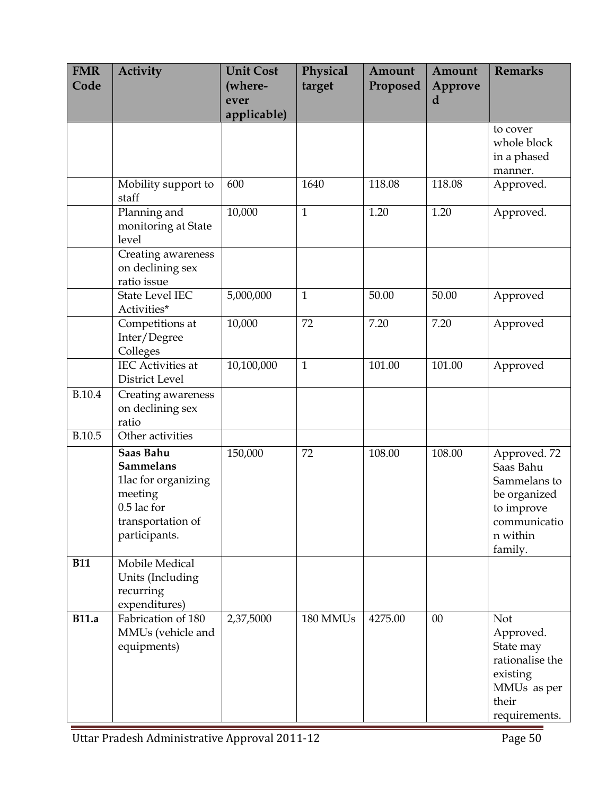| <b>FMR</b><br>Code | <b>Activity</b>                                                                                                                         | <b>Unit Cost</b><br>(where-<br>ever<br>applicable) | Physical<br>target | Amount<br>Proposed | Amount<br>Approve<br>d | <b>Remarks</b>                                                                                                 |
|--------------------|-----------------------------------------------------------------------------------------------------------------------------------------|----------------------------------------------------|--------------------|--------------------|------------------------|----------------------------------------------------------------------------------------------------------------|
|                    |                                                                                                                                         |                                                    |                    |                    |                        | to cover<br>whole block<br>in a phased<br>manner.                                                              |
|                    | Mobility support to<br>staff                                                                                                            | 600                                                | 1640               | 118.08             | 118.08                 | Approved.                                                                                                      |
|                    | Planning and<br>monitoring at State<br>level                                                                                            | 10,000                                             | $\mathbf{1}$       | 1.20               | 1.20                   | Approved.                                                                                                      |
|                    | Creating awareness<br>on declining sex<br>ratio issue                                                                                   |                                                    |                    |                    |                        |                                                                                                                |
|                    | <b>State Level IEC</b><br>Activities*                                                                                                   | 5,000,000                                          | $\mathbf{1}$       | 50.00              | 50.00                  | Approved                                                                                                       |
|                    | Competitions at<br>Inter/Degree<br>Colleges                                                                                             | 10,000                                             | 72                 | 7.20               | 7.20                   | Approved                                                                                                       |
|                    | <b>IEC</b> Activities at<br>District Level                                                                                              | 10,100,000                                         | $\mathbf{1}$       | 101.00             | 101.00                 | Approved                                                                                                       |
| <b>B.10.4</b>      | Creating awareness<br>on declining sex<br>ratio                                                                                         |                                                    |                    |                    |                        |                                                                                                                |
| B.10.5             | Other activities                                                                                                                        |                                                    |                    |                    |                        |                                                                                                                |
|                    | Saas Bahu<br><b>Sammelans</b><br>1lac for organizing<br>meeting<br>$0.5$ lac $\operatorname{for}$<br>transportation of<br>participants. | 150,000                                            | 72                 | 108.00             | 108.00                 | Approved. 72<br>Saas Bahu<br>Sammelans to<br>be organized<br>to improve<br>communicatio<br>n within<br>family. |
| <b>B11</b>         | Mobile Medical<br>Units (Including<br>recurring<br>expenditures)                                                                        |                                                    |                    |                    |                        |                                                                                                                |
| <b>B11.a</b>       | Fabrication of 180<br>MMUs (vehicle and<br>equipments)                                                                                  | 2,37,5000                                          | 180 MMUs           | 4275.00            | 00                     | Not<br>Approved.<br>State may<br>rationalise the<br>existing<br>MMUs as per<br>their<br>requirements.          |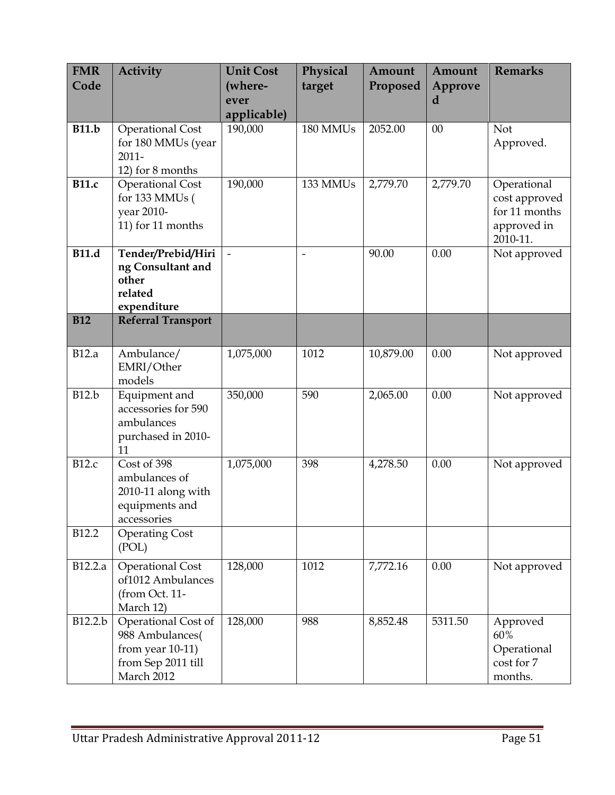| <b>FMR</b>          | <b>Activity</b>                               | <b>Unit Cost</b> | Physical | Amount    | Amount   | <b>Remarks</b>          |
|---------------------|-----------------------------------------------|------------------|----------|-----------|----------|-------------------------|
| Code                |                                               | (where-          | target   | Proposed  | Approve  |                         |
|                     |                                               | ever             |          |           | d        |                         |
|                     |                                               | applicable)      |          |           |          |                         |
| <b>B11.b</b>        | <b>Operational Cost</b><br>for 180 MMUs (year | 190,000          | 180 MMUs | 2052.00   | 00       | Not                     |
|                     | $2011 -$                                      |                  |          |           |          | Approved.               |
|                     | 12) for 8 months                              |                  |          |           |          |                         |
| $\overline{B}$ 11.c | <b>Operational Cost</b>                       | 190,000          | 133 MMUs | 2,779.70  | 2,779.70 | Operational             |
|                     | for 133 MMUs (                                |                  |          |           |          | cost approved           |
|                     | year 2010-                                    |                  |          |           |          | for 11 months           |
|                     | 11) for 11 months                             |                  |          |           |          | approved in<br>2010-11. |
| <b>B11.d</b>        | Tender/Prebid/Hiri                            |                  |          | 90.00     | 0.00     | Not approved            |
|                     | ng Consultant and                             |                  |          |           |          |                         |
|                     | other<br>related                              |                  |          |           |          |                         |
|                     | expenditure                                   |                  |          |           |          |                         |
| <b>B12</b>          | <b>Referral Transport</b>                     |                  |          |           |          |                         |
|                     |                                               |                  |          |           |          |                         |
| <b>B12.a</b>        | Ambulance/                                    | 1,075,000        | 1012     | 10,879.00 | 0.00     | Not approved            |
|                     | EMRI/Other                                    |                  |          |           |          |                         |
| <b>B12.b</b>        | models                                        | 350,000          | 590      | 2,065.00  | 0.00     |                         |
|                     | Equipment and<br>accessories for 590          |                  |          |           |          | Not approved            |
|                     | ambulances                                    |                  |          |           |          |                         |
|                     | purchased in 2010-                            |                  |          |           |          |                         |
|                     | 11                                            |                  |          |           |          |                         |
| <b>B12.c</b>        | Cost of 398                                   | 1,075,000        | 398      | 4,278.50  | 0.00     | Not approved            |
|                     | ambulances of<br>2010-11 along with           |                  |          |           |          |                         |
|                     | equipments and                                |                  |          |           |          |                         |
|                     | accessories                                   |                  |          |           |          |                         |
| B12.2               | <b>Operating Cost</b>                         |                  |          |           |          |                         |
|                     | (POL)                                         |                  |          |           |          |                         |
| B12.2.a             | <b>Operational Cost</b>                       | 128,000          | 1012     | 7,772.16  | 0.00     | Not approved            |
|                     | of1012 Ambulances                             |                  |          |           |          |                         |
|                     | (from Oct. 11-<br>March 12)                   |                  |          |           |          |                         |
| B12.2.b             | Operational Cost of                           | 128,000          | 988      | 8,852.48  | 5311.50  | Approved                |
|                     | 988 Ambulances(                               |                  |          |           |          | 60%                     |
|                     | from year $10-11$ )                           |                  |          |           |          | Operational             |
|                     | from Sep 2011 till                            |                  |          |           |          | cost for 7              |
|                     | March 2012                                    |                  |          |           |          | months.                 |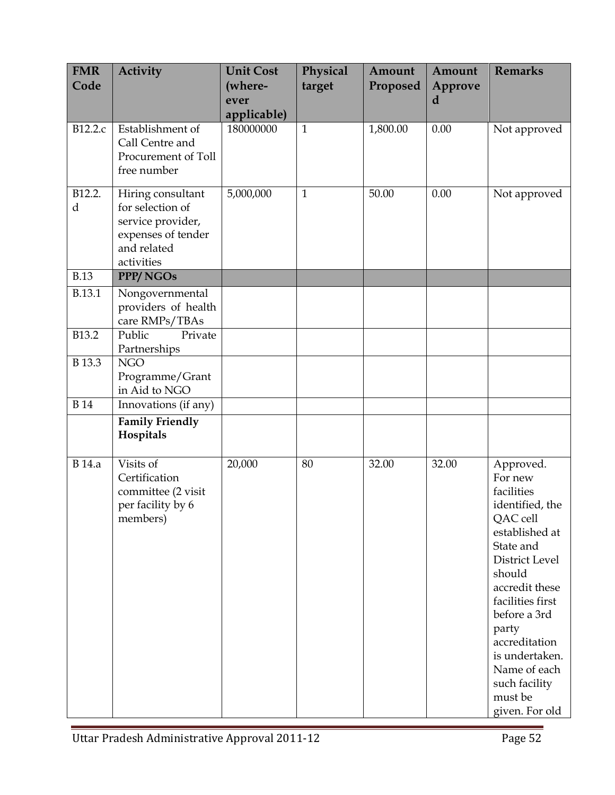| <b>FMR</b><br>Code | Activity                                                                                                      | <b>Unit Cost</b><br>(where-<br>ever<br>applicable) | Physical<br>target | Amount<br>Proposed | Amount<br>Approve<br>d | <b>Remarks</b>                                                                                                                                                                                                                                                                               |
|--------------------|---------------------------------------------------------------------------------------------------------------|----------------------------------------------------|--------------------|--------------------|------------------------|----------------------------------------------------------------------------------------------------------------------------------------------------------------------------------------------------------------------------------------------------------------------------------------------|
| B12.2.c            | Establishment of<br>Call Centre and<br>Procurement of Toll<br>free number                                     | 180000000                                          | $\mathbf{1}$       | 1,800.00           | 0.00                   | Not approved                                                                                                                                                                                                                                                                                 |
| B12.2.<br>d        | Hiring consultant<br>for selection of<br>service provider,<br>expenses of tender<br>and related<br>activities | 5,000,000                                          | $\mathbf{1}$       | 50.00              | 0.00                   | Not approved                                                                                                                                                                                                                                                                                 |
| <b>B.13</b>        | PPP/NGOs                                                                                                      |                                                    |                    |                    |                        |                                                                                                                                                                                                                                                                                              |
| B.13.1             | Nongovernmental<br>providers of health<br>care RMPs/TBAs                                                      |                                                    |                    |                    |                        |                                                                                                                                                                                                                                                                                              |
| B13.2              | Public<br>Private<br>Partnerships                                                                             |                                                    |                    |                    |                        |                                                                                                                                                                                                                                                                                              |
| B 13.3             | <b>NGO</b><br>Programme/Grant<br>in Aid to NGO                                                                |                                                    |                    |                    |                        |                                                                                                                                                                                                                                                                                              |
| <b>B</b> 14        | Innovations (if any)                                                                                          |                                                    |                    |                    |                        |                                                                                                                                                                                                                                                                                              |
|                    | <b>Family Friendly</b><br>Hospitals                                                                           |                                                    |                    |                    |                        |                                                                                                                                                                                                                                                                                              |
| <b>B</b> 14.a      | Visits of<br>Certification<br>committee (2 visit<br>per facility by 6<br>members)                             | 20,000                                             | 80                 | 32.00              | 32.00                  | Approved.<br>For new<br>facilities<br>identified, the<br>QAC cell<br>established at<br>State and<br>District Level<br>should<br>accredit these<br>facilities first<br>before a 3rd<br>party<br>accreditation<br>is undertaken.<br>Name of each<br>such facility<br>must be<br>given. For old |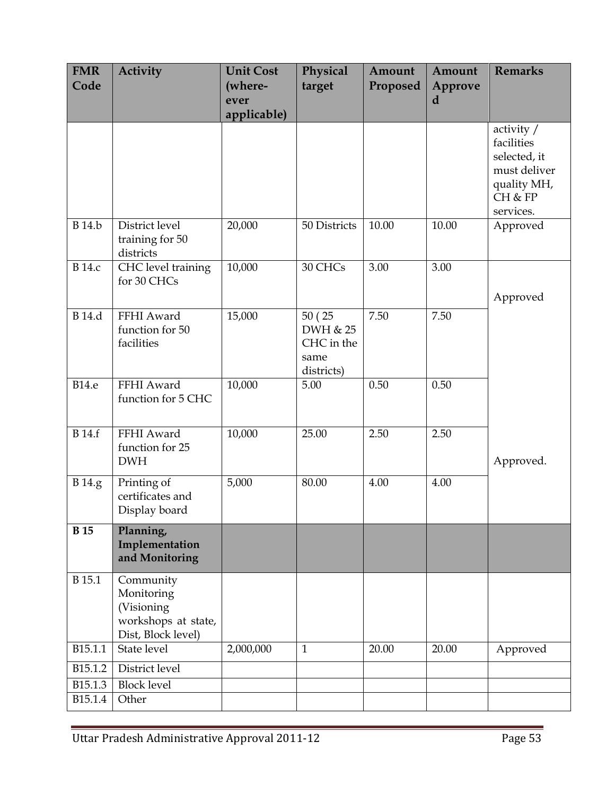| <b>FMR</b><br>Code | Activity                                                                           | <b>Unit Cost</b><br>(where-<br>ever | Physical<br>target                                      | Amount<br>Proposed | Amount<br>Approve<br>d | <b>Remarks</b>                                                                                    |
|--------------------|------------------------------------------------------------------------------------|-------------------------------------|---------------------------------------------------------|--------------------|------------------------|---------------------------------------------------------------------------------------------------|
|                    |                                                                                    | applicable)                         |                                                         |                    |                        |                                                                                                   |
|                    |                                                                                    |                                     |                                                         |                    |                        | activity $/$<br>facilities<br>selected, it<br>must deliver<br>quality MH,<br>CH & FP<br>services. |
| <b>B</b> 14.b      | District level<br>training for 50<br>districts                                     | 20,000                              | 50 Districts                                            | 10.00              | 10.00                  | Approved                                                                                          |
| <b>B</b> 14.c      | CHC level training<br>for 30 CHCs                                                  | 10,000                              | 30 CHCs                                                 | 3.00               | 3.00                   | Approved                                                                                          |
| <b>B</b> 14.d      | FFHI Award<br>function for 50<br>facilities                                        | 15,000                              | 50 (25)<br>DWH & 25<br>CHC in the<br>same<br>districts) | 7.50               | 7.50                   |                                                                                                   |
| <b>B14.e</b>       | FFHI Award<br>function for 5 CHC                                                   | 10,000                              | 5.00                                                    | 0.50               | 0.50                   |                                                                                                   |
| <b>B</b> 14.f      | FFHI Award<br>function for 25<br><b>DWH</b>                                        | 10,000                              | 25.00                                                   | 2.50               | 2.50                   | Approved.                                                                                         |
| B 14.g             | Printing of<br>certificates and<br>Display board                                   | 5,000                               | 80.00                                                   | 4.00               | 4.00                   |                                                                                                   |
| <b>B</b> 15        | Planning,<br>Implementation<br>and Monitoring                                      |                                     |                                                         |                    |                        |                                                                                                   |
| B 15.1             | Community<br>Monitoring<br>(Visioning<br>workshops at state,<br>Dist, Block level) |                                     |                                                         |                    |                        |                                                                                                   |
| B15.1.1            | State level                                                                        | 2,000,000                           | $\mathbf{1}$                                            | 20.00              | 20.00                  | Approved                                                                                          |
| B15.1.2            | District level                                                                     |                                     |                                                         |                    |                        |                                                                                                   |
| B15.1.3            | <b>Block level</b>                                                                 |                                     |                                                         |                    |                        |                                                                                                   |
| B15.1.4            | Other                                                                              |                                     |                                                         |                    |                        |                                                                                                   |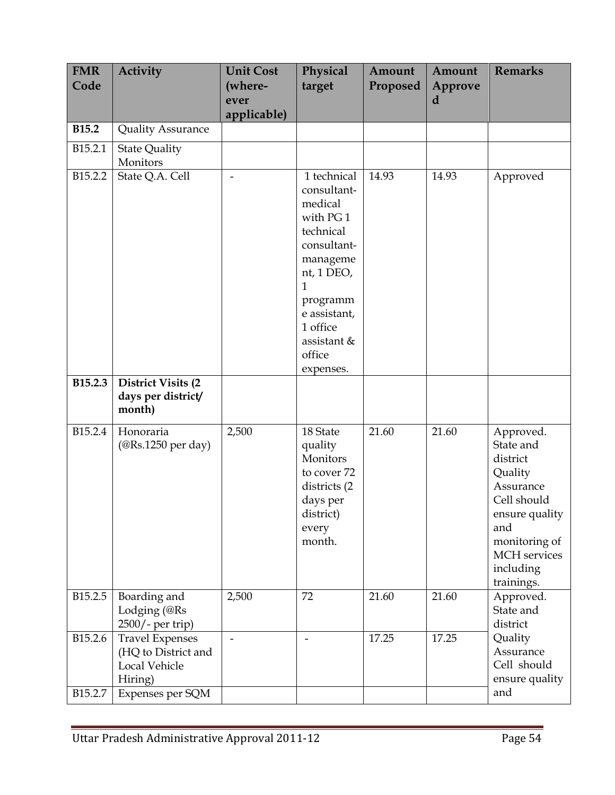| <b>FMR</b><br>Code                         | <b>Activity</b>                                                                                      | <b>Unit Cost</b><br>(where-<br>ever | Physical<br>target                                                                                                                                                                                       | Amount<br>Proposed | Amount<br>Approve<br>d | <b>Remarks</b>                                                                                                                                                 |
|--------------------------------------------|------------------------------------------------------------------------------------------------------|-------------------------------------|----------------------------------------------------------------------------------------------------------------------------------------------------------------------------------------------------------|--------------------|------------------------|----------------------------------------------------------------------------------------------------------------------------------------------------------------|
| <b>B15.2</b>                               | <b>Quality Assurance</b>                                                                             | applicable)                         |                                                                                                                                                                                                          |                    |                        |                                                                                                                                                                |
| B15.2.1                                    | <b>State Quality</b><br>Monitors                                                                     |                                     |                                                                                                                                                                                                          |                    |                        |                                                                                                                                                                |
| B15.2.2                                    | State Q.A. Cell                                                                                      |                                     | 1 technical<br>consultant-<br>medical<br>with PG1<br>technical<br>consultant-<br>manageme<br>$nt$ , 1 DEO,<br>$\mathbf{1}$<br>programm<br>e assistant,<br>1 office<br>assistant &<br>office<br>expenses. | 14.93              | 14.93                  | Approved                                                                                                                                                       |
| <b>B15.2.3</b>                             | <b>District Visits (2)</b><br>days per district/<br>month)                                           |                                     |                                                                                                                                                                                                          |                    |                        |                                                                                                                                                                |
| B <sub>15.2.4</sub>                        | Honoraria<br>$(\textcircled{R}s.1250 \text{ per day})$                                               | 2,500                               | 18 State<br>quality<br>Monitors<br>to cover 72<br>districts (2)<br>days per<br>district)<br>every<br>month.                                                                                              | 21.60              | 21.60                  | Approved.<br>State and<br>district<br>Quality<br>Assurance<br>Cell should<br>ensure quality<br>and<br>monitoring of<br>MCH services<br>including<br>trainings. |
| B15.2.5                                    | Boarding and<br>Lodging (@Rs<br>2500/- per trip)                                                     | 2,500                               | 72                                                                                                                                                                                                       | 21.60              | 21.60                  | Approved.<br>State and<br>district                                                                                                                             |
| B <sub>15.2.6</sub><br>B <sub>15.2.7</sub> | <b>Travel Expenses</b><br>(HQ to District and<br><b>Local Vehicle</b><br>Hiring)<br>Expenses per SQM | $\overline{a}$                      | $\overline{\phantom{0}}$                                                                                                                                                                                 | 17.25              | 17.25                  | Quality<br>Assurance<br>Cell should<br>ensure quality<br>and                                                                                                   |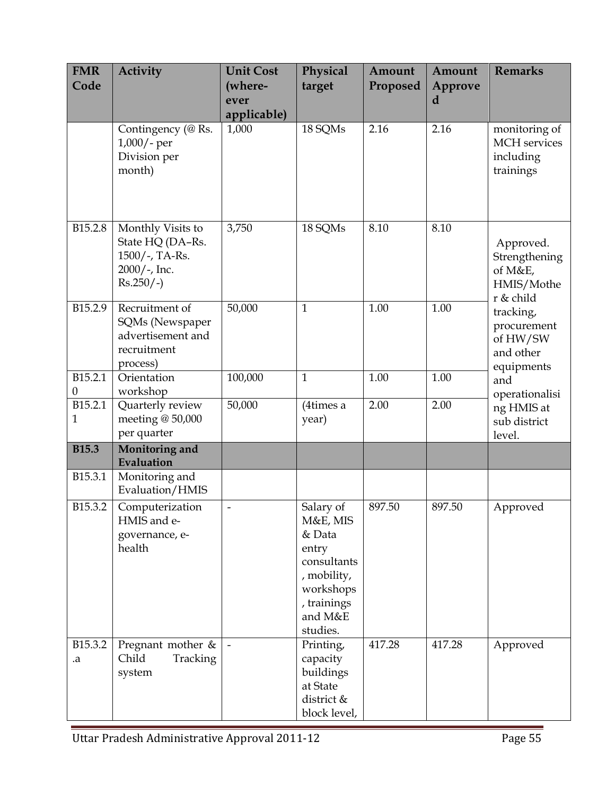| <b>FMR</b><br>Code                  | <b>Activity</b>                                                                       | <b>Unit Cost</b><br>(where-<br>ever<br>applicable) | Physical<br>target                                                                                                        | Amount<br>Proposed | Amount<br>Approve<br>d | <b>Remarks</b>                                                                                                                                               |
|-------------------------------------|---------------------------------------------------------------------------------------|----------------------------------------------------|---------------------------------------------------------------------------------------------------------------------------|--------------------|------------------------|--------------------------------------------------------------------------------------------------------------------------------------------------------------|
|                                     | Contingency (@ Rs.<br>$1,000/$ - per<br>Division per<br>month)                        | 1,000                                              | 18 SQMs                                                                                                                   | 2.16               | 2.16                   | monitoring of<br>MCH services<br>including<br>trainings                                                                                                      |
| B <sub>15.2.8</sub>                 | Monthly Visits to<br>State HQ (DA-Rs.<br>1500/-, TA-Rs.<br>2000/-, Inc.<br>$Rs.250/-$ | 3,750                                              | 18 SQMs                                                                                                                   | 8.10               | 8.10                   | Approved.<br>Strengthening<br>of M&E,<br>HMIS/Mothe<br>r & child<br>tracking,<br>procurement<br>of HW/SW<br>and other<br>equipments<br>and<br>operationalisi |
| B <sub>15.2.9</sub>                 | Recruitment of<br>SQMs (Newspaper<br>advertisement and<br>recruitment<br>process)     | 50,000                                             | $\mathbf{1}$                                                                                                              | 1.00               | 1.00                   |                                                                                                                                                              |
| B <sub>15.2.1</sub><br>$\mathbf{0}$ | Orientation<br>workshop                                                               | 100,000                                            | $\mathbf{1}$                                                                                                              | 1.00               | 1.00                   |                                                                                                                                                              |
| B15.2.1<br>$\mathbf{1}$             | Quarterly review<br>meeting @ 50,000<br>per quarter                                   | 50,000                                             | (4times a<br>year)                                                                                                        | 2.00               | 2.00                   | ng HMIS at<br>sub district<br>level.                                                                                                                         |
| <b>B15.3</b>                        | Monitoring and<br>Evaluation                                                          |                                                    |                                                                                                                           |                    |                        |                                                                                                                                                              |
| B15.3.1                             | Monitoring and<br>Evaluation/HMIS                                                     |                                                    |                                                                                                                           |                    |                        |                                                                                                                                                              |
| B <sub>15.3.2</sub>                 | Computerization<br>HMIS and e-<br>governance, e-<br>health                            | $\overline{\phantom{a}}$                           | Salary of<br>M&E, MIS<br>& Data<br>entry<br>consultants<br>, mobility,<br>workshops<br>, trainings<br>and M&E<br>studies. | 897.50             | 897.50                 | Approved                                                                                                                                                     |
| B15.3.2<br>.a                       | Pregnant mother $&$<br>Child<br>Tracking<br>system                                    |                                                    | Printing,<br>capacity<br>buildings<br>at State<br>district &<br>block level,                                              | 417.28             | 417.28                 | Approved                                                                                                                                                     |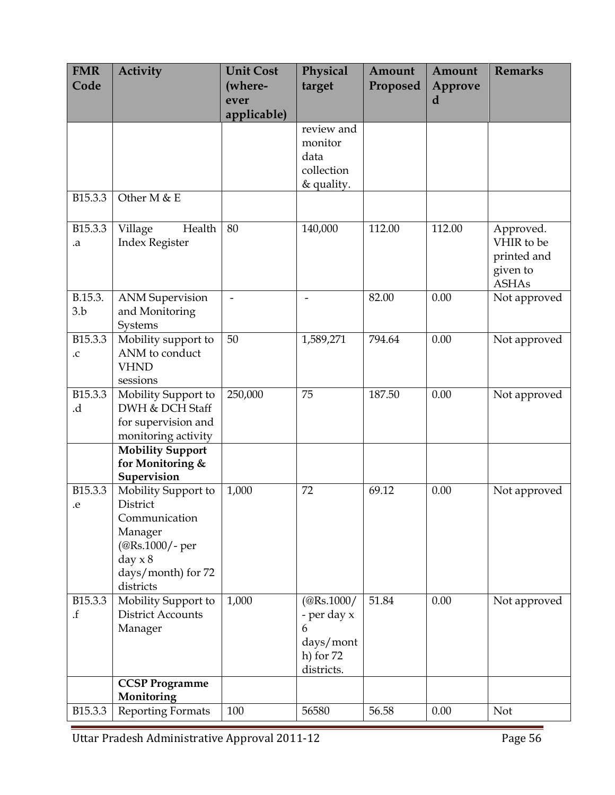| <b>FMR</b><br>Code                     | <b>Activity</b>                                                                                                                | <b>Unit Cost</b><br>(where-<br>ever | Physical<br>target                                                                    | Amount<br>Proposed | Amount<br>Approve<br>d | <b>Remarks</b>                                                     |
|----------------------------------------|--------------------------------------------------------------------------------------------------------------------------------|-------------------------------------|---------------------------------------------------------------------------------------|--------------------|------------------------|--------------------------------------------------------------------|
|                                        |                                                                                                                                | applicable)                         |                                                                                       |                    |                        |                                                                    |
|                                        |                                                                                                                                |                                     | review and<br>monitor<br>data<br>collection<br>& quality.                             |                    |                        |                                                                    |
| B15.3.3                                | Other M & E                                                                                                                    |                                     |                                                                                       |                    |                        |                                                                    |
| B15.3.3<br>.a                          | Health<br>Village<br><b>Index Register</b>                                                                                     | 80                                  | 140,000                                                                               | 112.00             | 112.00                 | Approved.<br>VHIR to be<br>printed and<br>given to<br><b>ASHAs</b> |
| B.15.3.<br>3.b                         | <b>ANM</b> Supervision<br>and Monitoring<br>Systems                                                                            | $\overline{a}$                      | $\overline{\phantom{0}}$                                                              | 82.00              | 0.00                   | Not approved                                                       |
| B15.3.3<br>${\rm .C}$                  | Mobility support to<br>ANM to conduct<br><b>VHND</b><br>sessions                                                               | 50                                  | 1,589,271                                                                             | 794.64             | 0.00                   | Not approved                                                       |
| B15.3.3<br>.d.                         | Mobility Support to<br>DWH & DCH Staff<br>for supervision and<br>monitoring activity                                           | 250,000                             | 75                                                                                    | 187.50             | 0.00                   | Not approved                                                       |
|                                        | <b>Mobility Support</b><br>for Monitoring &<br>Supervision                                                                     |                                     |                                                                                       |                    |                        |                                                                    |
| B15.3.3<br>.e                          | Mobility Support to<br>District<br>Communication<br>Manager<br>(@Rs.1000/- per<br>day $x 8$<br>days/month) for 72<br>districts | 1,000                               | 72                                                                                    | 69.12              | 0.00                   | Not approved                                                       |
| B15.3.3<br>$. \ensuremath{\mathbf{f}}$ | Mobility Support to<br><b>District Accounts</b><br>Manager                                                                     | 1,000                               | $(\textcircled{Rs.1000}/$<br>- per day x<br>6<br>days/mont<br>h) for 72<br>districts. | 51.84              | 0.00                   | Not approved                                                       |
|                                        | <b>CCSP Programme</b><br>Monitoring                                                                                            |                                     |                                                                                       |                    |                        |                                                                    |
| B15.3.3                                | <b>Reporting Formats</b>                                                                                                       | 100                                 | 56580                                                                                 | 56.58              | 0.00                   | <b>Not</b>                                                         |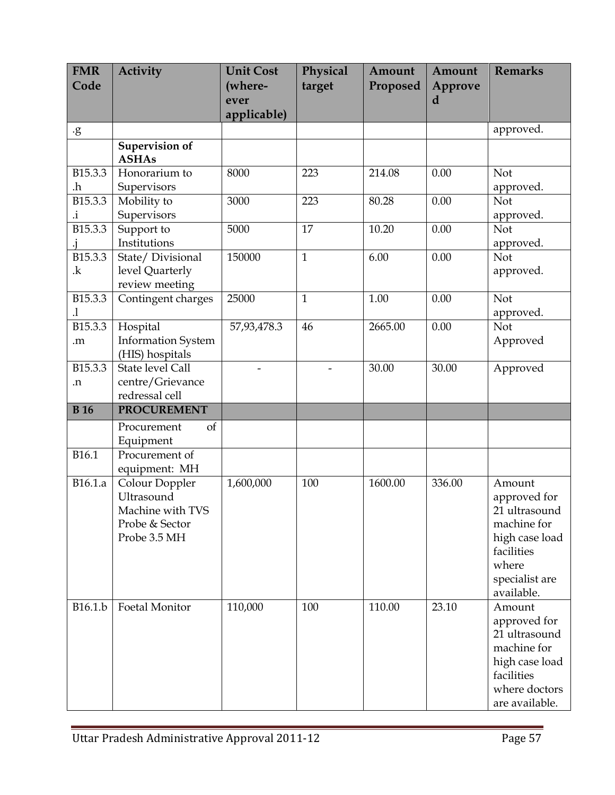| <b>FMR</b><br>Code | <b>Activity</b>                                                                    | <b>Unit Cost</b><br>(where- | Physical<br>target | Amount<br>Proposed | Amount<br>Approve | <b>Remarks</b>                                                                                                                  |
|--------------------|------------------------------------------------------------------------------------|-----------------------------|--------------------|--------------------|-------------------|---------------------------------------------------------------------------------------------------------------------------------|
|                    |                                                                                    | ever                        |                    |                    | d                 |                                                                                                                                 |
|                    |                                                                                    | applicable)                 |                    |                    |                   |                                                                                                                                 |
| $\cdot$ g          |                                                                                    |                             |                    |                    |                   | approved.                                                                                                                       |
|                    | <b>Supervision of</b><br><b>ASHAs</b>                                              |                             |                    |                    |                   |                                                                                                                                 |
| B15.3.3<br>.h      | Honorarium to<br>Supervisors                                                       | 8000                        | 223                | 214.08             | 0.00              | Not<br>approved.                                                                                                                |
| B15.3.3<br>i.      | Mobility to<br>Supervisors                                                         | 3000                        | 223                | 80.28              | 0.00              | <b>Not</b><br>approved.                                                                                                         |
| B15.3.3            | Support to<br>Institutions                                                         | 5000                        | 17                 | 10.20              | 0.00              | Not<br>approved.                                                                                                                |
| B15.3.3<br>k.      | State/Divisional<br>level Quarterly<br>review meeting                              | 150000                      | $\mathbf{1}$       | 6.00               | 0.00              | Not<br>approved.                                                                                                                |
| B15.3.3<br>$\cdot$ | Contingent charges                                                                 | 25000                       | $\mathbf{1}$       | 1.00               | 0.00              | Not<br>approved.                                                                                                                |
| B15.3.3<br>m.      | Hospital<br><b>Information System</b><br>(HIS) hospitals                           | 57,93,478.3                 | 46                 | 2665.00            | 0.00              | Not<br>Approved                                                                                                                 |
| B15.3.3<br>n.      | State level Call<br>centre/Grievance<br>redressal cell                             |                             |                    | 30.00              | 30.00             | Approved                                                                                                                        |
| <b>B</b> 16        | <b>PROCUREMENT</b>                                                                 |                             |                    |                    |                   |                                                                                                                                 |
|                    | of<br>Procurement<br>Equipment                                                     |                             |                    |                    |                   |                                                                                                                                 |
| B16.1              | Procurement of<br>equipment: MH                                                    |                             |                    |                    |                   |                                                                                                                                 |
| B16.1.a            | Colour Doppler<br>Ultrasound<br>Machine with TVS<br>Probe & Sector<br>Probe 3.5 MH | 1,600,000                   | 100                | 1600.00            | 336.00            | Amount<br>approved for<br>21 ultrasound<br>machine for<br>high case load<br>facilities<br>where<br>specialist are<br>available. |
| B16.1.b            | <b>Foetal Monitor</b>                                                              | 110,000                     | 100                | 110.00             | 23.10             | Amount<br>approved for<br>21 ultrasound<br>machine for<br>high case load<br>facilities<br>where doctors<br>are available.       |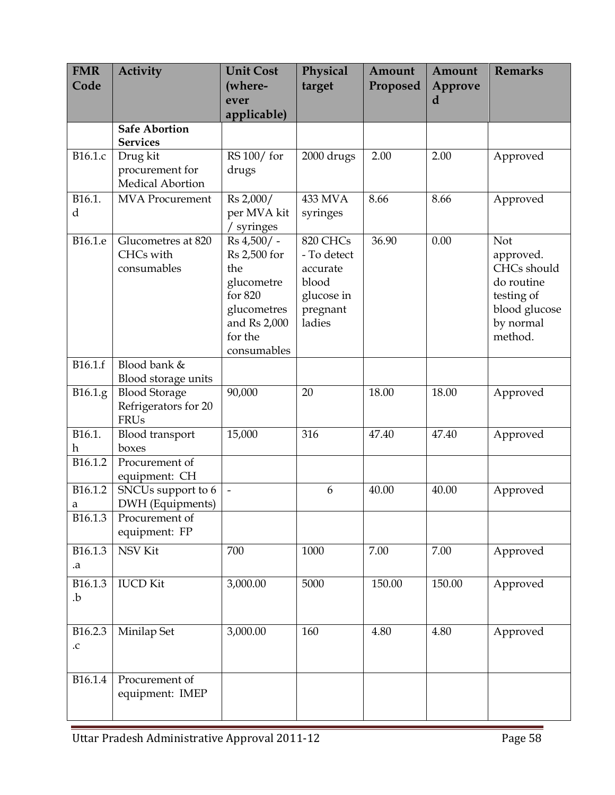| <b>FMR</b><br>Code    | <b>Activity</b>                                             | <b>Unit Cost</b><br>(where-<br>ever<br>applicable)                                                                  | Physical<br>target                                                               | Amount<br>Proposed | Amount<br>Approve<br>d | <b>Remarks</b>                                                                                       |
|-----------------------|-------------------------------------------------------------|---------------------------------------------------------------------------------------------------------------------|----------------------------------------------------------------------------------|--------------------|------------------------|------------------------------------------------------------------------------------------------------|
|                       | <b>Safe Abortion</b><br><b>Services</b>                     |                                                                                                                     |                                                                                  |                    |                        |                                                                                                      |
| B16.1.c               | Drug kit<br>procurement for<br><b>Medical Abortion</b>      | RS 100/for<br>drugs                                                                                                 | 2000 drugs                                                                       | 2.00               | 2.00                   | Approved                                                                                             |
| B16.1.<br>d           | <b>MVA</b> Procurement                                      | Rs 2,000/<br>per MVA kit<br>/ syringes                                                                              | 433 MVA<br>syringes                                                              | 8.66               | 8.66                   | Approved                                                                                             |
| B16.1.e               | Glucometres at 820<br>CHCs with<br>consumables              | Rs 4,500/-<br>Rs 2,500 for<br>the<br>glucometre<br>for 820<br>glucometres<br>and Rs 2,000<br>for the<br>consumables | 820 CHCs<br>- To detect<br>accurate<br>blood<br>glucose in<br>pregnant<br>ladies | 36.90              | 0.00                   | Not<br>approved.<br>CHCs should<br>do routine<br>testing of<br>blood glucose<br>by normal<br>method. |
| B16.1.f               | Blood bank &<br>Blood storage units                         |                                                                                                                     |                                                                                  |                    |                        |                                                                                                      |
| B16.1.g               | <b>Blood Storage</b><br>Refrigerators for 20<br><b>FRUs</b> | 90,000                                                                                                              | 20                                                                               | 18.00              | 18.00                  | Approved                                                                                             |
| B16.1.<br>h           | Blood transport<br>boxes                                    | 15,000                                                                                                              | 316                                                                              | 47.40              | 47.40                  | Approved                                                                                             |
| B16.1.2               | Procurement of<br>equipment: CH                             |                                                                                                                     |                                                                                  |                    |                        |                                                                                                      |
| B16.1.2<br>a          | SNCUs support to 6<br>DWH (Equipments)                      | $\overline{\phantom{a}}$                                                                                            | 6                                                                                | 40.00              | 40.00                  | Approved                                                                                             |
| B16.1.3               | Procurement of<br>equipment: FP                             |                                                                                                                     |                                                                                  |                    |                        |                                                                                                      |
| B16.1.3<br>.a         | <b>NSV</b> Kit                                              | 700                                                                                                                 | 1000                                                                             | 7.00               | 7.00                   | Approved                                                                                             |
| B16.1.3<br>.b         | <b>IUCD Kit</b>                                             | 3,000.00                                                                                                            | 5000                                                                             | 150.00             | 150.00                 | Approved                                                                                             |
| B16.2.3<br>${\rm .C}$ | Minilap Set                                                 | 3,000.00                                                                                                            | 160                                                                              | 4.80               | 4.80                   | Approved                                                                                             |
| B16.1.4               | Procurement of<br>equipment: IMEP                           |                                                                                                                     |                                                                                  |                    |                        |                                                                                                      |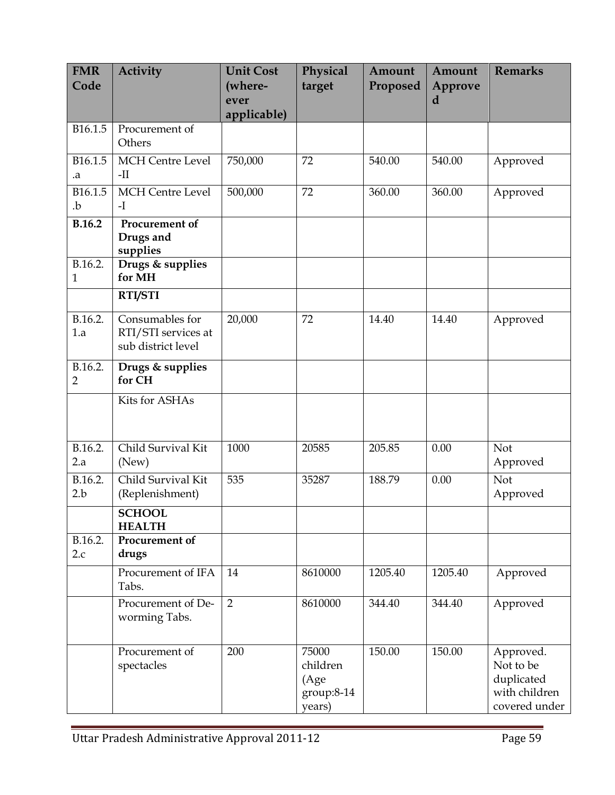| <b>FMR</b><br>Code      | <b>Activity</b>                                              | <b>Unit Cost</b><br>(where-<br>ever<br>applicable) | Physical<br>target                                | Amount<br>Proposed | Amount<br>Approve<br>d | <b>Remarks</b>                                                         |
|-------------------------|--------------------------------------------------------------|----------------------------------------------------|---------------------------------------------------|--------------------|------------------------|------------------------------------------------------------------------|
| B16.1.5                 | Procurement of<br>Others                                     |                                                    |                                                   |                    |                        |                                                                        |
| B16.1.5<br>.a           | <b>MCH</b> Centre Level<br>$-II$                             | 750,000                                            | 72                                                | 540.00             | 540.00                 | Approved                                                               |
| B16.1.5<br>.b           | <b>MCH</b> Centre Level<br>$-I$                              | 500,000                                            | 72                                                | 360.00             | 360.00                 | Approved                                                               |
| <b>B.16.2</b>           | Procurement of<br>Drugs and<br>supplies                      |                                                    |                                                   |                    |                        |                                                                        |
| B.16.2.<br>$\mathbf{1}$ | Drugs & supplies<br>for MH                                   |                                                    |                                                   |                    |                        |                                                                        |
|                         | <b>RTI/STI</b>                                               |                                                    |                                                   |                    |                        |                                                                        |
| B.16.2.<br>1.a          | Consumables for<br>RTI/STI services at<br>sub district level | 20,000                                             | 72                                                | 14.40              | 14.40                  | Approved                                                               |
| B.16.2.<br>2            | Drugs & supplies<br>for CH                                   |                                                    |                                                   |                    |                        |                                                                        |
|                         | Kits for ASHAs                                               |                                                    |                                                   |                    |                        |                                                                        |
| B.16.2.<br>2.a          | Child Survival Kit<br>(New)                                  | 1000                                               | 20585                                             | 205.85             | 0.00                   | Not<br>Approved                                                        |
| B.16.2.<br>2.b          | Child Survival Kit<br>(Replenishment)                        | 535                                                | 35287                                             | 188.79             | 0.00                   | Not<br>Approved                                                        |
|                         | <b>SCHOOL</b><br><b>HEALTH</b>                               |                                                    |                                                   |                    |                        |                                                                        |
| B.16.2.<br>2.c          | Procurement of<br>drugs                                      |                                                    |                                                   |                    |                        |                                                                        |
|                         | Procurement of IFA<br>Tabs.                                  | 14                                                 | 8610000                                           | 1205.40            | 1205.40                | Approved                                                               |
|                         | Procurement of De-<br>worming Tabs.                          | $\overline{2}$                                     | 8610000                                           | 344.40             | 344.40                 | Approved                                                               |
|                         | Procurement of<br>spectacles                                 | 200                                                | 75000<br>children<br>(Age<br>group:8-14<br>years) | 150.00             | 150.00                 | Approved.<br>Not to be<br>duplicated<br>with children<br>covered under |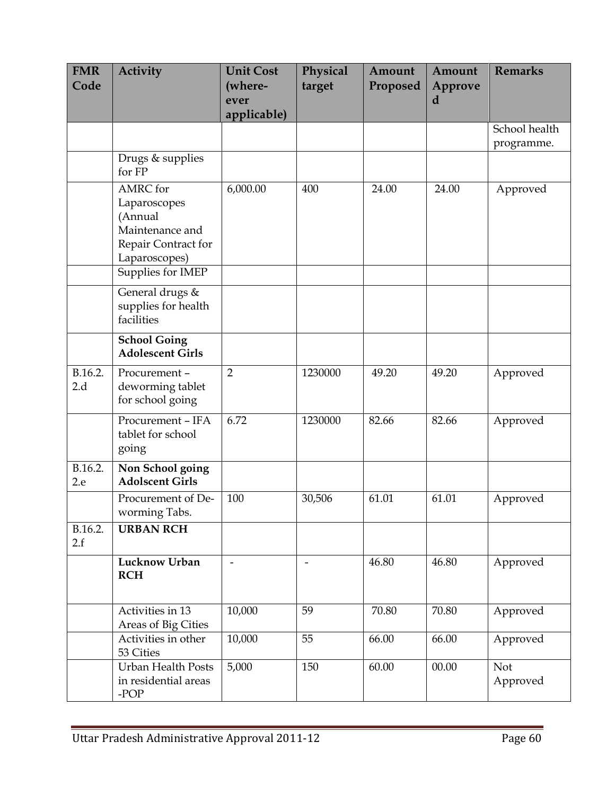| <b>FMR</b><br>Code | <b>Activity</b>                                                                                                            | <b>Unit Cost</b><br>(where-<br>ever<br>applicable) | Physical<br>target       | Amount<br>Proposed | Amount<br>Approve<br>d | <b>Remarks</b>              |
|--------------------|----------------------------------------------------------------------------------------------------------------------------|----------------------------------------------------|--------------------------|--------------------|------------------------|-----------------------------|
|                    |                                                                                                                            |                                                    |                          |                    |                        | School health<br>programme. |
|                    | Drugs & supplies<br>for FP                                                                                                 |                                                    |                          |                    |                        |                             |
|                    | <b>AMRC</b> for<br>Laparoscopes<br>(Annual<br>Maintenance and<br>Repair Contract for<br>Laparoscopes)<br>Supplies for IMEP | 6,000.00                                           | 400                      | 24.00              | 24.00                  | Approved                    |
|                    | General drugs &<br>supplies for health<br>facilities                                                                       |                                                    |                          |                    |                        |                             |
|                    | <b>School Going</b><br><b>Adolescent Girls</b>                                                                             |                                                    |                          |                    |                        |                             |
| B.16.2.<br>2.d     | Procurement-<br>deworming tablet<br>for school going                                                                       | $\overline{2}$                                     | 1230000                  | 49.20              | 49.20                  | Approved                    |
|                    | Procurement - IFA<br>tablet for school<br>going                                                                            | 6.72                                               | 1230000                  | 82.66              | 82.66                  | Approved                    |
| B.16.2.<br>2.e     | Non School going<br><b>Adolscent Girls</b>                                                                                 |                                                    |                          |                    |                        |                             |
|                    | Procurement of De-<br>worming Tabs.                                                                                        | 100                                                | 30,506                   | 61.01              | 61.01                  | Approved                    |
| B.16.2.<br>2.f     | <b>URBAN RCH</b>                                                                                                           |                                                    |                          |                    |                        |                             |
|                    | <b>Lucknow Urban</b><br><b>RCH</b>                                                                                         | $\overline{\phantom{a}}$                           | $\overline{\phantom{0}}$ | 46.80              | 46.80                  | Approved                    |
|                    | Activities in 13<br>Areas of Big Cities                                                                                    | 10,000                                             | 59                       | 70.80              | 70.80                  | Approved                    |
|                    | Activities in other<br>53 Cities                                                                                           | 10,000                                             | 55                       | 66.00              | 66.00                  | Approved                    |
|                    | Urban Health Posts<br>in residential areas<br>-POP                                                                         | 5,000                                              | 150                      | 60.00              | 00.00                  | Not<br>Approved             |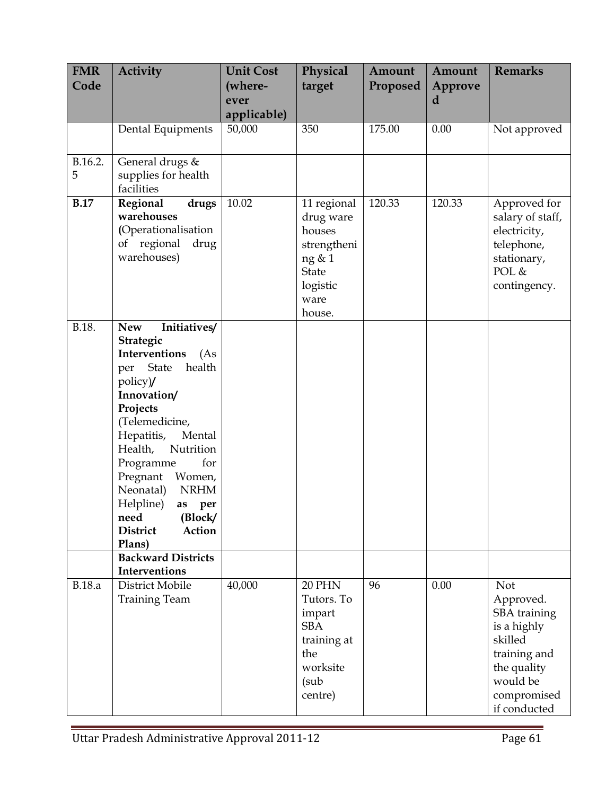| <b>FMR</b><br>Code | <b>Activity</b>                                                                                                                                                                                                                                                                                                                                        | <b>Unit Cost</b><br>(where-<br>ever<br>applicable) | Physical<br>target                                                                                        | Amount<br>Proposed | Amount<br>Approve<br>d | <b>Remarks</b>                                                                                                                       |
|--------------------|--------------------------------------------------------------------------------------------------------------------------------------------------------------------------------------------------------------------------------------------------------------------------------------------------------------------------------------------------------|----------------------------------------------------|-----------------------------------------------------------------------------------------------------------|--------------------|------------------------|--------------------------------------------------------------------------------------------------------------------------------------|
|                    | Dental Equipments                                                                                                                                                                                                                                                                                                                                      | 50,000                                             | 350                                                                                                       | 175.00             | 0.00                   | Not approved                                                                                                                         |
| B.16.2.<br>5       | General drugs &<br>supplies for health<br>facilities                                                                                                                                                                                                                                                                                                   |                                                    |                                                                                                           |                    |                        |                                                                                                                                      |
| <b>B.17</b>        | Regional<br>drugs<br>warehouses<br>(Operationalisation<br>of regional<br>drug<br>warehouses)                                                                                                                                                                                                                                                           | 10.02                                              | 11 regional<br>drug ware<br>houses<br>strengtheni<br>ng & 1<br><b>State</b><br>logistic<br>ware<br>house. | 120.33             | 120.33                 | Approved for<br>salary of staff,<br>electricity,<br>telephone,<br>stationary,<br>POL &<br>contingency.                               |
| B.18.              | Initiatives/<br><b>New</b><br>Strategic<br>Interventions<br>(As<br>health<br>per State<br>policy)/<br>Innovation/<br>Projects<br>(Telemedicine,<br>Hepatitis,<br>Mental<br>Nutrition<br>Health,<br>for<br>Programme<br>Pregnant Women,<br>Neonatal)<br><b>NRHM</b><br>Helpline)<br>as<br>per<br>(Block/<br>need<br>Action<br><b>District</b><br>Plans) |                                                    |                                                                                                           |                    |                        |                                                                                                                                      |
|                    | <b>Backward Districts</b><br>Interventions                                                                                                                                                                                                                                                                                                             |                                                    |                                                                                                           |                    |                        |                                                                                                                                      |
| <b>B.18.a</b>      | District Mobile<br><b>Training Team</b>                                                                                                                                                                                                                                                                                                                | 40,000                                             | <b>20 PHN</b><br>Tutors. To<br>impart<br><b>SBA</b><br>training at<br>the<br>worksite<br>(sub<br>centre)  | 96                 | 0.00                   | Not<br>Approved.<br>SBA training<br>is a highly<br>skilled<br>training and<br>the quality<br>would be<br>compromised<br>if conducted |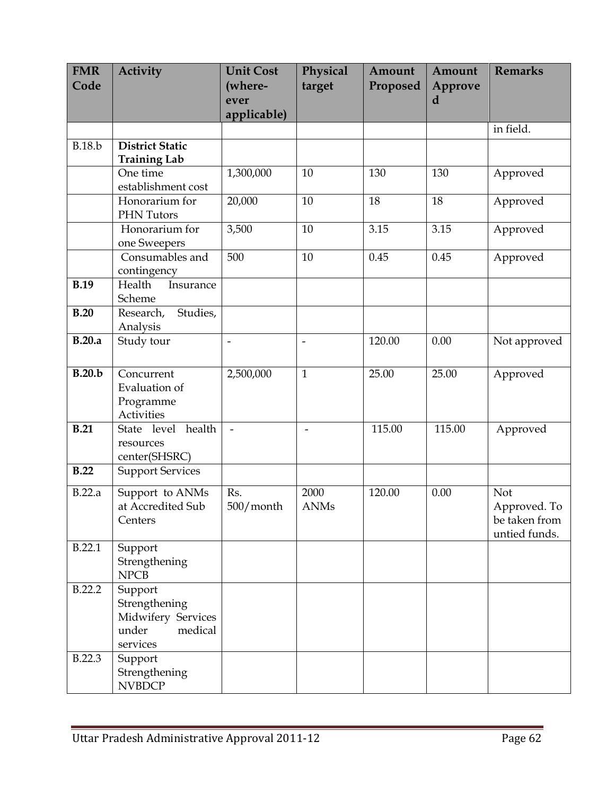| <b>FMR</b>    | <b>Activity</b>                                                                | <b>Unit Cost</b>         | Physical            | Amount   | Amount  | <b>Remarks</b>                                        |
|---------------|--------------------------------------------------------------------------------|--------------------------|---------------------|----------|---------|-------------------------------------------------------|
| Code          |                                                                                | (where-                  | target              | Proposed | Approve |                                                       |
|               |                                                                                | ever                     |                     |          | d       |                                                       |
|               |                                                                                | applicable)              |                     |          |         | in field.                                             |
|               |                                                                                |                          |                     |          |         |                                                       |
| <b>B.18.b</b> | <b>District Static</b><br><b>Training Lab</b>                                  |                          |                     |          |         |                                                       |
|               | One time<br>establishment cost                                                 | 1,300,000                | 10                  | 130      | 130     | Approved                                              |
|               | Honorarium for<br>PHN Tutors                                                   | 20,000                   | 10                  | 18       | 18      | Approved                                              |
|               | Honorarium for<br>one Sweepers                                                 | 3,500                    | 10                  | 3.15     | 3.15    | Approved                                              |
|               | Consumables and<br>contingency                                                 | 500                      | 10                  | 0.45     | 0.45    | Approved                                              |
| <b>B.19</b>   | Health<br>Insurance<br>Scheme                                                  |                          |                     |          |         |                                                       |
| B.20          | Studies,<br>Research,<br>Analysis                                              |                          |                     |          |         |                                                       |
| B.20.a        | Study tour                                                                     | $\overline{\phantom{a}}$ | $\frac{1}{2}$       | 120.00   | 0.00    | Not approved                                          |
| B.20.b        | Concurrent<br>Evaluation of<br>Programme<br><b>Activities</b>                  | 2,500,000                | $\mathbf{1}$        | 25.00    | 25.00   | Approved                                              |
| B.21          | State level health<br>resources<br>center(SHSRC)                               | $\overline{a}$           | $\overline{a}$      | 115.00   | 115.00  | Approved                                              |
| B.22          | <b>Support Services</b>                                                        |                          |                     |          |         |                                                       |
| B.22.a        | Support to ANMs<br>at Accredited Sub<br>Centers                                | Rs.<br>500/month         | 2000<br><b>ANMs</b> | 120.00   | 0.00    | Not<br>Approved. To<br>be taken from<br>untied funds. |
| B.22.1        | Support<br>Strengthening<br><b>NPCB</b>                                        |                          |                     |          |         |                                                       |
| B.22.2        | Support<br>Strengthening<br>Midwifery Services<br>under<br>medical<br>services |                          |                     |          |         |                                                       |
| B.22.3        | Support<br>Strengthening<br><b>NVBDCP</b>                                      |                          |                     |          |         |                                                       |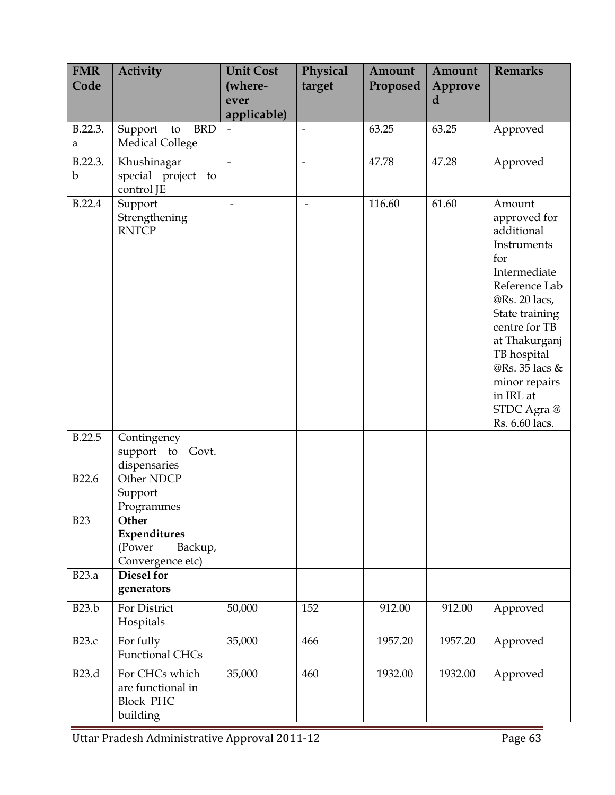| <b>FMR</b><br>Code     | <b>Activity</b>                                                     | <b>Unit Cost</b><br>(where-<br>ever<br>applicable) | Physical<br>target       | Amount<br>Proposed | Amount<br>Approve<br>d | <b>Remarks</b>                                                                                                                                                                                                                                                  |
|------------------------|---------------------------------------------------------------------|----------------------------------------------------|--------------------------|--------------------|------------------------|-----------------------------------------------------------------------------------------------------------------------------------------------------------------------------------------------------------------------------------------------------------------|
| B.22.3.<br>a           | Support<br><b>BRD</b><br>to<br>Medical College                      |                                                    |                          | 63.25              | 63.25                  | Approved                                                                                                                                                                                                                                                        |
| B.22.3.<br>$\mathbf b$ | Khushinagar<br>special project<br>to<br>control JE                  | $\overline{a}$                                     | $\overline{a}$           | 47.78              | 47.28                  | Approved                                                                                                                                                                                                                                                        |
| B.22.4                 | Support<br>Strengthening<br><b>RNTCP</b>                            | $\overline{\phantom{a}}$                           | $\overline{\phantom{a}}$ | 116.60             | 61.60                  | Amount<br>approved for<br>additional<br>Instruments<br>for<br>Intermediate<br>Reference Lab<br>@Rs. 20 lacs,<br>State training<br>centre for TB<br>at Thakurganj<br>TB hospital<br>@Rs. 35 lacs &<br>minor repairs<br>in IRL at<br>STDC Agra@<br>Rs. 6.60 lacs. |
| B.22.5                 | Contingency<br>support to<br>Govt.<br>dispensaries                  |                                                    |                          |                    |                        |                                                                                                                                                                                                                                                                 |
| B22.6                  | Other NDCP<br>Support<br>Programmes                                 |                                                    |                          |                    |                        |                                                                                                                                                                                                                                                                 |
| <b>B23</b>             | Other<br>Expenditures<br>(Power<br>Backup,<br>Convergence etc)      |                                                    |                          |                    |                        |                                                                                                                                                                                                                                                                 |
| <b>B23.a</b>           | <b>Diesel for</b><br>generators                                     |                                                    |                          |                    |                        |                                                                                                                                                                                                                                                                 |
| <b>B23.b</b>           | For District<br>Hospitals                                           | 50,000                                             | 152                      | 912.00             | 912.00                 | Approved                                                                                                                                                                                                                                                        |
| <b>B23.c</b>           | For fully<br><b>Functional CHCs</b>                                 | 35,000                                             | 466                      | 1957.20            | 1957.20                | Approved                                                                                                                                                                                                                                                        |
| B23.d                  | For CHCs which<br>are functional in<br><b>Block PHC</b><br>building | 35,000                                             | 460                      | 1932.00            | 1932.00                | Approved                                                                                                                                                                                                                                                        |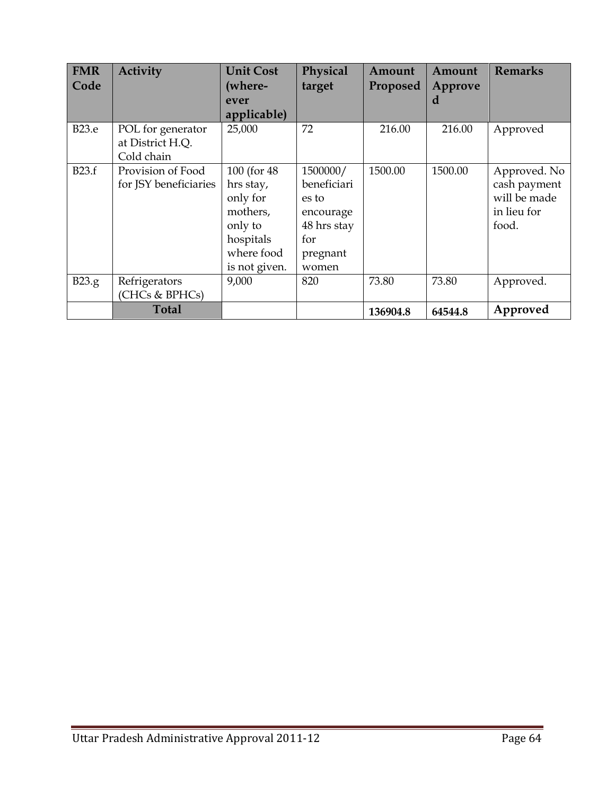| <b>FMR</b><br>Code | Activity                                            | <b>Unit Cost</b><br>(where-<br>ever<br>applicable)                                                       | Physical<br>target                                                                       | Amount<br>Proposed | Amount<br>Approve<br>d | <b>Remarks</b>                                                       |
|--------------------|-----------------------------------------------------|----------------------------------------------------------------------------------------------------------|------------------------------------------------------------------------------------------|--------------------|------------------------|----------------------------------------------------------------------|
| <b>B23.e</b>       | POL for generator<br>at District H.Q.<br>Cold chain | 25,000                                                                                                   | 72                                                                                       | 216.00             | 216.00                 | Approved                                                             |
| B23.f              | Provision of Food<br>for JSY beneficiaries          | 100 (for 48)<br>hrs stay,<br>only for<br>mothers,<br>only to<br>hospitals<br>where food<br>is not given. | 1500000/<br>beneficiari<br>es to<br>encourage<br>48 hrs stay<br>for<br>pregnant<br>women | 1500.00            | 1500.00                | Approved. No<br>cash payment<br>will be made<br>in lieu for<br>food. |
| B23.g              | Refrigerators<br>(CHCs & BPHCs)                     | 9,000                                                                                                    | 820                                                                                      | 73.80              | 73.80                  | Approved.                                                            |
|                    | <b>Total</b>                                        |                                                                                                          |                                                                                          | 136904.8           | 64544.8                | Approved                                                             |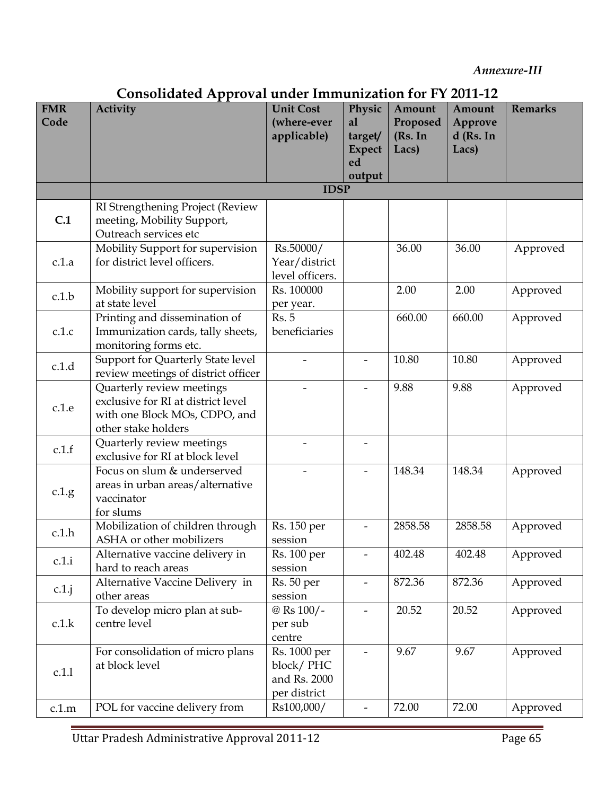Annexure-III

| Consolidated Approval under Immunization for FY 2011-12 |
|---------------------------------------------------------|
|---------------------------------------------------------|

| <b>FMR</b><br>Code | ,110011uuttu 12pp107u1<br>Activity                                                                                      | <b>Unit Cost</b><br>(where-ever<br>applicable)            | Physic<br>al<br>target/  | Amount<br>Proposed<br>(Rs. In | Amount<br>Approve<br>$d$ (Rs. In | <b>Remarks</b> |
|--------------------|-------------------------------------------------------------------------------------------------------------------------|-----------------------------------------------------------|--------------------------|-------------------------------|----------------------------------|----------------|
|                    |                                                                                                                         |                                                           | <b>Expect</b><br>ed      | Lacs)                         | Lacs)                            |                |
|                    |                                                                                                                         |                                                           | output                   |                               |                                  |                |
|                    |                                                                                                                         | <b>IDSP</b>                                               |                          |                               |                                  |                |
| C.1                | RI Strengthening Project (Review<br>meeting, Mobility Support,<br>Outreach services etc                                 |                                                           |                          |                               |                                  |                |
| c.1.a              | Mobility Support for supervision<br>for district level officers.                                                        | Rs.50000/<br>Year/district<br>level officers.             |                          | 36.00                         | 36.00                            | Approved       |
| c.1.b              | Mobility support for supervision<br>at state level                                                                      | Rs. 100000<br>per year.                                   |                          | 2.00                          | 2.00                             | Approved       |
| c.1.c              | Printing and dissemination of<br>Immunization cards, tally sheets,<br>monitoring forms etc.                             | Rs.5<br>beneficiaries                                     |                          | 660.00                        | 660.00                           | Approved       |
| c.1.d              | Support for Quarterly State level<br>review meetings of district officer                                                |                                                           |                          | 10.80                         | 10.80                            | Approved       |
| c.1.e              | Quarterly review meetings<br>exclusive for RI at district level<br>with one Block MOs, CDPO, and<br>other stake holders |                                                           |                          | 9.88                          | 9.88                             | Approved       |
| c.1.f              | Quarterly review meetings<br>exclusive for RI at block level                                                            |                                                           |                          |                               |                                  |                |
| c.1.g.             | Focus on slum & underserved<br>areas in urban areas/alternative<br>vaccinator<br>for slums                              |                                                           |                          | 148.34                        | 148.34                           | Approved       |
| c.1.h              | Mobilization of children through<br>ASHA or other mobilizers                                                            | Rs. 150 per<br>session                                    |                          | 2858.58                       | 2858.58                          | Approved       |
| c.1.i              | Alternative vaccine delivery in<br>hard to reach areas                                                                  | Rs. 100 per<br>session                                    |                          | 402.48                        | 402.48                           | Approved       |
| $c.1$ .j           | Alternative Vaccine Delivery in<br>other areas                                                                          | Rs. 50 per<br>session                                     | $\overline{\phantom{0}}$ | 872.36                        | 872.36                           | Approved       |
| c.1.k              | To develop micro plan at sub-<br>centre level                                                                           | @ Rs 100/-<br>per sub<br>centre                           |                          | 20.52                         | 20.52                            | Approved       |
| c.1.1              | For consolidation of micro plans<br>at block level                                                                      | Rs. 1000 per<br>block/PHC<br>and Rs. 2000<br>per district |                          | 9.67                          | 9.67                             | Approved       |
| c.1.m              | POL for vaccine delivery from                                                                                           | Rs100,000/                                                | -                        | 72.00                         | 72.00                            | Approved       |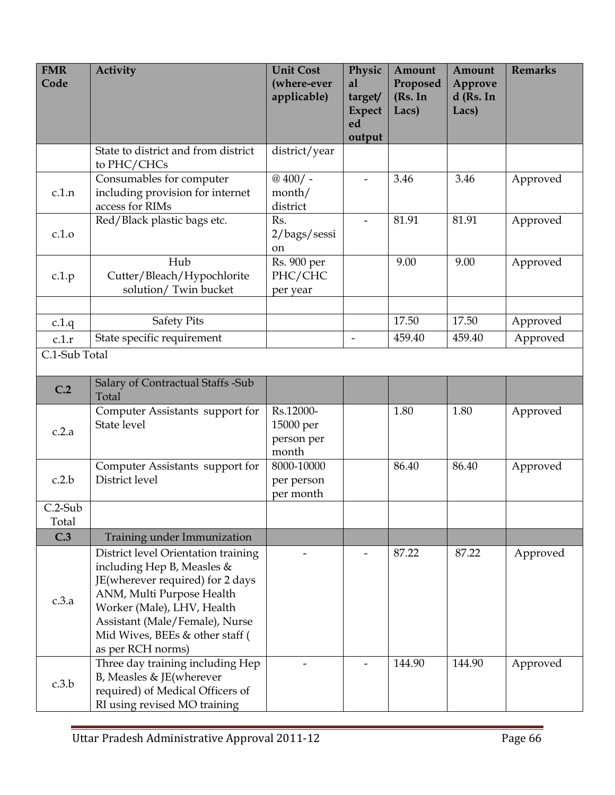| <b>FMR</b><br>Code     | Activity                                                                                                                                                                                                                                                   | <b>Unit Cost</b><br>(where-ever<br>applicable) | Physic<br>al<br>target/  | Amount<br>Proposed<br>(Rs. In | Amount<br>Approve<br>$d$ (Rs. In | <b>Remarks</b>       |
|------------------------|------------------------------------------------------------------------------------------------------------------------------------------------------------------------------------------------------------------------------------------------------------|------------------------------------------------|--------------------------|-------------------------------|----------------------------------|----------------------|
|                        |                                                                                                                                                                                                                                                            |                                                | <b>Expect</b><br>ed      | Lacs)                         | Lacs)                            |                      |
|                        |                                                                                                                                                                                                                                                            |                                                | output                   |                               |                                  |                      |
|                        | State to district and from district<br>to PHC/CHCs                                                                                                                                                                                                         | district/year                                  |                          |                               |                                  |                      |
| c.1.n                  | Consumables for computer<br>including provision for internet<br>access for RIMs                                                                                                                                                                            | $@400/$ -<br>month/<br>district                |                          | 3.46                          | 3.46                             | Approved             |
| c.1.o                  | Red/Black plastic bags etc.                                                                                                                                                                                                                                | Rs.<br>2/bags/sessi<br>on                      | $\overline{\phantom{a}}$ | 81.91                         | 81.91                            | Approved             |
| c.1.p                  | Hub<br>Cutter/Bleach/Hypochlorite<br>solution/ Twin bucket                                                                                                                                                                                                 | Rs. 900 per<br>PHC/CHC<br>per year             |                          | 9.00                          | 9.00                             | Approved             |
|                        |                                                                                                                                                                                                                                                            |                                                |                          | 17.50                         | 17.50                            |                      |
| c.1.q                  | <b>Safety Pits</b><br>State specific requirement                                                                                                                                                                                                           |                                                | $\overline{\phantom{m}}$ | 459.40                        | 459.40                           | Approved<br>Approved |
| c.1.r<br>C.1-Sub Total |                                                                                                                                                                                                                                                            |                                                |                          |                               |                                  |                      |
|                        |                                                                                                                                                                                                                                                            |                                                |                          |                               |                                  |                      |
| C.2                    | Salary of Contractual Staffs -Sub<br>Total                                                                                                                                                                                                                 |                                                |                          |                               |                                  |                      |
| c.2.a                  | Computer Assistants support for<br>State level                                                                                                                                                                                                             | Rs.12000-<br>15000 per<br>person per<br>month  |                          | 1.80                          | 1.80                             | Approved             |
| c.2.b                  | Computer Assistants support for<br>District level                                                                                                                                                                                                          | 8000-10000<br>per person<br>per month          |                          | 86.40                         | 86.40                            | Approved             |
| $C.2-Sub$<br>Total     |                                                                                                                                                                                                                                                            |                                                |                          |                               |                                  |                      |
| C.3                    | Training under Immunization                                                                                                                                                                                                                                |                                                |                          |                               |                                  |                      |
| c.3.a                  | District level Orientation training<br>including Hep B, Measles &<br>JE(wherever required) for 2 days<br>ANM, Multi Purpose Health<br>Worker (Male), LHV, Health<br>Assistant (Male/Female), Nurse<br>Mid Wives, BEEs & other staff (<br>as per RCH norms) |                                                |                          | 87.22                         | 87.22                            | Approved             |
| c.3.b                  | Three day training including Hep<br>B, Measles & JE(wherever<br>required) of Medical Officers of<br>RI using revised MO training                                                                                                                           |                                                |                          | 144.90                        | 144.90                           | Approved             |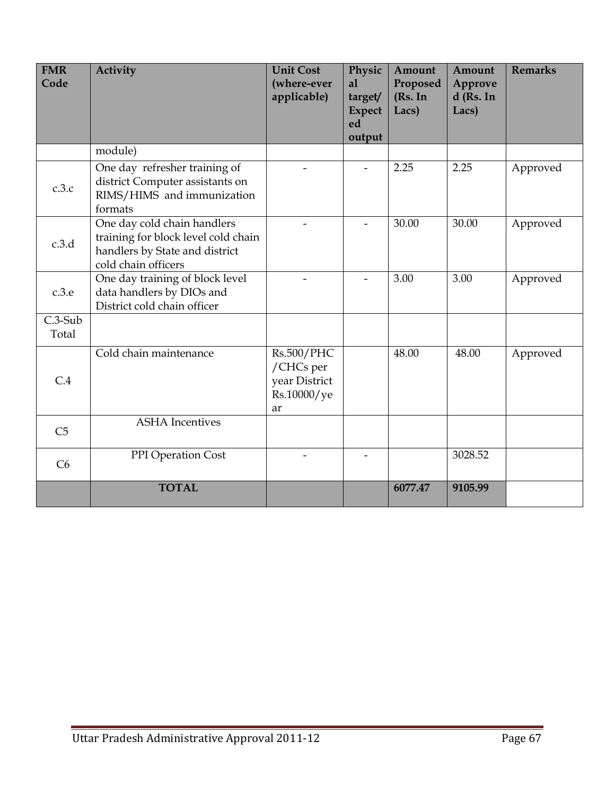| <b>FMR</b><br>Code | Activity                                                                                                                    | <b>Unit Cost</b><br>(where-ever<br>applicable)                       | Physic<br>al<br>target/<br><b>Expect</b><br>ed<br>output | Amount<br>Proposed<br>(Rs. In<br>Lacs) | Amount<br>Approve<br>d (Rs. In<br>Lacs) | <b>Remarks</b> |
|--------------------|-----------------------------------------------------------------------------------------------------------------------------|----------------------------------------------------------------------|----------------------------------------------------------|----------------------------------------|-----------------------------------------|----------------|
|                    | module)                                                                                                                     |                                                                      |                                                          |                                        |                                         |                |
| c.3.c              | One day refresher training of<br>district Computer assistants on<br>RIMS/HIMS and immunization<br>formats                   |                                                                      |                                                          | 2.25                                   | 2.25                                    | Approved       |
| c.3.d              | One day cold chain handlers<br>training for block level cold chain<br>handlers by State and district<br>cold chain officers |                                                                      |                                                          | 30.00                                  | 30.00                                   | Approved       |
| c.3.e              | One day training of block level<br>data handlers by DIOs and<br>District cold chain officer                                 |                                                                      |                                                          | 3.00                                   | 3.00                                    | Approved       |
| $C.3-Sub$<br>Total |                                                                                                                             |                                                                      |                                                          |                                        |                                         |                |
| C.4                | Cold chain maintenance                                                                                                      | <b>Rs.500/PHC</b><br>/CHCs per<br>year District<br>Rs.10000/ye<br>ar |                                                          | 48.00                                  | 48.00                                   | Approved       |
| C <sub>5</sub>     | <b>ASHA</b> Incentives                                                                                                      |                                                                      |                                                          |                                        |                                         |                |
| C6                 | PPI Operation Cost                                                                                                          | $\overline{\phantom{0}}$                                             |                                                          |                                        | 3028.52                                 |                |
|                    | <b>TOTAL</b>                                                                                                                |                                                                      |                                                          | 6077.47                                | 9105.99                                 |                |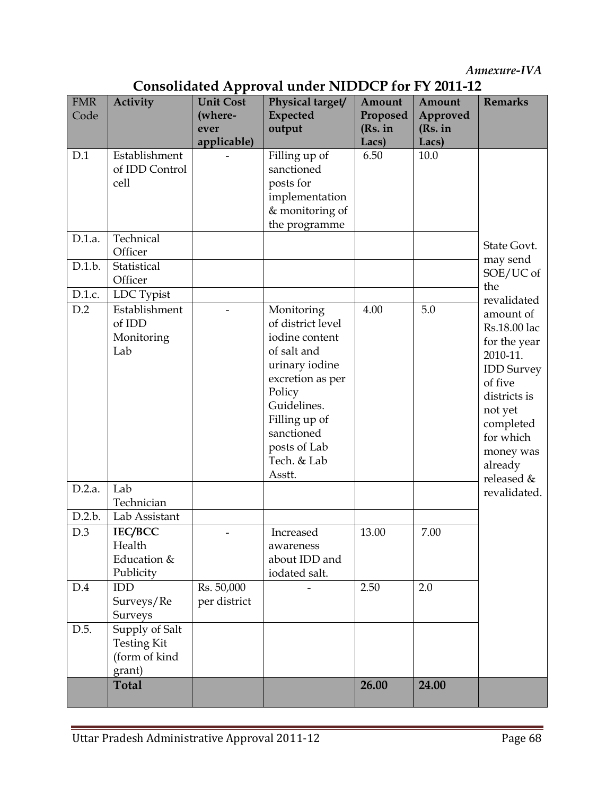Annexure-IVA

| <b>FMR</b> |                    |                             | Consonaanca Tippioval anaci T       |                    |                    | <b>Remarks</b>        |
|------------|--------------------|-----------------------------|-------------------------------------|--------------------|--------------------|-----------------------|
| Code       | <b>Activity</b>    | <b>Unit Cost</b><br>(where- | Physical target/<br><b>Expected</b> | Amount<br>Proposed | Amount<br>Approved |                       |
|            |                    | ever                        | output                              | (Rs. in            | (Rs. in            |                       |
|            |                    | applicable)                 |                                     | Lacs)              | Lacs)              |                       |
| D.1        | Establishment      |                             | Filling up of                       | 6.50               | 10.0               |                       |
|            | of IDD Control     |                             | sanctioned                          |                    |                    |                       |
|            | cell               |                             | posts for                           |                    |                    |                       |
|            |                    |                             | implementation                      |                    |                    |                       |
|            |                    |                             | & monitoring of                     |                    |                    |                       |
|            |                    |                             | the programme                       |                    |                    |                       |
| D.1.a.     | Technical          |                             |                                     |                    |                    |                       |
|            | Officer            |                             |                                     |                    |                    | State Govt.           |
| D.1.b.     | Statistical        |                             |                                     |                    |                    | may send<br>SOE/UC of |
|            | Officer            |                             |                                     |                    |                    | the                   |
| D.1.c.     | LDC Typist         |                             |                                     |                    |                    | revalidated           |
| D.2        | Establishment      |                             | Monitoring                          | 4.00               | 5.0                | amount of             |
|            | of IDD             |                             | of district level                   |                    |                    | Rs.18.00 lac          |
|            | Monitoring         |                             | iodine content                      |                    |                    | for the year          |
|            | Lab                |                             | of salt and                         |                    |                    | 2010-11.              |
|            |                    |                             | urinary iodine                      |                    |                    | <b>IDD</b> Survey     |
|            |                    |                             | excretion as per                    |                    |                    | of five               |
|            |                    |                             | Policy                              |                    |                    | districts is          |
|            |                    |                             | Guidelines.                         |                    |                    | not yet               |
|            |                    |                             | Filling up of                       |                    |                    | completed             |
|            |                    |                             | sanctioned                          |                    |                    | for which             |
|            |                    |                             | posts of Lab                        |                    |                    | money was             |
|            |                    |                             | Tech. & Lab                         |                    |                    | already               |
|            |                    |                             | Asstt.                              |                    |                    | released &            |
| D.2.a.     | Lab<br>Technician  |                             |                                     |                    |                    | revalidated.          |
| D.2.b.     | Lab Assistant      |                             |                                     |                    |                    |                       |
| D.3        | <b>IEC/BCC</b>     |                             | Increased                           | 13.00              | 7.00               |                       |
|            | Health             |                             | awareness                           |                    |                    |                       |
|            | Education &        |                             | about IDD and                       |                    |                    |                       |
|            | Publicity          |                             | iodated salt.                       |                    |                    |                       |
| D.4        | IDD                | Rs. 50,000                  |                                     | 2.50               | 2.0                |                       |
|            | Surveys/Re         | per district                |                                     |                    |                    |                       |
|            | Surveys            |                             |                                     |                    |                    |                       |
| D.5.       | Supply of Salt     |                             |                                     |                    |                    |                       |
|            | <b>Testing Kit</b> |                             |                                     |                    |                    |                       |
|            | (form of kind      |                             |                                     |                    |                    |                       |
|            | grant)             |                             |                                     |                    |                    |                       |
|            | <b>Total</b>       |                             |                                     | 26.00              | 24.00              |                       |
|            |                    |                             |                                     |                    |                    |                       |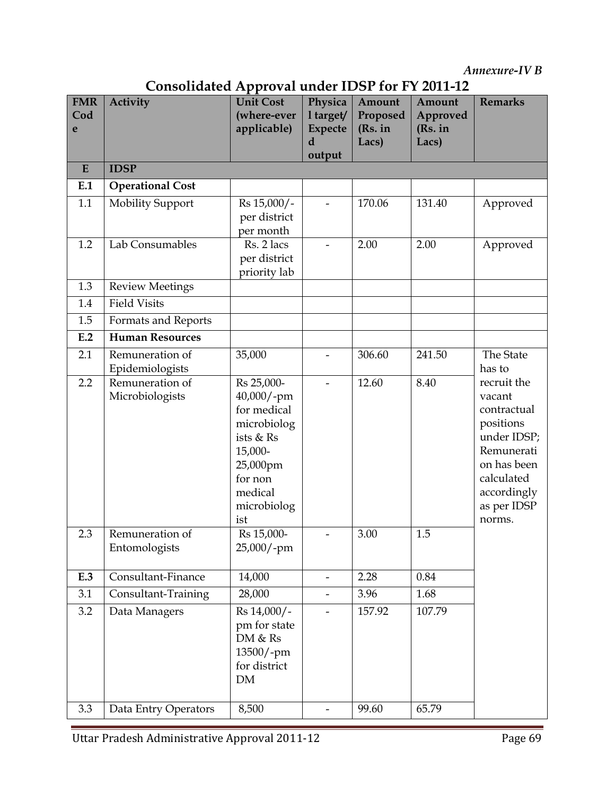Annexure-IV B

| <b>FMR</b><br>Cod | ,,,,,,,,,,,,,<br><b>Activity</b>   | $1 - P P 10 1 41$<br><b>Unit Cost</b><br>(where-ever                                                                                   | Physica<br>1 target/     | Amount<br>Proposed | Amount<br>Approved | <b>Remarks</b>                                                                                                                                      |
|-------------------|------------------------------------|----------------------------------------------------------------------------------------------------------------------------------------|--------------------------|--------------------|--------------------|-----------------------------------------------------------------------------------------------------------------------------------------------------|
| e                 |                                    | applicable)                                                                                                                            | <b>Expecte</b><br>d      | (Rs. in<br>Lacs)   | (Rs. in<br>Lacs)   |                                                                                                                                                     |
|                   |                                    |                                                                                                                                        | output                   |                    |                    |                                                                                                                                                     |
| E                 | <b>IDSP</b>                        |                                                                                                                                        |                          |                    |                    |                                                                                                                                                     |
| E.1               | <b>Operational Cost</b>            |                                                                                                                                        |                          |                    |                    |                                                                                                                                                     |
| 1.1               | <b>Mobility Support</b>            | Rs 15,000/-<br>per district<br>per month                                                                                               |                          | 170.06             | 131.40             | Approved                                                                                                                                            |
| 1.2               | Lab Consumables                    | Rs. 2 lacs<br>per district<br>priority lab                                                                                             |                          | 2.00               | 2.00               | Approved                                                                                                                                            |
| 1.3               | <b>Review Meetings</b>             |                                                                                                                                        |                          |                    |                    |                                                                                                                                                     |
| 1.4               | <b>Field Visits</b>                |                                                                                                                                        |                          |                    |                    |                                                                                                                                                     |
| 1.5               | Formats and Reports                |                                                                                                                                        |                          |                    |                    |                                                                                                                                                     |
| E.2               | <b>Human Resources</b>             |                                                                                                                                        |                          |                    |                    |                                                                                                                                                     |
| 2.1               | Remuneration of<br>Epidemiologists | 35,000                                                                                                                                 |                          | 306.60             | 241.50             | The State<br>has to                                                                                                                                 |
| 2.2               | Remuneration of<br>Microbiologists | Rs 25,000-<br>40,000/-pm<br>for medical<br>microbiolog<br>ists & Rs<br>15,000-<br>25,000pm<br>for non<br>medical<br>microbiolog<br>ist |                          | 12.60              | 8.40               | recruit the<br>vacant<br>contractual<br>positions<br>under IDSP;<br>Remunerati<br>on has been<br>calculated<br>accordingly<br>as per IDSP<br>norms. |
| 2.3               | Remuneration of<br>Entomologists   | Rs 15,000-<br>25,000/-pm                                                                                                               |                          | 3.00               | 1.5                |                                                                                                                                                     |
| E.3               | Consultant-Finance                 | 14,000                                                                                                                                 |                          | 2.28               | 0.84               |                                                                                                                                                     |
| 3.1               | Consultant-Training                | 28,000                                                                                                                                 | $\overline{\phantom{0}}$ | 3.96               | 1.68               |                                                                                                                                                     |
| 3.2               | Data Managers                      | Rs 14,000/-<br>pm for state<br>DM & Rs<br>13500/-pm<br>for district<br><b>DM</b>                                                       | $\overline{\phantom{0}}$ | 157.92             | 107.79             |                                                                                                                                                     |
| 3.3               | Data Entry Operators               | 8,500                                                                                                                                  |                          | 99.60              | 65.79              |                                                                                                                                                     |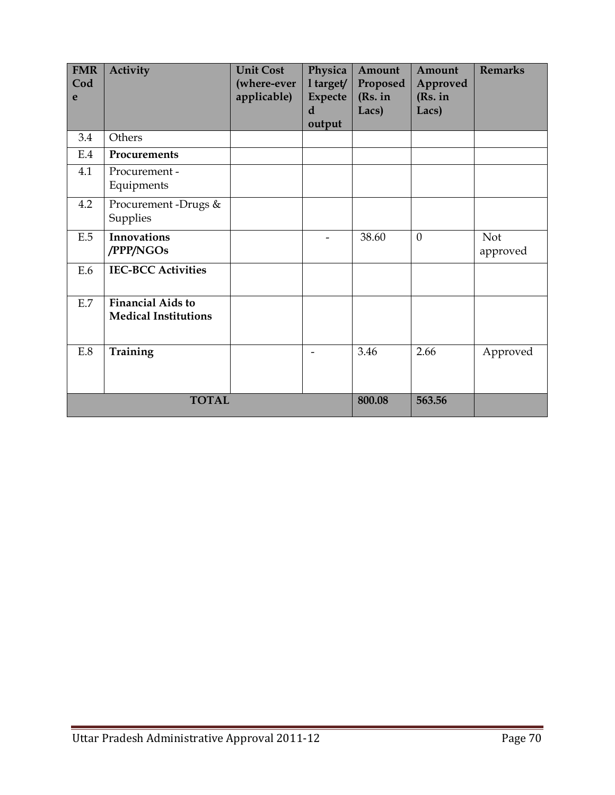| <b>FMR</b><br>Cod<br>e | <b>Activity</b>                                         | <b>Unit Cost</b><br>(where-ever<br>applicable) | Physica<br>1 target/<br><b>Expecte</b><br>d<br>output | Amount<br>Proposed<br>(Rs. in<br>Lacs) | Amount<br>Approved<br>(Rs. in<br>Lacs) | <b>Remarks</b>         |
|------------------------|---------------------------------------------------------|------------------------------------------------|-------------------------------------------------------|----------------------------------------|----------------------------------------|------------------------|
| 3.4                    | Others                                                  |                                                |                                                       |                                        |                                        |                        |
| E.4                    | Procurements                                            |                                                |                                                       |                                        |                                        |                        |
| 4.1                    | Procurement -<br>Equipments                             |                                                |                                                       |                                        |                                        |                        |
| 4.2                    | Procurement-Drugs &<br>Supplies                         |                                                |                                                       |                                        |                                        |                        |
| E.5                    | <b>Innovations</b><br>/PPP/NGOs                         |                                                |                                                       | 38.60                                  | $\overline{0}$                         | <b>Not</b><br>approved |
| E.6                    | <b>IEC-BCC Activities</b>                               |                                                |                                                       |                                        |                                        |                        |
| E.7                    | <b>Financial Aids to</b><br><b>Medical Institutions</b> |                                                |                                                       |                                        |                                        |                        |
| E.8                    | Training                                                |                                                |                                                       | 3.46                                   | 2.66                                   | Approved               |
|                        | <b>TOTAL</b>                                            |                                                |                                                       | 800.08                                 | 563.56                                 |                        |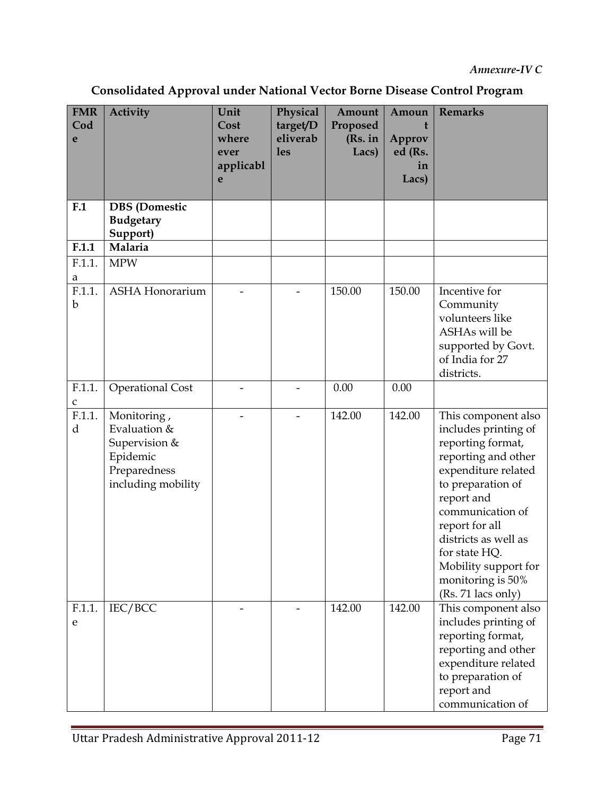| Consolidated Approval under National Vector Borne Disease Control Program |  |  |
|---------------------------------------------------------------------------|--|--|
|                                                                           |  |  |

| <b>FMR</b><br>Cod<br>e | <b>Activity</b>                                                                                | Unit<br>Cost<br>where<br>ever<br>applicabl<br>e | Physical<br>target/D<br>eliverab<br><b>les</b> | Amount<br>Proposed<br>(Rs. in<br>Lacs) | Amoun<br>Approv<br>ed (Rs.<br>in<br>Lacs) | <b>Remarks</b>                                                                                                                                                                                                                                                                                      |
|------------------------|------------------------------------------------------------------------------------------------|-------------------------------------------------|------------------------------------------------|----------------------------------------|-------------------------------------------|-----------------------------------------------------------------------------------------------------------------------------------------------------------------------------------------------------------------------------------------------------------------------------------------------------|
| F <sub>1</sub>         | <b>DBS</b> (Domestic<br><b>Budgetary</b><br>Support)                                           |                                                 |                                                |                                        |                                           |                                                                                                                                                                                                                                                                                                     |
| F.1.1                  | Malaria                                                                                        |                                                 |                                                |                                        |                                           |                                                                                                                                                                                                                                                                                                     |
| F.1.1.<br>a            | <b>MPW</b>                                                                                     |                                                 |                                                |                                        |                                           |                                                                                                                                                                                                                                                                                                     |
| F.1.1.<br>$\mathbf b$  | <b>ASHA Honorarium</b>                                                                         |                                                 |                                                | 150.00                                 | 150.00                                    | Incentive for<br>Community<br>volunteers like<br>ASHAs will be<br>supported by Govt.<br>of India for 27<br>districts.                                                                                                                                                                               |
| F.1.1.<br>$\mathsf C$  | <b>Operational Cost</b>                                                                        |                                                 |                                                | 0.00                                   | 0.00                                      |                                                                                                                                                                                                                                                                                                     |
| F.1.1.<br>d            | Monitoring,<br>Evaluation &<br>Supervision &<br>Epidemic<br>Preparedness<br>including mobility |                                                 |                                                | 142.00                                 | 142.00                                    | This component also<br>includes printing of<br>reporting format,<br>reporting and other<br>expenditure related<br>to preparation of<br>report and<br>communication of<br>report for all<br>districts as well as<br>for state HQ.<br>Mobility support for<br>monitoring is 50%<br>(Rs. 71 lacs only) |
| F.1.1.<br>e            | IEC/BCC                                                                                        |                                                 |                                                | 142.00                                 | 142.00                                    | This component also<br>includes printing of<br>reporting format,<br>reporting and other<br>expenditure related<br>to preparation of<br>report and<br>communication of                                                                                                                               |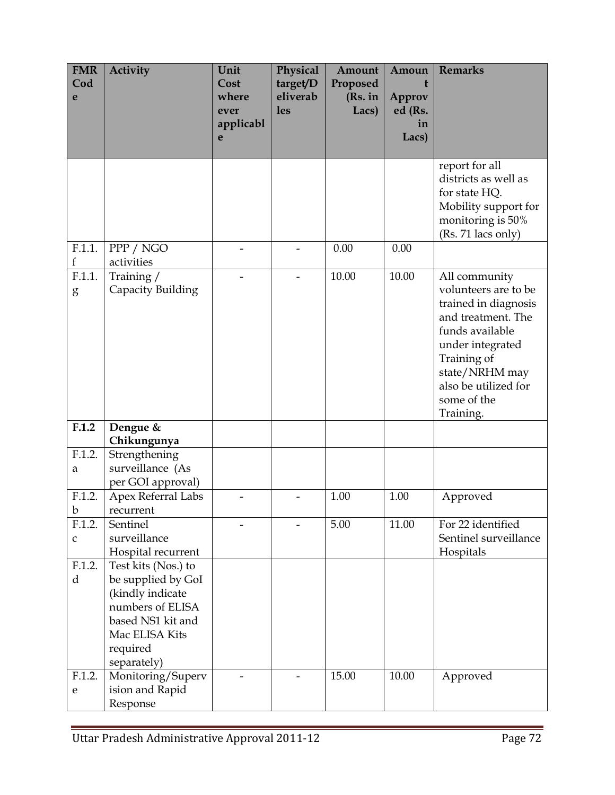| <b>FMR</b><br>Cod<br>e | Activity                                                                                                                                                                 | Unit<br>Cost<br>where  | Physical<br>target/D<br>eliverab | Amount<br>Proposed<br>(Rs. in | Amoun<br>t<br>Approv   | <b>Remarks</b>                                                                                                                                                                                                  |
|------------------------|--------------------------------------------------------------------------------------------------------------------------------------------------------------------------|------------------------|----------------------------------|-------------------------------|------------------------|-----------------------------------------------------------------------------------------------------------------------------------------------------------------------------------------------------------------|
|                        |                                                                                                                                                                          | ever<br>applicabl<br>e | <b>les</b>                       | Lacs)                         | ed (Rs.<br>in<br>Lacs) |                                                                                                                                                                                                                 |
|                        |                                                                                                                                                                          |                        |                                  |                               |                        | report for all<br>districts as well as<br>for state HQ.<br>Mobility support for<br>monitoring is 50%<br>(Rs. 71 lacs only)                                                                                      |
| F.1.1.<br>f            | PPP / NGO<br>activities                                                                                                                                                  |                        |                                  | 0.00                          | 0.00                   |                                                                                                                                                                                                                 |
| F.1.1.<br>g            | Training /<br>Capacity Building                                                                                                                                          |                        |                                  | 10.00                         | 10.00                  | All community<br>volunteers are to be<br>trained in diagnosis<br>and treatment. The<br>funds available<br>under integrated<br>Training of<br>state/NRHM may<br>also be utilized for<br>some of the<br>Training. |
| F.1.2                  | Dengue &<br>Chikungunya                                                                                                                                                  |                        |                                  |                               |                        |                                                                                                                                                                                                                 |
| F.1.2.<br>a            | Strengthening<br>surveillance (As<br>per GOI approval)                                                                                                                   |                        |                                  |                               |                        |                                                                                                                                                                                                                 |
| F.1.2.<br>b            | Apex Referral Labs<br>recurrent                                                                                                                                          |                        |                                  | 1.00                          | 1.00                   | Approved                                                                                                                                                                                                        |
| F.1.2.<br>$\mathsf C$  | Sentinel<br>surveillance<br>Hospital recurrent                                                                                                                           |                        |                                  | 5.00                          | 11.00                  | For 22 identified<br>Sentinel surveillance<br>Hospitals                                                                                                                                                         |
| F.1.2.<br>d<br>F.1.2.  | Test kits (Nos.) to<br>be supplied by GoI<br>(kindly indicate<br>numbers of ELISA<br>based NS1 kit and<br>Mac ELISA Kits<br>required<br>separately)<br>Monitoring/Superv |                        |                                  | 15.00                         | 10.00                  | Approved                                                                                                                                                                                                        |
| e                      | ision and Rapid<br>Response                                                                                                                                              |                        |                                  |                               |                        |                                                                                                                                                                                                                 |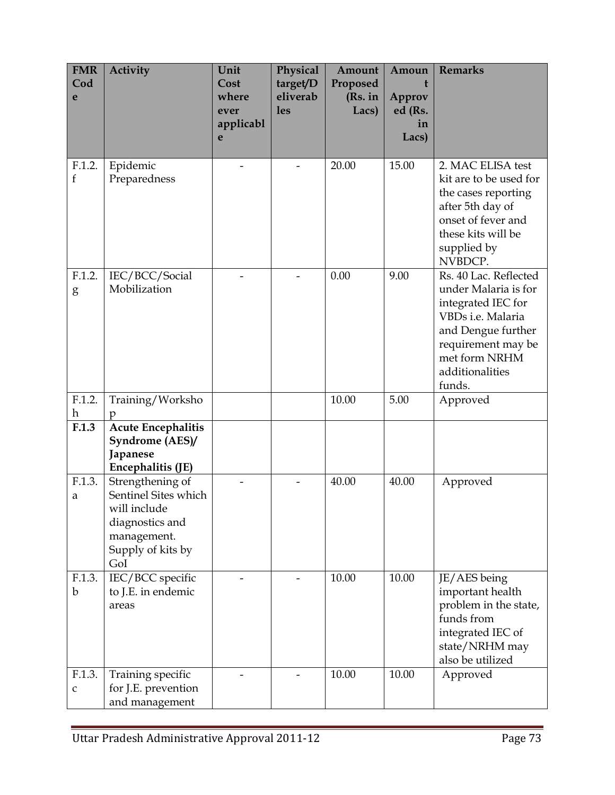| <b>FMR</b><br>Cod<br>e | Activity                                                                                                               | Unit<br>Cost<br>where<br>ever<br>applicabl<br>e | Physical<br>target/D<br>eliverab<br><b>les</b> | Amount<br>Proposed<br>(Rs. in<br>Lacs) | Amoun<br>t<br>Approv<br>ed (Rs.<br>in<br>Lacs) | <b>Remarks</b>                                                                                                                                                                     |
|------------------------|------------------------------------------------------------------------------------------------------------------------|-------------------------------------------------|------------------------------------------------|----------------------------------------|------------------------------------------------|------------------------------------------------------------------------------------------------------------------------------------------------------------------------------------|
| F.1.2.<br>f            | Epidemic<br>Preparedness                                                                                               |                                                 |                                                | 20.00                                  | 15.00                                          | 2. MAC ELISA test<br>kit are to be used for<br>the cases reporting<br>after 5th day of<br>onset of fever and<br>these kits will be<br>supplied by<br>NVBDCP.                       |
| F.1.2.<br>g            | IEC/BCC/Social<br>Mobilization                                                                                         |                                                 |                                                | 0.00                                   | 9.00                                           | Rs. 40 Lac. Reflected<br>under Malaria is for<br>integrated IEC for<br>VBDs i.e. Malaria<br>and Dengue further<br>requirement may be<br>met form NRHM<br>additionalities<br>funds. |
| F.1.2.<br>h            | Training/Worksho<br>р                                                                                                  |                                                 |                                                | 10.00                                  | 5.00                                           | Approved                                                                                                                                                                           |
| F.1.3                  | <b>Acute Encephalitis</b><br>Syndrome (AES)/<br>Japanese<br>Encephalitis (JE)                                          |                                                 |                                                |                                        |                                                |                                                                                                                                                                                    |
| F.1.3.<br>a            | Strengthening of<br>Sentinel Sites which<br>will include<br>diagnostics and<br>management.<br>Supply of kits by<br>GoI |                                                 |                                                | 40.00                                  | 40.00                                          | Approved                                                                                                                                                                           |
| F.1.3.<br>b            | IEC/BCC specific<br>to J.E. in endemic<br>areas                                                                        |                                                 |                                                | 10.00                                  | 10.00                                          | JE/AES being<br>important health<br>problem in the state,<br>funds from<br>integrated IEC of<br>state/NRHM may<br>also be utilized                                                 |
| F.1.3.<br>$\mathsf C$  | Training specific<br>for J.E. prevention<br>and management                                                             |                                                 |                                                | 10.00                                  | 10.00                                          | Approved                                                                                                                                                                           |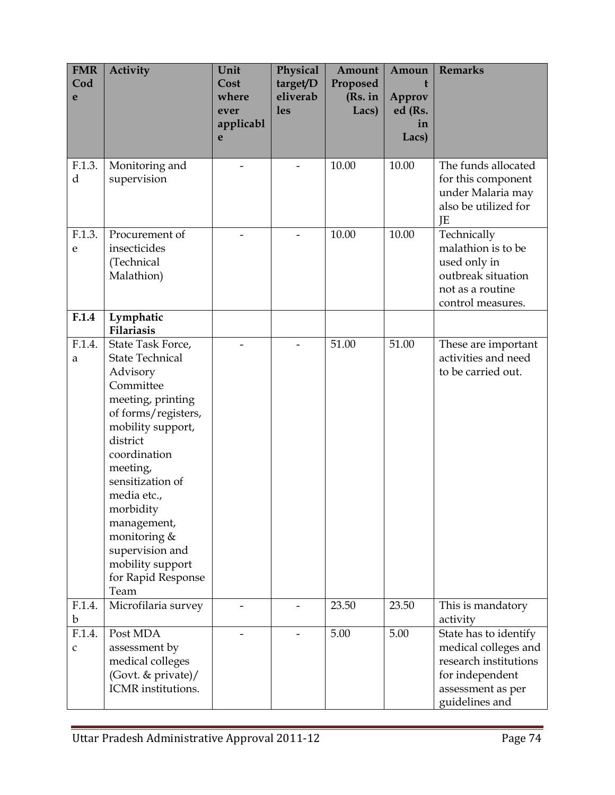| <b>FMR</b><br>Cod<br>e | Activity                                                                                                                                                                                                                                                                                                                          | Unit<br>Cost<br>where<br>ever<br>applicabl<br>e | Physical<br>target/D<br>eliverab<br><b>les</b> | Amount<br>Proposed<br>(Rs. in<br>Lacs) | Amoun<br>Approv<br>ed (Rs.<br>in<br>Lacs) | <b>Remarks</b>                                                                                                                   |
|------------------------|-----------------------------------------------------------------------------------------------------------------------------------------------------------------------------------------------------------------------------------------------------------------------------------------------------------------------------------|-------------------------------------------------|------------------------------------------------|----------------------------------------|-------------------------------------------|----------------------------------------------------------------------------------------------------------------------------------|
| F.1.3.<br>d            | Monitoring and<br>supervision                                                                                                                                                                                                                                                                                                     |                                                 |                                                | 10.00                                  | 10.00                                     | The funds allocated<br>for this component<br>under Malaria may<br>also be utilized for<br>JE                                     |
| F.1.3.<br>e            | Procurement of<br>insecticides<br>(Technical<br>Malathion)                                                                                                                                                                                                                                                                        |                                                 |                                                | 10.00                                  | 10.00                                     | Technically<br>malathion is to be<br>used only in<br>outbreak situation<br>not as a routine<br>control measures.                 |
| F.1.4                  | Lymphatic<br><b>Filariasis</b>                                                                                                                                                                                                                                                                                                    |                                                 |                                                |                                        |                                           |                                                                                                                                  |
| F.1.4.<br>a            | State Task Force,<br><b>State Technical</b><br>Advisory<br>Committee<br>meeting, printing<br>of forms/registers,<br>mobility support,<br>district<br>coordination<br>meeting,<br>sensitization of<br>media etc.,<br>morbidity<br>management,<br>monitoring &<br>supervision and<br>mobility support<br>for Rapid Response<br>Team |                                                 |                                                | 51.00                                  | 51.00                                     | These are important<br>activities and need<br>to be carried out.                                                                 |
| F.1.4.<br>b            | Microfilaria survey                                                                                                                                                                                                                                                                                                               |                                                 |                                                | 23.50                                  | 23.50                                     | This is mandatory<br>activity                                                                                                    |
| F.1.4.<br>C            | Post MDA<br>assessment by<br>medical colleges<br>(Govt. & private)/<br>ICMR institutions.                                                                                                                                                                                                                                         |                                                 |                                                | 5.00                                   | 5.00                                      | State has to identify<br>medical colleges and<br>research institutions<br>for independent<br>assessment as per<br>guidelines and |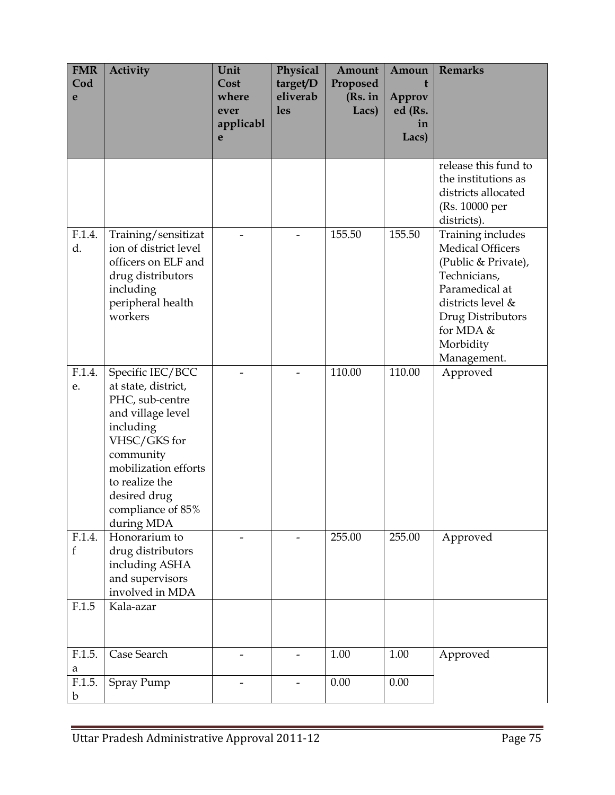| <b>FMR</b><br>Cod<br>e | Activity                                                                                                                                                                                                               | Unit<br>Cost<br>where<br>ever<br>applicabl<br>e | Physical<br>target/D<br>eliverab<br><b>les</b> | Amount<br>Proposed<br>(Rs. in<br>Lacs) | Amoun<br>t<br>Approv<br>ed (Rs.<br>in<br>Lacs) | <b>Remarks</b>                                                                                                                                                                           |
|------------------------|------------------------------------------------------------------------------------------------------------------------------------------------------------------------------------------------------------------------|-------------------------------------------------|------------------------------------------------|----------------------------------------|------------------------------------------------|------------------------------------------------------------------------------------------------------------------------------------------------------------------------------------------|
|                        |                                                                                                                                                                                                                        |                                                 |                                                |                                        |                                                | release this fund to<br>the institutions as<br>districts allocated<br>(Rs. 10000 per<br>districts).                                                                                      |
| F.1.4.<br>d.           | Training/sensitizat<br>ion of district level<br>officers on ELF and<br>drug distributors<br>including<br>peripheral health<br>workers                                                                                  |                                                 |                                                | 155.50                                 | 155.50                                         | Training includes<br><b>Medical Officers</b><br>(Public & Private),<br>Technicians,<br>Paramedical at<br>districts level &<br>Drug Distributors<br>for MDA &<br>Morbidity<br>Management. |
| F.1.4.<br>e.           | Specific IEC/BCC<br>at state, district,<br>PHC, sub-centre<br>and village level<br>including<br>VHSC/GKS for<br>community<br>mobilization efforts<br>to realize the<br>desired drug<br>compliance of 85%<br>during MDA |                                                 |                                                | 110.00                                 | 110.00                                         | Approved                                                                                                                                                                                 |
| F.1.4.<br>f            | Honorarium to<br>drug distributors<br>including ASHA<br>and supervisors<br>involved in MDA                                                                                                                             |                                                 |                                                | 255.00                                 | 255.00                                         | Approved                                                                                                                                                                                 |
| F.1.5                  | Kala-azar                                                                                                                                                                                                              |                                                 |                                                |                                        |                                                |                                                                                                                                                                                          |
| F.1.5.<br>a            | Case Search                                                                                                                                                                                                            |                                                 |                                                | 1.00                                   | 1.00                                           | Approved                                                                                                                                                                                 |
| F.1.5.<br>b            | Spray Pump                                                                                                                                                                                                             |                                                 |                                                | 0.00                                   | 0.00                                           |                                                                                                                                                                                          |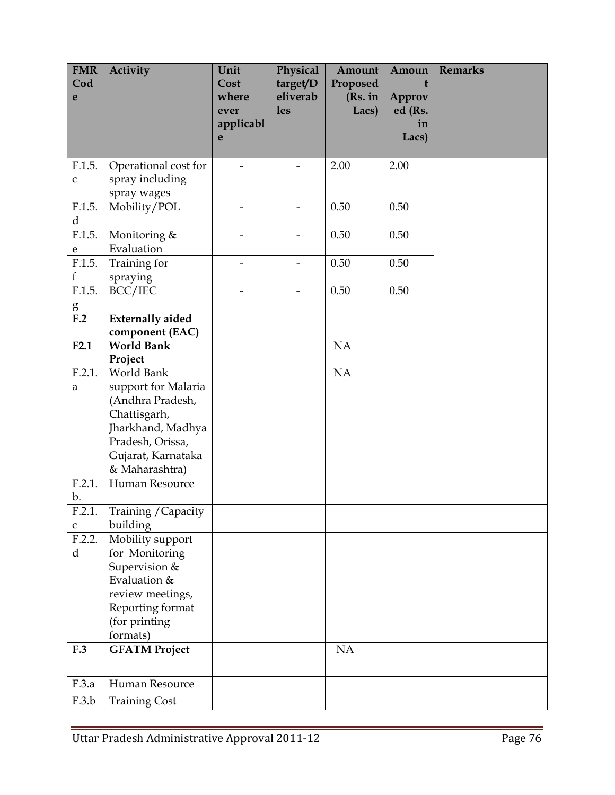| <b>FMR</b><br>Cod     | <b>Activity</b>                  | Unit<br>Cost             | Physical<br>target/D   | Amount<br>Proposed | Amoun<br>t        | <b>Remarks</b> |
|-----------------------|----------------------------------|--------------------------|------------------------|--------------------|-------------------|----------------|
| e                     |                                  | where<br>ever            | eliverab<br><b>les</b> | (Rs. in<br>Lacs)   | Approv<br>ed (Rs. |                |
|                       |                                  | applicabl                |                        |                    | in                |                |
|                       |                                  | e                        |                        |                    | Lacs)             |                |
| F.1.5.                | Operational cost for             |                          |                        | 2.00               | 2.00              |                |
| $\mathsf C$           | spray including<br>spray wages   |                          |                        |                    |                   |                |
| F.1.5.<br>$\mathbf d$ | Mobility/POL                     | $\overline{\phantom{a}}$ |                        | 0.50               | 0.50              |                |
| F.1.5.                | Monitoring &                     |                          |                        | 0.50               | 0.50              |                |
| ${\bf e}$<br>F.1.5.   | Evaluation<br>Training for       |                          | -                      | 0.50               | 0.50              |                |
| $\mathbf f$           | spraying                         |                          |                        |                    |                   |                |
| F.1.5.                | BCC/IEC                          |                          |                        | 0.50               | 0.50              |                |
| $\frac{g}{F.2}$       | <b>Externally aided</b>          |                          |                        |                    |                   |                |
|                       | component (EAC)                  |                          |                        |                    |                   |                |
| F2.1                  | <b>World Bank</b><br>Project     |                          |                        | NA                 |                   |                |
| F.2.1.                | World Bank                       |                          |                        | NA                 |                   |                |
| a                     | support for Malaria              |                          |                        |                    |                   |                |
|                       | (Andhra Pradesh,<br>Chattisgarh, |                          |                        |                    |                   |                |
|                       | Jharkhand, Madhya                |                          |                        |                    |                   |                |
|                       | Pradesh, Orissa,                 |                          |                        |                    |                   |                |
|                       | Gujarat, Karnataka               |                          |                        |                    |                   |                |
|                       | & Maharashtra)                   |                          |                        |                    |                   |                |
| F.2.1.<br>b.          | Human Resource                   |                          |                        |                    |                   |                |
| F.2.1.                | Training / Capacity              |                          |                        |                    |                   |                |
| $\mathsf C$<br>F.2.2. | building<br>Mobility support     |                          |                        |                    |                   |                |
| d                     | for Monitoring                   |                          |                        |                    |                   |                |
|                       | Supervision &                    |                          |                        |                    |                   |                |
|                       | Evaluation &                     |                          |                        |                    |                   |                |
|                       | review meetings,                 |                          |                        |                    |                   |                |
|                       | Reporting format                 |                          |                        |                    |                   |                |
|                       | (for printing<br>formats)        |                          |                        |                    |                   |                |
| F.3                   | <b>GFATM Project</b>             |                          |                        | NA                 |                   |                |
|                       |                                  |                          |                        |                    |                   |                |
| F.3.a                 | Human Resource                   |                          |                        |                    |                   |                |
| F.3.b                 | <b>Training Cost</b>             |                          |                        |                    |                   |                |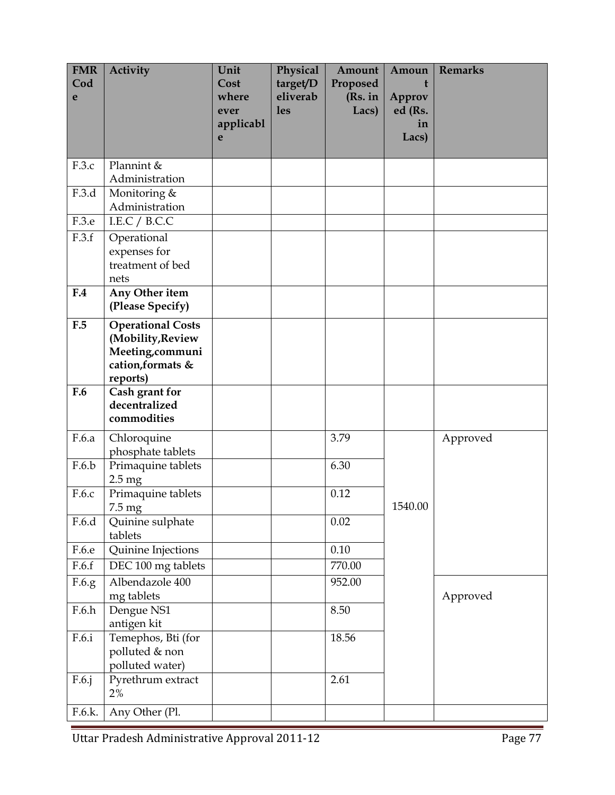| <b>FMR</b><br>Cod<br>e | <b>Activity</b>                                                                                    | Unit<br>Cost<br>where<br>ever | Physical<br>target/D<br>eliverab<br><b>les</b> | Amount<br>Proposed<br>(Rs. in<br>Lacs) | Amoun<br>t<br>Approv<br>ed (Rs. | <b>Remarks</b> |
|------------------------|----------------------------------------------------------------------------------------------------|-------------------------------|------------------------------------------------|----------------------------------------|---------------------------------|----------------|
|                        |                                                                                                    | applicabl<br>e                |                                                |                                        | in<br>Lacs)                     |                |
| F.3.c                  | Plannint &<br>Administration                                                                       |                               |                                                |                                        |                                 |                |
| F.3.d                  | Monitoring &<br>Administration                                                                     |                               |                                                |                                        |                                 |                |
| F.3.e                  | I.E.C / B.C.C                                                                                      |                               |                                                |                                        |                                 |                |
| F.3.f                  | Operational<br>expenses for<br>treatment of bed<br>nets                                            |                               |                                                |                                        |                                 |                |
| F.4                    | Any Other item<br>(Please Specify)                                                                 |                               |                                                |                                        |                                 |                |
| F.5                    | <b>Operational Costs</b><br>(Mobility, Review<br>Meeting, communi<br>cation, formats &<br>reports) |                               |                                                |                                        |                                 |                |
| F.6                    | Cash grant for<br>decentralized<br>commodities                                                     |                               |                                                |                                        |                                 |                |
| F.6.a                  | Chloroquine<br>phosphate tablets                                                                   |                               |                                                | 3.79                                   |                                 | Approved       |
| F.6.b                  | Primaquine tablets<br>$2.5 \text{ mg}$                                                             |                               |                                                | 6.30                                   |                                 |                |
| F.6.c                  | Primaquine tablets<br>$7.5 \text{ mg}$                                                             |                               |                                                | 0.12                                   | 1540.00                         |                |
| F.6.d                  | Quinine sulphate<br>tablets                                                                        |                               |                                                | 0.02                                   |                                 |                |
| F.6.e                  | Quinine Injections                                                                                 |                               |                                                | $0.10\,$                               |                                 |                |
| F.6.f                  | DEC 100 mg tablets                                                                                 |                               |                                                | 770.00                                 |                                 |                |
| F.6.g                  | Albendazole 400<br>mg tablets                                                                      |                               |                                                | 952.00                                 |                                 | Approved       |
| F.6.h                  | Dengue NS1<br>antigen kit                                                                          |                               |                                                | 8.50                                   |                                 |                |
| F.6.i                  | Temephos, Bti (for<br>polluted & non<br>polluted water)                                            |                               |                                                | 18.56                                  |                                 |                |
| F.6.j                  | Pyrethrum extract<br>2%                                                                            |                               |                                                | 2.61                                   |                                 |                |
| F.6.k.                 | Any Other (Pl.                                                                                     |                               |                                                |                                        |                                 |                |

Uttar Pradesh Administrative Approval 2011-12 Page 77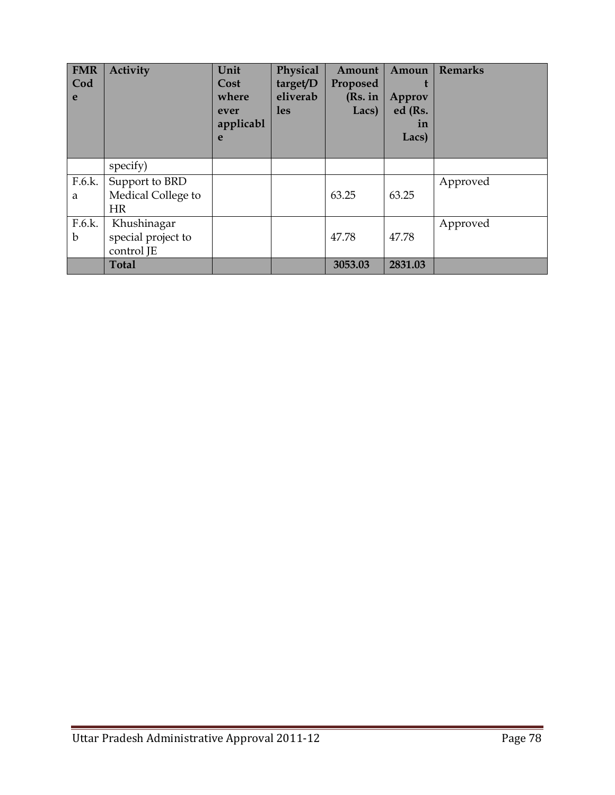| <b>FMR</b><br>Cod<br>e | Activity                                          | Unit<br>Cost<br>where<br>ever<br>applicabl<br>e | Physical<br>target/D<br>eliverab<br><b>les</b> | Amount<br>Proposed<br>(Rs. in<br>Lacs) | Amoun<br>Approv<br>ed (Rs.<br>in<br>Lacs) | <b>Remarks</b> |
|------------------------|---------------------------------------------------|-------------------------------------------------|------------------------------------------------|----------------------------------------|-------------------------------------------|----------------|
|                        | specify)                                          |                                                 |                                                |                                        |                                           |                |
| F.6.k.<br>a            | Support to BRD<br>Medical College to<br><b>HR</b> |                                                 |                                                | 63.25                                  | 63.25                                     | Approved       |
| F.6.k.<br>b            | Khushinagar<br>special project to<br>control JE   |                                                 |                                                | 47.78                                  | 47.78                                     | Approved       |
|                        | <b>Total</b>                                      |                                                 |                                                | 3053.03                                | 2831.03                                   |                |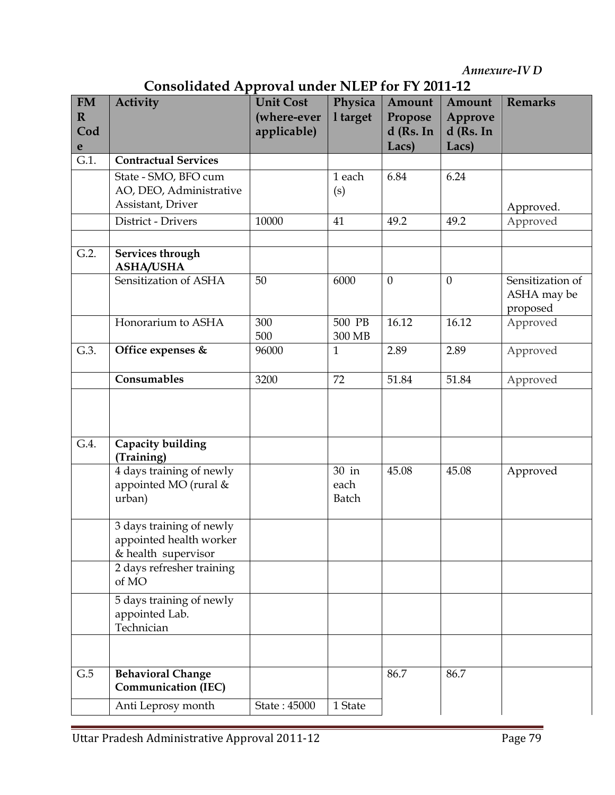Annexure-IV D

| <b>Consolidated Approval under NLEP for FY 2011-12</b> |  |
|--------------------------------------------------------|--|
|--------------------------------------------------------|--|

|                                                | Consonaatta Approval anati Iveli Tol I I Zoll-12                                        |                                                |                               |                                           |                                           |                                             |
|------------------------------------------------|-----------------------------------------------------------------------------------------|------------------------------------------------|-------------------------------|-------------------------------------------|-------------------------------------------|---------------------------------------------|
| <b>FM</b><br>$\mathbf R$<br>Cod<br>$\mathbf e$ | <b>Activity</b>                                                                         | <b>Unit Cost</b><br>(where-ever<br>applicable) | Physica<br>1 target           | Amount<br>Propose<br>$d$ (Rs. In<br>Lacs) | Amount<br>Approve<br>$d$ (Rs. In<br>Lacs) | <b>Remarks</b>                              |
| $G.1$ .                                        | <b>Contractual Services</b>                                                             |                                                |                               |                                           |                                           |                                             |
|                                                | State - SMO, BFO cum<br>AO, DEO, Administrative<br>Assistant, Driver                    |                                                | 1 each<br>(s)                 | 6.84                                      | 6.24                                      | Approved.                                   |
|                                                | District - Drivers                                                                      | 10000                                          | 41                            | 49.2                                      | 49.2                                      | Approved                                    |
| G.2.                                           | Services through<br><b>ASHA/USHA</b>                                                    |                                                |                               |                                           |                                           |                                             |
|                                                | Sensitization of ASHA                                                                   | 50                                             | 6000                          | $\theta$                                  | $\theta$                                  | Sensitization of<br>ASHA may be<br>proposed |
|                                                | Honorarium to ASHA                                                                      | 300<br>500                                     | 500 PB<br>300 MB              | 16.12                                     | 16.12                                     | Approved                                    |
| G.3.                                           | Office expenses &                                                                       | 96000                                          | $\mathbf{1}$                  | 2.89                                      | 2.89                                      | Approved                                    |
|                                                | Consumables                                                                             | 3200                                           | 72                            | 51.84                                     | 51.84                                     | Approved                                    |
|                                                |                                                                                         |                                                |                               |                                           |                                           |                                             |
| G.4.                                           | Capacity building<br>(Training)                                                         |                                                |                               |                                           |                                           |                                             |
|                                                | 4 days training of newly<br>appointed MO (rural &<br>urban)                             |                                                | 30 in<br>each<br><b>Batch</b> | 45.08                                     | 45.08                                     | Approved                                    |
|                                                | $\overline{3}$ days training of newly<br>appointed health worker<br>& health supervisor |                                                |                               |                                           |                                           |                                             |
|                                                | 2 days refresher training<br>of MO                                                      |                                                |                               |                                           |                                           |                                             |
|                                                | 5 days training of newly<br>appointed Lab.<br>Technician                                |                                                |                               |                                           |                                           |                                             |
|                                                |                                                                                         |                                                |                               |                                           |                                           |                                             |
| G.5                                            | <b>Behavioral Change</b><br><b>Communication (IEC)</b>                                  |                                                |                               | 86.7                                      | 86.7                                      |                                             |
|                                                | Anti Leprosy month                                                                      | State: 45000                                   | 1 State                       |                                           |                                           |                                             |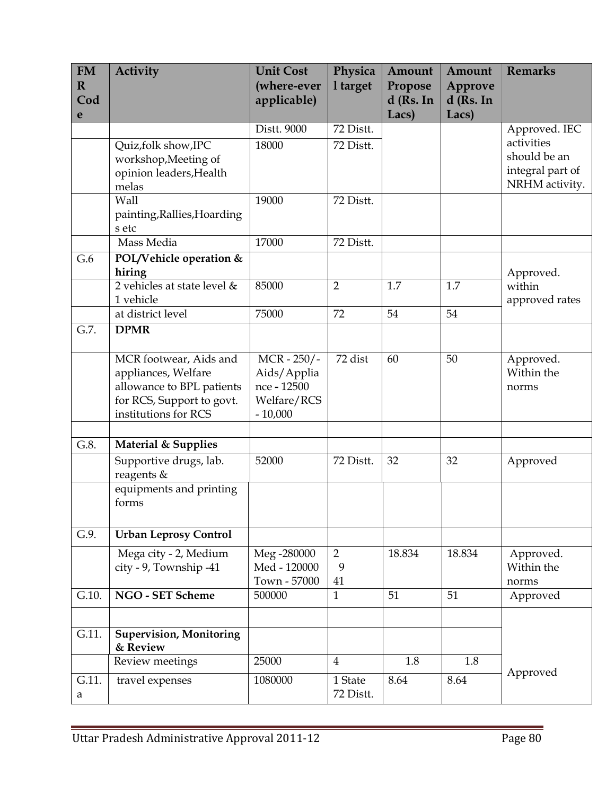| <b>FM</b><br>$\mathbf R$ | <b>Activity</b>                            | <b>Unit Cost</b><br>(where-ever | Physica<br>1 target | Amount<br>Propose | Amount<br>Approve | <b>Remarks</b>   |
|--------------------------|--------------------------------------------|---------------------------------|---------------------|-------------------|-------------------|------------------|
| Cod                      |                                            | applicable)                     |                     | $d$ (Rs. In       | $d$ (Rs. In       |                  |
| e                        |                                            |                                 |                     | Lacs)             | Lacs)             |                  |
|                          |                                            | Distt. 9000                     | 72 Distt.           |                   |                   | Approved. IEC    |
|                          | Quiz, folk show, IPC                       | 18000                           | 72 Distt.           |                   |                   | activities       |
|                          | workshop, Meeting of                       |                                 |                     |                   |                   | should be an     |
|                          | opinion leaders, Health                    |                                 |                     |                   |                   | integral part of |
|                          | melas                                      |                                 |                     |                   |                   | NRHM activity.   |
|                          | Wall                                       | 19000                           | 72 Distt.           |                   |                   |                  |
|                          | painting, Rallies, Hoarding<br>s etc       |                                 |                     |                   |                   |                  |
|                          | Mass Media                                 | 17000                           | 72 Distt.           |                   |                   |                  |
| G.6                      | POL/Vehicle operation &                    |                                 |                     |                   |                   |                  |
|                          | hiring                                     |                                 |                     |                   |                   | Approved.        |
|                          | 2 vehicles at state level &                | 85000                           | $\overline{2}$      | 1.7               | 1.7               | within           |
|                          | 1 vehicle                                  |                                 |                     |                   |                   | approved rates   |
|                          | at district level                          | 75000                           | 72                  | 54                | 54                |                  |
| $G.7$ .                  | <b>DPMR</b>                                |                                 |                     |                   |                   |                  |
|                          |                                            |                                 |                     |                   |                   |                  |
|                          | MCR footwear, Aids and                     | $MCR - 250/ -$                  | 72 dist             | 60                | 50                | Approved.        |
|                          | appliances, Welfare                        | Aids/Applia                     |                     |                   |                   | Within the       |
|                          | allowance to BPL patients                  | nce - 12500                     |                     |                   |                   | norms            |
|                          | for RCS, Support to govt.                  | Welfare/RCS                     |                     |                   |                   |                  |
|                          | institutions for RCS                       | $-10,000$                       |                     |                   |                   |                  |
| G.8.                     | Material & Supplies                        |                                 |                     |                   |                   |                  |
|                          | Supportive drugs, lab.                     | 52000                           | 72 Distt.           | 32                | 32                | Approved         |
|                          | reagents &                                 |                                 |                     |                   |                   |                  |
|                          | equipments and printing                    |                                 |                     |                   |                   |                  |
|                          | forms                                      |                                 |                     |                   |                   |                  |
|                          |                                            |                                 |                     |                   |                   |                  |
| G.9.                     | <b>Urban Leprosy Control</b>               |                                 |                     |                   |                   |                  |
|                          | Mega city - 2, Medium                      | Meg -280000                     | $\overline{2}$      | 18.834            | 18.834            | Approved.        |
|                          | city - 9, Township -41                     | Med - 120000                    | 9                   |                   |                   | Within the       |
|                          |                                            | Town - 57000                    | 41                  |                   |                   | norms            |
| G.10.                    | <b>NGO - SET Scheme</b>                    | 500000                          | $\mathbf{1}$        | 51                | 51                | Approved         |
|                          |                                            |                                 |                     |                   |                   |                  |
| G.11.                    | <b>Supervision, Monitoring</b><br>& Review |                                 |                     |                   |                   |                  |
|                          | Review meetings                            | 25000                           | $\overline{4}$      | 1.8               | 1.8               |                  |
| G.11.                    | travel expenses                            | 1080000                         | 1 State             | 8.64              | 8.64              | Approved         |
| a                        |                                            |                                 | 72 Distt.           |                   |                   |                  |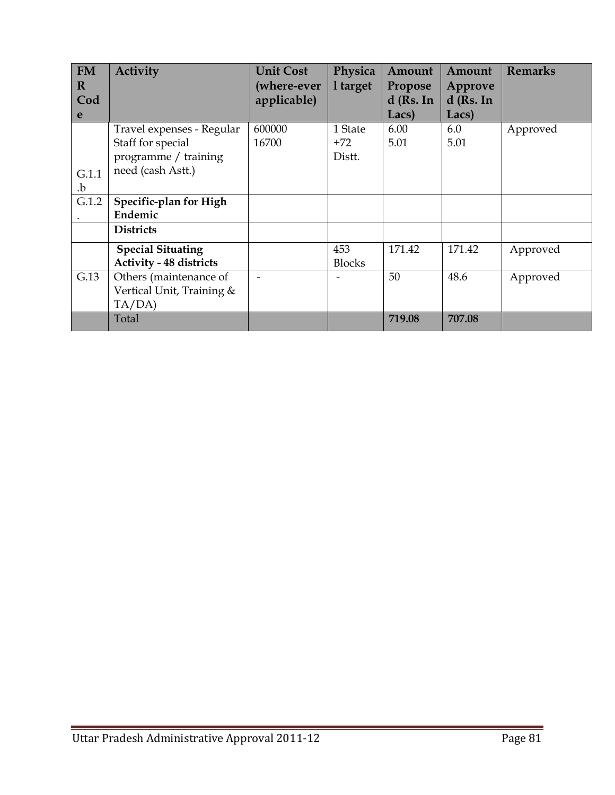| <b>FM</b>   | <b>Activity</b>                | <b>Unit Cost</b> | Physica       | Amount      | Amount      | <b>Remarks</b> |
|-------------|--------------------------------|------------------|---------------|-------------|-------------|----------------|
| $\mathbf R$ |                                | (where-ever      | 1 target      | Propose     | Approve     |                |
| Cod         |                                | applicable)      |               | $d$ (Rs. In | $d$ (Rs. In |                |
| e           |                                |                  |               | Lacs)       | Lacs)       |                |
|             | Travel expenses - Regular      | 600000           | 1 State       | 6.00        | 6.0         | Approved       |
|             | Staff for special              | 16700            | $+72$         | 5.01        | 5.01        |                |
|             | programme / training           |                  | Distt.        |             |             |                |
| G.1.1       | need (cash Astt.)              |                  |               |             |             |                |
| .b          |                                |                  |               |             |             |                |
| G.1.2       | Specific-plan for High         |                  |               |             |             |                |
|             | Endemic                        |                  |               |             |             |                |
|             | <b>Districts</b>               |                  |               |             |             |                |
|             | <b>Special Situating</b>       |                  | 453           | 171.42      | 171.42      | Approved       |
|             | <b>Activity - 48 districts</b> |                  | <b>Blocks</b> |             |             |                |
| G.13        | Others (maintenance of         |                  |               | 50          | 48.6        | Approved       |
|             | Vertical Unit, Training &      |                  |               |             |             |                |
|             | TA/DA)                         |                  |               |             |             |                |
|             | Total                          |                  |               | 719.08      | 707.08      |                |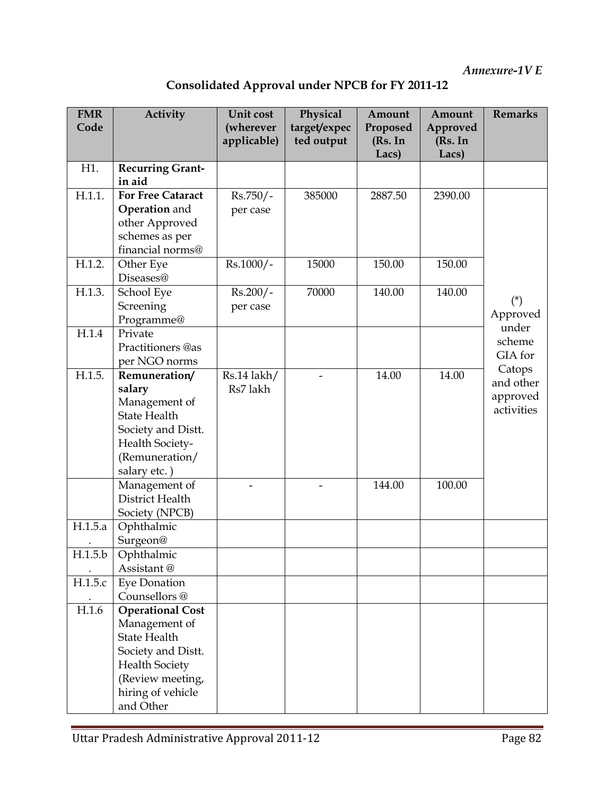| <b>Consolidated Approval under NPCB for FY 2011-12</b> |  |  |  |
|--------------------------------------------------------|--|--|--|
|                                                        |  |  |  |

| <b>FMR</b><br>Code | <b>Activity</b>                                                                                                                                                      | Unit cost<br>(wherever<br>applicable) | Physical<br>target/expec<br>ted output | Amount<br>Proposed<br>(Rs. In<br>Lacs) | Amount<br>Approved<br>(Rs. In<br>Lacs) | <b>Remarks</b>                                |
|--------------------|----------------------------------------------------------------------------------------------------------------------------------------------------------------------|---------------------------------------|----------------------------------------|----------------------------------------|----------------------------------------|-----------------------------------------------|
| H1.                | <b>Recurring Grant-</b><br>in aid                                                                                                                                    |                                       |                                        |                                        |                                        |                                               |
| H.1.1.             | <b>For Free Cataract</b><br><b>Operation</b> and<br>other Approved<br>schemes as per<br>financial norms@                                                             | $Rs.750/-$<br>per case                | 385000                                 | 2887.50                                | 2390.00                                |                                               |
| H.1.2.             | Other Eye<br>Diseases@                                                                                                                                               | $Rs.1000/-$                           | 15000                                  | 150.00                                 | 150.00                                 |                                               |
| H.1.3.             | School Eye<br>Screening<br>Programme@                                                                                                                                | $Rs.200/-$<br>per case                | 70000                                  | 140.00                                 | 140.00                                 | $(*)$<br>Approved                             |
| H.1.4              | Private<br>Practitioners @as<br>per NGO norms                                                                                                                        |                                       |                                        |                                        |                                        | under<br>scheme<br>GIA for                    |
| H.1.5.             | Remuneration/<br>salary<br>Management of<br><b>State Health</b><br>Society and Distt.<br>Health Society-<br>(Remuneration/<br>salary etc.)                           | Rs.14 lakh/<br>Rs7 lakh               |                                        | 14.00                                  | 14.00                                  | Catops<br>and other<br>approved<br>activities |
|                    | Management of<br>District Health<br>Society (NPCB)                                                                                                                   |                                       |                                        | 144.00                                 | 100.00                                 |                                               |
| H.1.5.a            | Ophthalmic<br>Surgeon@                                                                                                                                               |                                       |                                        |                                        |                                        |                                               |
| $\rm H.1.5.b$      | Ophthalmic<br>Assistant@                                                                                                                                             |                                       |                                        |                                        |                                        |                                               |
| H.1.5.c            | <b>Eye Donation</b><br>Counsellors@                                                                                                                                  |                                       |                                        |                                        |                                        |                                               |
| H.1.6              | <b>Operational Cost</b><br>Management of<br><b>State Health</b><br>Society and Distt.<br><b>Health Society</b><br>(Review meeting,<br>hiring of vehicle<br>and Other |                                       |                                        |                                        |                                        |                                               |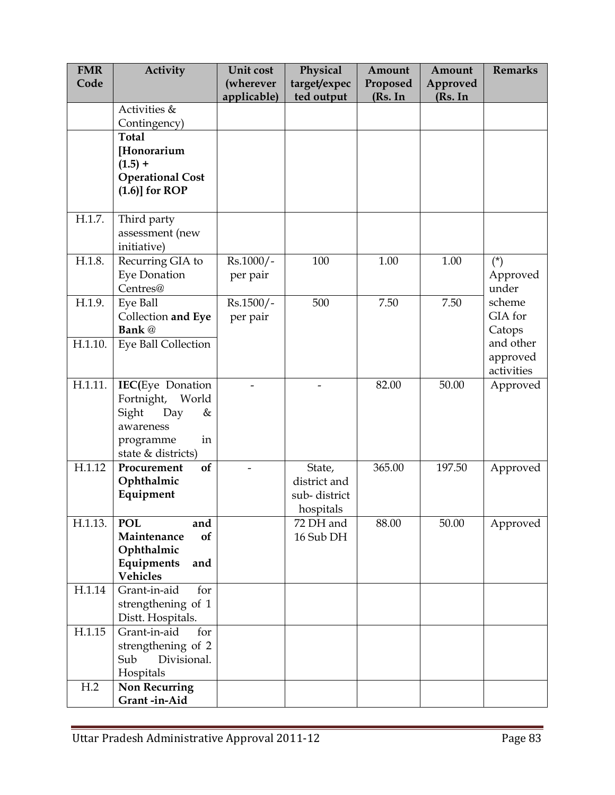| <b>FMR</b> | Activity                        | Unit cost   | Physical     | Amount   | Amount   | <b>Remarks</b>    |
|------------|---------------------------------|-------------|--------------|----------|----------|-------------------|
| Code       |                                 | (wherever   | target/expec | Proposed | Approved |                   |
|            |                                 | applicable) | ted output   | (Rs. In  | (Rs. In  |                   |
|            | Activities &                    |             |              |          |          |                   |
|            | Contingency)<br><b>Total</b>    |             |              |          |          |                   |
|            | [Honorarium                     |             |              |          |          |                   |
|            | $(1.5) +$                       |             |              |          |          |                   |
|            | <b>Operational Cost</b>         |             |              |          |          |                   |
|            | $(1.6)$ ] for ROP               |             |              |          |          |                   |
|            |                                 |             |              |          |          |                   |
| H.1.7.     | Third party                     |             |              |          |          |                   |
|            | assessment (new                 |             |              |          |          |                   |
|            | initiative)                     |             |              |          |          |                   |
| H.1.8.     | Recurring GIA to                | Rs.1000/-   | 100          | 1.00     | 1.00     | $(*)$             |
|            | Eye Donation<br>Centres@        | per pair    |              |          |          | Approved<br>under |
| H.1.9.     | Eye Ball                        | $Rs.1500/-$ | 500          | 7.50     | 7.50     | scheme            |
|            | Collection and Eye              | per pair    |              |          |          | GIA for           |
|            | Bank @                          |             |              |          |          | Catops            |
| H.1.10.    | Eye Ball Collection             |             |              |          |          | and other         |
|            |                                 |             |              |          |          | approved          |
|            |                                 |             |              |          |          | activities        |
| H.1.11.    | <b>IEC(Eye Donation</b>         |             |              | 82.00    | 50.00    | Approved          |
|            | World<br>Fortnight,             |             |              |          |          |                   |
|            | Sight<br>Day<br>&               |             |              |          |          |                   |
|            | awareness<br>in<br>programme    |             |              |          |          |                   |
|            | state & districts)              |             |              |          |          |                   |
| H.1.12     | of<br>Procurement               |             | State,       | 365.00   | 197.50   | Approved          |
|            | Ophthalmic                      |             | district and |          |          |                   |
|            | Equipment                       |             | sub-district |          |          |                   |
|            |                                 |             | hospitals    |          |          |                   |
| H.1.13.    | <b>POL</b><br>and               |             | 72 DH and    | 88.00    | 50.00    | Approved          |
|            | Maintenance<br>of               |             | 16 Sub DH    |          |          |                   |
|            | Ophthalmic<br>Equipments<br>and |             |              |          |          |                   |
|            | Vehicles                        |             |              |          |          |                   |
| H.1.14     | Grant-in-aid<br>for             |             |              |          |          |                   |
|            | strengthening of 1              |             |              |          |          |                   |
|            | Distt. Hospitals.               |             |              |          |          |                   |
| H.1.15     | Grant-in-aid<br>for             |             |              |          |          |                   |
|            | strengthening of 2              |             |              |          |          |                   |
|            | Divisional.<br>Sub              |             |              |          |          |                   |
|            | Hospitals                       |             |              |          |          |                   |
| H.2        | Non Recurring<br>Grant-in-Aid   |             |              |          |          |                   |
|            |                                 |             |              |          |          |                   |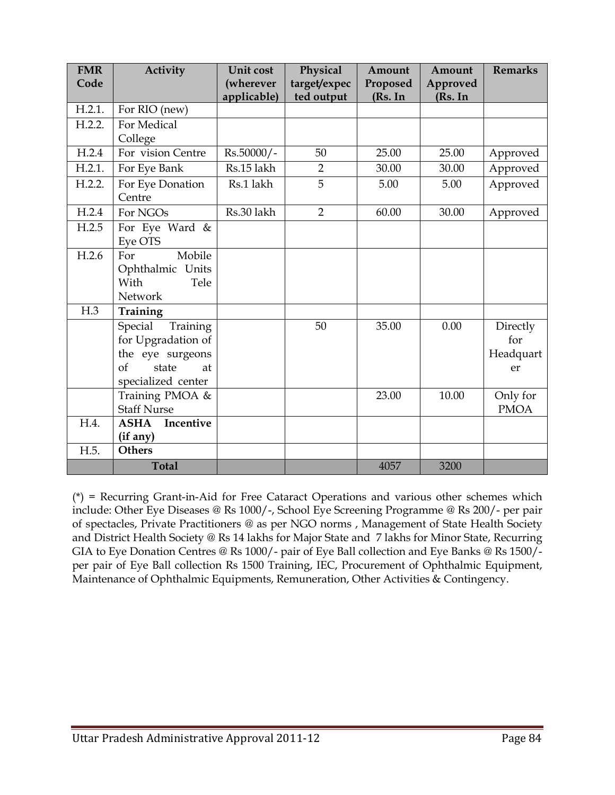| <b>FMR</b><br>Code | Activity                                                                                                 | Unit cost<br>(wherever<br>applicable) | Physical<br>target/expec<br>ted output | Amount<br>Proposed<br>(Rs. In | Amount<br>Approved<br>(Rs. In | <b>Remarks</b>                     |
|--------------------|----------------------------------------------------------------------------------------------------------|---------------------------------------|----------------------------------------|-------------------------------|-------------------------------|------------------------------------|
| H.2.1.             | For RIO (new)                                                                                            |                                       |                                        |                               |                               |                                    |
| H.2.2.             | For Medical<br>College                                                                                   |                                       |                                        |                               |                               |                                    |
| H.2.4              | For vision Centre                                                                                        | Rs.50000/-                            | 50                                     | 25.00                         | 25.00                         | Approved                           |
| H.2.1.             | For Eye Bank                                                                                             | Rs.15 lakh                            | $\overline{2}$                         | 30.00                         | 30.00                         | Approved                           |
| H.2.2.             | For Eye Donation<br>Centre                                                                               | Rs.1 lakh                             | 5                                      | 5.00                          | 5.00                          | Approved                           |
| H.2.4              | For NGOs                                                                                                 | Rs.30 lakh                            | $\overline{2}$                         | 60.00                         | 30.00                         | Approved                           |
| H.2.5              | For Eye Ward $\overline{\&}$<br>Eye OTS                                                                  |                                       |                                        |                               |                               |                                    |
| H.2.6              | Mobile<br>For<br>Ophthalmic Units<br>With<br>Tele<br>Network                                             |                                       |                                        |                               |                               |                                    |
| H.3                | Training                                                                                                 |                                       |                                        |                               |                               |                                    |
|                    | Special<br>Training<br>for Upgradation of<br>the eye surgeons<br>of<br>state<br>at<br>specialized center |                                       | 50                                     | 35.00                         | 0.00                          | Directly<br>for<br>Headquart<br>er |
|                    | Training PMOA &<br><b>Staff Nurse</b>                                                                    |                                       |                                        | 23.00                         | 10.00                         | Only for<br><b>PMOA</b>            |
| H.4.               | Incentive<br><b>ASHA</b><br>(if any)                                                                     |                                       |                                        |                               |                               |                                    |
| H.5.               | <b>Others</b>                                                                                            |                                       |                                        |                               |                               |                                    |
|                    | <b>Total</b>                                                                                             |                                       |                                        | 4057                          | 3200                          |                                    |

(\*) = Recurring Grant-in-Aid for Free Cataract Operations and various other schemes which include: Other Eye Diseases @ Rs 1000/-, School Eye Screening Programme @ Rs 200/- per pair of spectacles, Private Practitioners @ as per NGO norms , Management of State Health Society and District Health Society @ Rs 14 lakhs for Major State and 7 lakhs for Minor State, Recurring GIA to Eye Donation Centres @ Rs 1000/- pair of Eye Ball collection and Eye Banks @ Rs 1500/ per pair of Eye Ball collection Rs 1500 Training, IEC, Procurement of Ophthalmic Equipment, Maintenance of Ophthalmic Equipments, Remuneration, Other Activities & Contingency.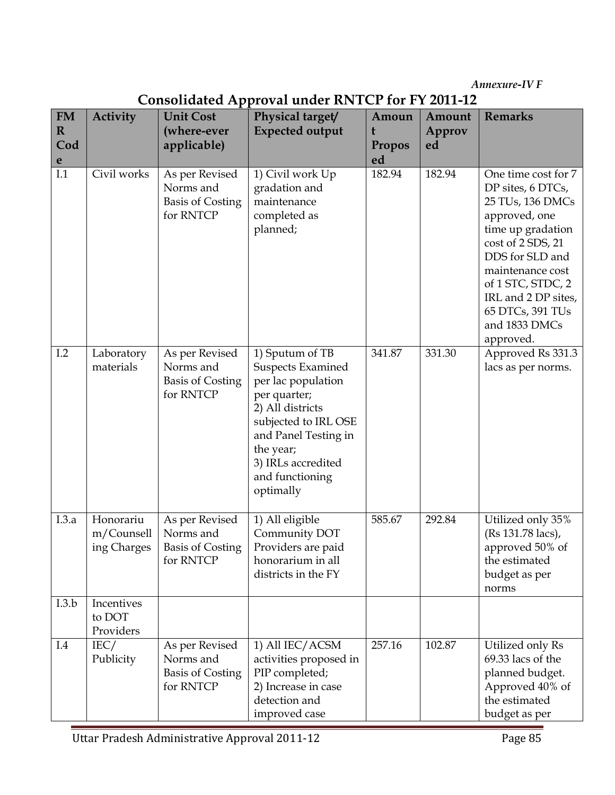Annexure-IV F

|                                                |                                        |                                                                     | Consonaatta Apploval anatt Kryftt fol i 1 Zoff-12                                                                                                                                                                        |                                   |                        |                                                                                                                                                                                                                                                              |
|------------------------------------------------|----------------------------------------|---------------------------------------------------------------------|--------------------------------------------------------------------------------------------------------------------------------------------------------------------------------------------------------------------------|-----------------------------------|------------------------|--------------------------------------------------------------------------------------------------------------------------------------------------------------------------------------------------------------------------------------------------------------|
| <b>FM</b><br>$\mathbf R$<br>Cod<br>$\mathbf e$ | Activity                               | <b>Unit Cost</b><br>(where-ever<br>applicable)                      | Physical target/<br><b>Expected output</b>                                                                                                                                                                               | Amoun<br>t<br><b>Propos</b><br>ed | Amount<br>Approv<br>ed | <b>Remarks</b>                                                                                                                                                                                                                                               |
| I.1                                            | Civil works                            | As per Revised<br>Norms and<br><b>Basis of Costing</b><br>for RNTCP | 1) Civil work Up<br>gradation and<br>maintenance<br>completed as<br>planned;                                                                                                                                             | 182.94                            | 182.94                 | One time cost for 7<br>DP sites, 6 DTCs,<br>25 TUs, 136 DMCs<br>approved, one<br>time up gradation<br>cost of 2 SDS, 21<br>DDS for SLD and<br>maintenance cost<br>of 1 STC, STDC, 2<br>IRL and 2 DP sites,<br>65 DTCs, 391 TUs<br>and 1833 DMCs<br>approved. |
| I.2                                            | Laboratory<br>materials                | As per Revised<br>Norms and<br><b>Basis of Costing</b><br>for RNTCP | 1) Sputum of TB<br><b>Suspects Examined</b><br>per lac population<br>per quarter;<br>2) All districts<br>subjected to IRL OSE<br>and Panel Testing in<br>the year;<br>3) IRLs accredited<br>and functioning<br>optimally | 341.87                            | 331.30                 | Approved Rs 331.3<br>lacs as per norms.                                                                                                                                                                                                                      |
| I.3.a                                          | Honorariu<br>m/Counsell<br>ing Charges | As per Revised<br>Norms and<br><b>Basis of Costing</b><br>for RNTCP | 1) All eligible<br>Community DOT<br>Providers are paid<br>honorarium in all<br>districts in the FY                                                                                                                       | 585.67                            | 292.84                 | Utilized only 35%<br>(Rs 131.78 lacs),<br>approved 50% of<br>the estimated<br>budget as per<br>norms                                                                                                                                                         |
| I.3.b                                          | Incentives<br>to DOT<br>Providers      |                                                                     |                                                                                                                                                                                                                          |                                   |                        |                                                                                                                                                                                                                                                              |
| I.4                                            | IEC/<br>Publicity                      | As per Revised<br>Norms and<br><b>Basis of Costing</b><br>for RNTCP | 1) All IEC/ACSM<br>activities proposed in<br>PIP completed;<br>2) Increase in case<br>detection and<br>improved case                                                                                                     | 257.16                            | 102.87                 | Utilized only Rs<br>69.33 lacs of the<br>planned budget.<br>Approved 40% of<br>the estimated<br>budget as per                                                                                                                                                |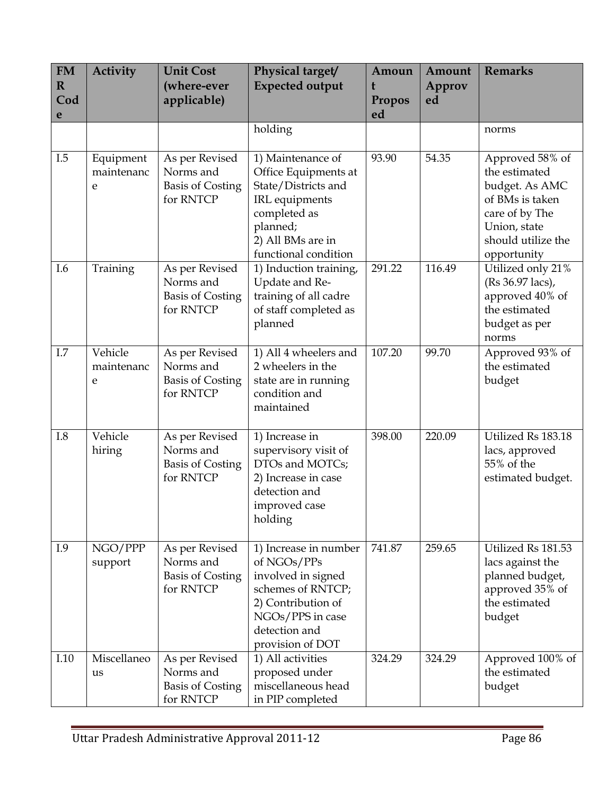| <b>FM</b><br>$\mathbf R$<br>Cod<br>e | <b>Activity</b>              | <b>Unit Cost</b><br>(where-ever<br>applicable)                      | Physical target/<br><b>Expected output</b>                                                                                                                     | Amoun<br>Propos<br>ed | Amount<br>Approv<br>ed | <b>Remarks</b>                                                                                                                               |
|--------------------------------------|------------------------------|---------------------------------------------------------------------|----------------------------------------------------------------------------------------------------------------------------------------------------------------|-----------------------|------------------------|----------------------------------------------------------------------------------------------------------------------------------------------|
|                                      |                              |                                                                     | holding                                                                                                                                                        |                       |                        | norms                                                                                                                                        |
| I.5                                  | Equipment<br>maintenanc<br>e | As per Revised<br>Norms and<br><b>Basis of Costing</b><br>for RNTCP | 1) Maintenance of<br>Office Equipments at<br>State/Districts and<br>IRL equipments<br>completed as<br>planned;<br>2) All BMs are in<br>functional condition    | 93.90                 | 54.35                  | Approved 58% of<br>the estimated<br>budget. As AMC<br>of BMs is taken<br>care of by The<br>Union, state<br>should utilize the<br>opportunity |
| I.6                                  | Training                     | As per Revised<br>Norms and<br><b>Basis of Costing</b><br>for RNTCP | 1) Induction training,<br>Update and Re-<br>training of all cadre<br>of staff completed as<br>planned                                                          | 291.22                | 116.49                 | Utilized only 21%<br>(Rs 36.97 lacs),<br>approved 40% of<br>the estimated<br>budget as per<br>norms                                          |
| I.7                                  | Vehicle<br>maintenanc<br>e   | As per Revised<br>Norms and<br><b>Basis of Costing</b><br>for RNTCP | 1) All 4 wheelers and<br>2 wheelers in the<br>state are in running<br>condition and<br>maintained                                                              | 107.20                | 99.70                  | Approved 93% of<br>the estimated<br>budget                                                                                                   |
| I.8                                  | Vehicle<br>hiring            | As per Revised<br>Norms and<br><b>Basis of Costing</b><br>for RNTCP | 1) Increase in<br>supervisory visit of<br>DTOs and MOTCs;<br>2) Increase in case<br>detection and<br>improved case<br>holding                                  | 398.00                | 220.09                 | Utilized Rs 183.18<br>lacs, approved<br>55% of the<br>estimated budget.                                                                      |
| I.9                                  | NGO/PPP<br>support           | As per Revised<br>Norms and<br><b>Basis of Costing</b><br>for RNTCP | 1) Increase in number<br>of NGOs/PPs<br>involved in signed<br>schemes of RNTCP;<br>2) Contribution of<br>NGOs/PPS in case<br>detection and<br>provision of DOT | 741.87                | 259.65                 | Utilized Rs 181.53<br>lacs against the<br>planned budget,<br>approved 35% of<br>the estimated<br>budget                                      |
| I.10                                 | Miscellaneo<br>us            | As per Revised<br>Norms and<br><b>Basis of Costing</b><br>for RNTCP | 1) All activities<br>proposed under<br>miscellaneous head<br>in PIP completed                                                                                  | 324.29                | 324.29                 | Approved 100% of<br>the estimated<br>budget                                                                                                  |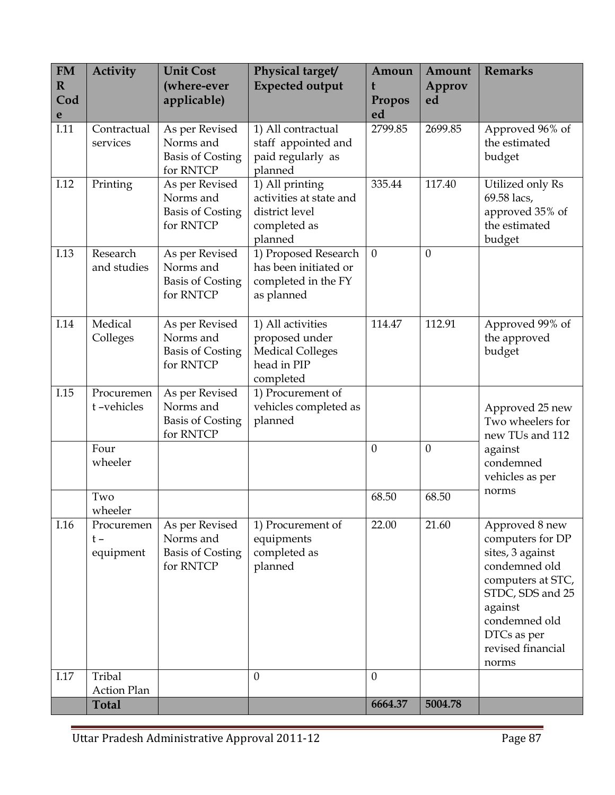| <b>FM</b><br>$\mathbf R$<br>Cod | <b>Activity</b>                  | <b>Unit Cost</b><br>(where-ever<br>applicable)                      | Physical target/<br><b>Expected output</b>                                                 | Amoun<br>t<br>Propos | Amount<br>Approv<br>ed | <b>Remarks</b>                                                                                                                                                                            |
|---------------------------------|----------------------------------|---------------------------------------------------------------------|--------------------------------------------------------------------------------------------|----------------------|------------------------|-------------------------------------------------------------------------------------------------------------------------------------------------------------------------------------------|
| e                               |                                  |                                                                     |                                                                                            | ed                   |                        |                                                                                                                                                                                           |
| I.11                            | Contractual<br>services          | As per Revised<br>Norms and<br><b>Basis of Costing</b><br>for RNTCP | 1) All contractual<br>staff appointed and<br>paid regularly as<br>planned                  | 2799.85              | 2699.85                | Approved 96% of<br>the estimated<br>budget                                                                                                                                                |
| I.12                            | Printing                         | As per Revised<br>Norms and<br><b>Basis of Costing</b><br>for RNTCP | 1) All printing<br>activities at state and<br>district level<br>completed as<br>planned    | 335.44               | 117.40                 | Utilized only Rs<br>69.58 lacs,<br>approved 35% of<br>the estimated<br>budget                                                                                                             |
| I.13                            | Research<br>and studies          | As per Revised<br>Norms and<br><b>Basis of Costing</b><br>for RNTCP | 1) Proposed Research<br>has been initiated or<br>completed in the FY<br>as planned         | $\mathbf{0}$         | $\mathbf{0}$           |                                                                                                                                                                                           |
| I.14                            | Medical<br>Colleges              | As per Revised<br>Norms and<br><b>Basis of Costing</b><br>for RNTCP | 1) All activities<br>proposed under<br><b>Medical Colleges</b><br>head in PIP<br>completed | 114.47               | 112.91                 | Approved 99% of<br>the approved<br>budget                                                                                                                                                 |
| I.15                            | Procuremen<br>t-vehicles         | As per Revised<br>Norms and<br><b>Basis of Costing</b><br>for RNTCP | 1) Procurement of<br>vehicles completed as<br>planned                                      |                      |                        | Approved 25 new<br>Two wheelers for<br>new TUs and 112<br>against<br>condemned<br>vehicles as per                                                                                         |
|                                 | Four<br>wheeler                  |                                                                     |                                                                                            | $\theta$             | $\theta$               |                                                                                                                                                                                           |
|                                 | Two<br>wheeler                   |                                                                     |                                                                                            | 68.50                | 68.50                  | norms                                                                                                                                                                                     |
| I.16                            | Procuremen<br>$t -$<br>equipment | As per Revised<br>Norms and<br><b>Basis of Costing</b><br>for RNTCP | 1) Procurement of<br>equipments<br>completed as<br>planned                                 | 22.00                | 21.60                  | Approved 8 new<br>computers for DP<br>sites, 3 against<br>condemned old<br>computers at STC,<br>STDC, SDS and 25<br>against<br>condemned old<br>DTCs as per<br>revised financial<br>norms |
| I.17                            | Tribal<br><b>Action Plan</b>     |                                                                     | $\mathbf{0}$                                                                               | $\theta$             |                        |                                                                                                                                                                                           |
|                                 | <b>Total</b>                     |                                                                     |                                                                                            | 6664.37              | 5004.78                |                                                                                                                                                                                           |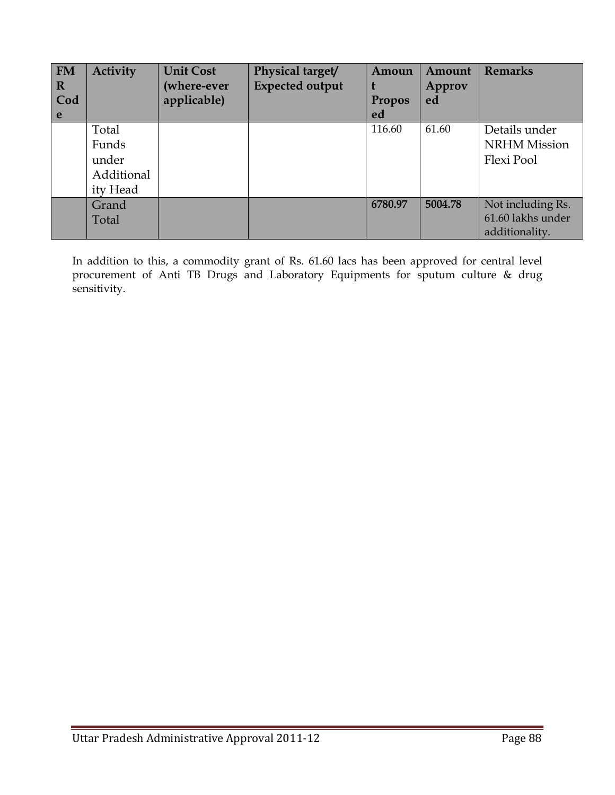| <b>FM</b><br>$\mathbf R$<br>Cod | <b>Activity</b> | <b>Unit Cost</b><br>(where-ever<br>applicable) | Physical target/<br><b>Expected output</b> | Amoun<br><b>Propos</b> | Amount<br>Approv<br>ed | <b>Remarks</b>      |
|---------------------------------|-----------------|------------------------------------------------|--------------------------------------------|------------------------|------------------------|---------------------|
| e                               |                 |                                                |                                            | ed                     |                        |                     |
|                                 | Total           |                                                |                                            | 116.60                 | 61.60                  | Details under       |
|                                 | Funds           |                                                |                                            |                        |                        | <b>NRHM</b> Mission |
|                                 | under           |                                                |                                            |                        |                        | Flexi Pool          |
|                                 | Additional      |                                                |                                            |                        |                        |                     |
|                                 | ity Head        |                                                |                                            |                        |                        |                     |
|                                 | Grand           |                                                |                                            | 6780.97                | 5004.78                | Not including Rs.   |
|                                 | Total           |                                                |                                            |                        |                        | 61.60 lakhs under   |
|                                 |                 |                                                |                                            |                        |                        | additionality.      |

In addition to this, a commodity grant of Rs. 61.60 lacs has been approved for central level procurement of Anti TB Drugs and Laboratory Equipments for sputum culture & drug sensitivity.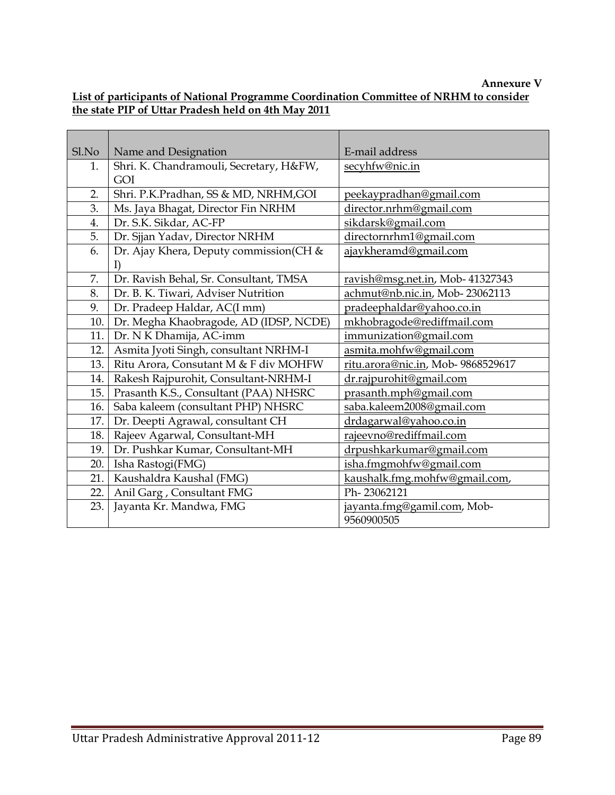## Annexure V

## List of participants of National Programme Coordination Committee of NRHM to consider the state PIP of Uttar Pradesh held on 4th May 2011

| Sl.No | Name and Designation                    | E-mail address                     |
|-------|-----------------------------------------|------------------------------------|
| 1.    | Shri. K. Chandramouli, Secretary, H&FW, | secyhfw@nic.in                     |
|       | GOI                                     |                                    |
| 2.    | Shri. P.K.Pradhan, SS & MD, NRHM, GOI   | peekaypradhan@gmail.com            |
| 3.    | Ms. Jaya Bhagat, Director Fin NRHM      | director.nrhm@gmail.com            |
| 4.    | Dr. S.K. Sikdar, AC-FP                  | sikdarsk@gmail.com                 |
| 5.    | Dr. Sjjan Yadav, Director NRHM          | directornrhm1@gmail.com            |
| 6.    | Dr. Ajay Khera, Deputy commission(CH &  | ajaykheramd@gmail.com              |
|       | I)                                      |                                    |
| 7.    | Dr. Ravish Behal, Sr. Consultant, TMSA  | ravish@msg.net.in, Mob- 41327343   |
| 8.    | Dr. B. K. Tiwari, Adviser Nutrition     | achmut@nb.nic.in, Mob-23062113     |
| 9.    | Dr. Pradeep Haldar, AC(I mm)            | pradeephaldar@yahoo.co.in          |
| 10.   | Dr. Megha Khaobragode, AD (IDSP, NCDE)  | mkhobragode@rediffmail.com         |
| 11.   | Dr. N K Dhamija, AC-imm                 | immunization@gmail.com             |
| 12.   | Asmita Jyoti Singh, consultant NRHM-I   | asmita.mohfw@gmail.com             |
| 13.   | Ritu Arora, Consutant M & F div MOHFW   | ritu.arora@nic.in, Mob- 9868529617 |
| 14.   | Rakesh Rajpurohit, Consultant-NRHM-I    | dr.rajpurohit@gmail.com            |
| 15.   | Prasanth K.S., Consultant (PAA) NHSRC   | prasanth.mph@gmail.com             |
| 16.   | Saba kaleem (consultant PHP) NHSRC      | saba.kaleem2008@gmail.com          |
| 17.   | Dr. Deepti Agrawal, consultant CH       | drdagarwal@yahoo.co.in             |
| 18.   | Rajeev Agarwal, Consultant-MH           | rajeevno@rediffmail.com            |
| 19.   | Dr. Pushkar Kumar, Consultant-MH        | drpushkarkumar@gmail.com           |
| 20.   | Isha Rastogi(FMG)                       | isha.fmgmohfw@gmail.com            |
| 21.   | Kaushaldra Kaushal (FMG)                | kaushalk.fmg.mohfw@gmail.com,      |
| 22.   | Anil Garg, Consultant FMG               | Ph-23062121                        |
| 23.   | Jayanta Kr. Mandwa, FMG                 | jayanta.fmg@gamil.com, Mob-        |
|       |                                         | 9560900505                         |